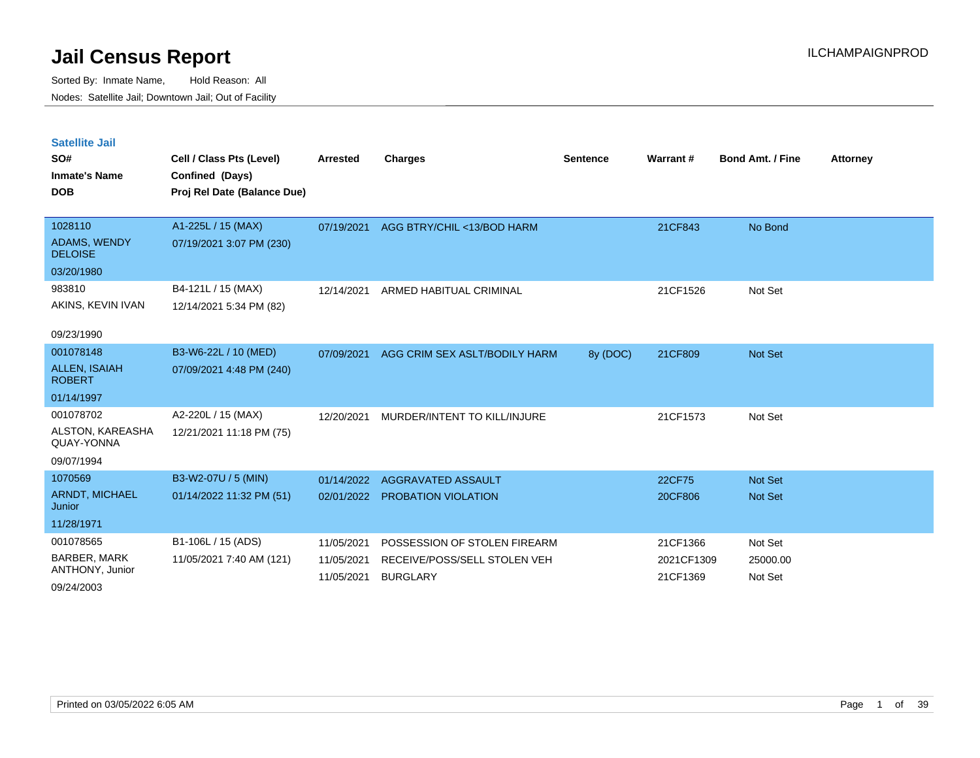Sorted By: Inmate Name, Hold Reason: All Nodes: Satellite Jail; Downtown Jail; Out of Facility

| <b>Satellite Jail</b><br>SO#<br><b>Inmate's Name</b><br><b>DOB</b> | Cell / Class Pts (Level)<br>Confined (Days)<br>Proj Rel Date (Balance Due) | <b>Arrested</b> | <b>Charges</b>                | <b>Sentence</b> | <b>Warrant#</b> | <b>Bond Amt. / Fine</b> | <b>Attorney</b> |
|--------------------------------------------------------------------|----------------------------------------------------------------------------|-----------------|-------------------------------|-----------------|-----------------|-------------------------|-----------------|
| 1028110                                                            | A1-225L / 15 (MAX)                                                         | 07/19/2021      | AGG BTRY/CHIL <13/BOD HARM    |                 | 21CF843         | No Bond                 |                 |
| <b>ADAMS, WENDY</b><br><b>DELOISE</b>                              | 07/19/2021 3:07 PM (230)                                                   |                 |                               |                 |                 |                         |                 |
| 03/20/1980                                                         |                                                                            |                 |                               |                 |                 |                         |                 |
| 983810                                                             | B4-121L / 15 (MAX)                                                         | 12/14/2021      | ARMED HABITUAL CRIMINAL       |                 | 21CF1526        | Not Set                 |                 |
| AKINS, KEVIN IVAN                                                  | 12/14/2021 5:34 PM (82)                                                    |                 |                               |                 |                 |                         |                 |
| 09/23/1990                                                         |                                                                            |                 |                               |                 |                 |                         |                 |
| 001078148                                                          | B3-W6-22L / 10 (MED)                                                       | 07/09/2021      | AGG CRIM SEX ASLT/BODILY HARM | 8y (DOC)        | 21CF809         | <b>Not Set</b>          |                 |
| <b>ALLEN, ISAIAH</b><br><b>ROBERT</b>                              | 07/09/2021 4:48 PM (240)                                                   |                 |                               |                 |                 |                         |                 |
| 01/14/1997                                                         |                                                                            |                 |                               |                 |                 |                         |                 |
| 001078702                                                          | A2-220L / 15 (MAX)                                                         | 12/20/2021      | MURDER/INTENT TO KILL/INJURE  |                 | 21CF1573        | Not Set                 |                 |
| ALSTON, KAREASHA<br>QUAY-YONNA                                     | 12/21/2021 11:18 PM (75)                                                   |                 |                               |                 |                 |                         |                 |
| 09/07/1994                                                         |                                                                            |                 |                               |                 |                 |                         |                 |
| 1070569                                                            | B3-W2-07U / 5 (MIN)                                                        | 01/14/2022      | AGGRAVATED ASSAULT            |                 | 22CF75          | <b>Not Set</b>          |                 |
| <b>ARNDT, MICHAEL</b><br>Junior                                    | 01/14/2022 11:32 PM (51)                                                   | 02/01/2022      | PROBATION VIOLATION           |                 | 20CF806         | <b>Not Set</b>          |                 |
| 11/28/1971                                                         |                                                                            |                 |                               |                 |                 |                         |                 |
| 001078565                                                          | B1-106L / 15 (ADS)                                                         | 11/05/2021      | POSSESSION OF STOLEN FIREARM  |                 | 21CF1366        | Not Set                 |                 |
| <b>BARBER, MARK</b>                                                | 11/05/2021 7:40 AM (121)                                                   | 11/05/2021      | RECEIVE/POSS/SELL STOLEN VEH  |                 | 2021CF1309      | 25000.00                |                 |
| ANTHONY, Junior                                                    |                                                                            | 11/05/2021      | <b>BURGLARY</b>               |                 | 21CF1369        | Not Set                 |                 |

09/24/2003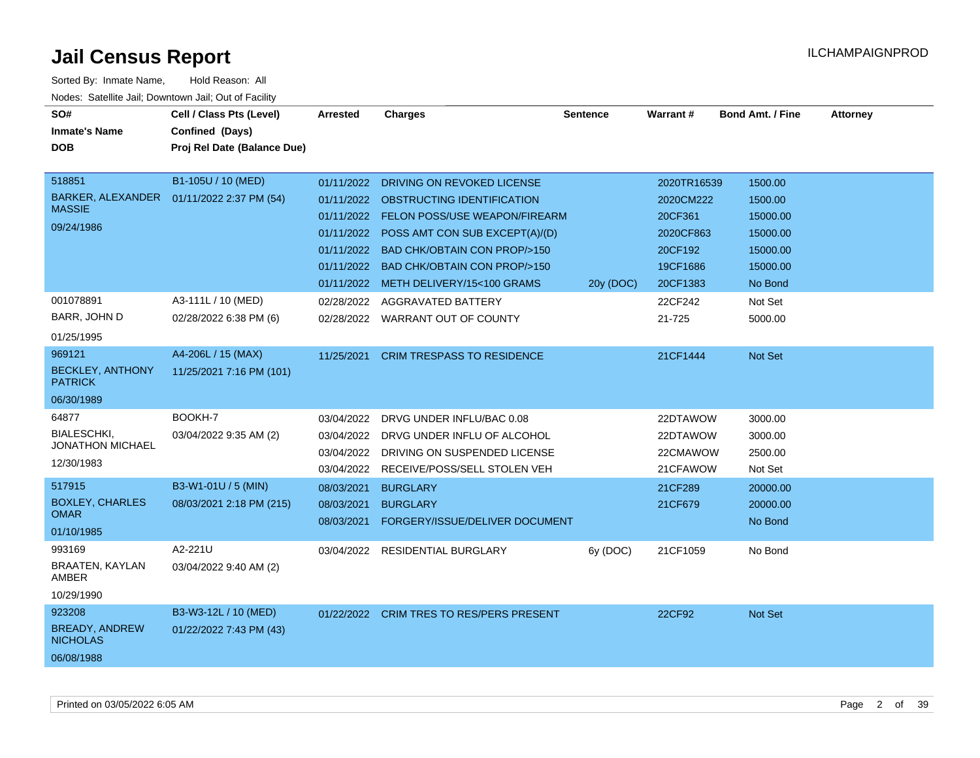| SO#<br><b>Inmate's Name</b><br><b>DOB</b>                                           | Cell / Class Pts (Level)<br>Confined (Days)<br>Proj Rel Date (Balance Due) | Arrested                                             | <b>Charges</b>                                                                                                                                           | <b>Sentence</b> | Warrant#                                         | <b>Bond Amt. / Fine</b>                    | <b>Attorney</b> |
|-------------------------------------------------------------------------------------|----------------------------------------------------------------------------|------------------------------------------------------|----------------------------------------------------------------------------------------------------------------------------------------------------------|-----------------|--------------------------------------------------|--------------------------------------------|-----------------|
| 518851<br>BARKER, ALEXANDER  01/11/2022 2:37 PM (54)<br><b>MASSIE</b><br>09/24/1986 | B1-105U / 10 (MED)                                                         | 01/11/2022<br>01/11/2022                             | 01/11/2022 DRIVING ON REVOKED LICENSE<br>01/11/2022 OBSTRUCTING IDENTIFICATION<br><b>FELON POSS/USE WEAPON/FIREARM</b><br>POSS AMT CON SUB EXCEPT(A)/(D) |                 | 2020TR16539<br>2020CM222<br>20CF361<br>2020CF863 | 1500.00<br>1500.00<br>15000.00<br>15000.00 |                 |
|                                                                                     |                                                                            | 01/11/2022                                           | <b>BAD CHK/OBTAIN CON PROP/&gt;150</b><br>01/11/2022 BAD CHK/OBTAIN CON PROP/>150<br>01/11/2022 METH DELIVERY/15<100 GRAMS                               | 20y (DOC)       | 20CF192<br>19CF1686<br>20CF1383                  | 15000.00<br>15000.00<br>No Bond            |                 |
| 001078891<br>BARR, JOHN D<br>01/25/1995                                             | A3-111L / 10 (MED)<br>02/28/2022 6:38 PM (6)                               |                                                      | 02/28/2022 AGGRAVATED BATTERY<br>02/28/2022 WARRANT OUT OF COUNTY                                                                                        |                 | 22CF242<br>21-725                                | Not Set<br>5000.00                         |                 |
| 969121<br><b>BECKLEY, ANTHONY</b><br><b>PATRICK</b><br>06/30/1989                   | A4-206L / 15 (MAX)<br>11/25/2021 7:16 PM (101)                             | 11/25/2021                                           | <b>CRIM TRESPASS TO RESIDENCE</b>                                                                                                                        |                 | 21CF1444                                         | Not Set                                    |                 |
| 64877<br><b>BIALESCHKI.</b><br><b>JONATHON MICHAEL</b><br>12/30/1983                | BOOKH-7<br>03/04/2022 9:35 AM (2)                                          | 03/04/2022<br>03/04/2022<br>03/04/2022<br>03/04/2022 | DRVG UNDER INFLU/BAC 0.08<br>DRVG UNDER INFLU OF ALCOHOL<br>DRIVING ON SUSPENDED LICENSE<br>RECEIVE/POSS/SELL STOLEN VEH                                 |                 | 22DTAWOW<br>22DTAWOW<br>22CMAWOW<br>21CFAWOW     | 3000.00<br>3000.00<br>2500.00<br>Not Set   |                 |
| 517915<br><b>BOXLEY, CHARLES</b><br><b>OMAR</b><br>01/10/1985                       | B3-W1-01U / 5 (MIN)<br>08/03/2021 2:18 PM (215)                            | 08/03/2021<br>08/03/2021<br>08/03/2021               | <b>BURGLARY</b><br><b>BURGLARY</b><br>FORGERY/ISSUE/DELIVER DOCUMENT                                                                                     |                 | 21CF289<br>21CF679                               | 20000.00<br>20000.00<br>No Bond            |                 |
| 993169<br>BRAATEN, KAYLAN<br>AMBER<br>10/29/1990                                    | A2-221U<br>03/04/2022 9:40 AM (2)                                          |                                                      | 03/04/2022 RESIDENTIAL BURGLARY                                                                                                                          | 6y (DOC)        | 21CF1059                                         | No Bond                                    |                 |
| 923208<br>BREADY, ANDREW<br><b>NICHOLAS</b><br>06/08/1988                           | B3-W3-12L / 10 (MED)<br>01/22/2022 7:43 PM (43)                            |                                                      | 01/22/2022 CRIM TRES TO RES/PERS PRESENT                                                                                                                 |                 | 22CF92                                           | Not Set                                    |                 |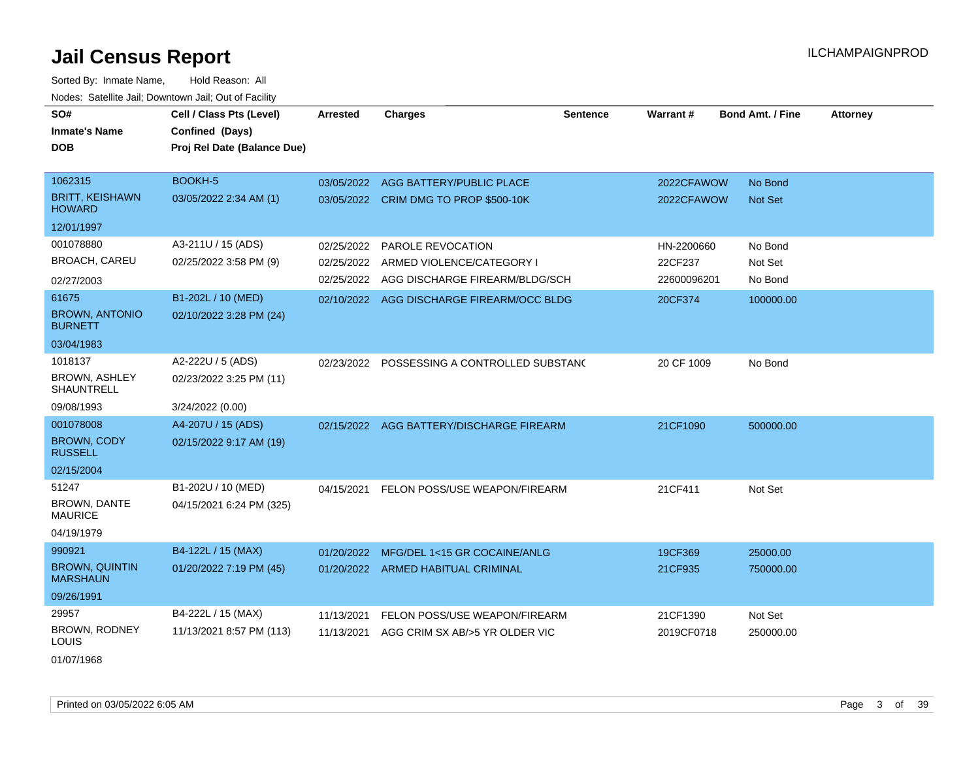| SO#                                       | Cell / Class Pts (Level)    | <b>Arrested</b> | <b>Charges</b>                              | <b>Sentence</b> | <b>Warrant#</b> | <b>Bond Amt. / Fine</b> | <b>Attorney</b> |
|-------------------------------------------|-----------------------------|-----------------|---------------------------------------------|-----------------|-----------------|-------------------------|-----------------|
| <b>Inmate's Name</b>                      | Confined (Days)             |                 |                                             |                 |                 |                         |                 |
| <b>DOB</b>                                | Proj Rel Date (Balance Due) |                 |                                             |                 |                 |                         |                 |
|                                           |                             |                 |                                             |                 |                 |                         |                 |
| 1062315                                   | BOOKH-5                     | 03/05/2022      | AGG BATTERY/PUBLIC PLACE                    |                 | 2022CFAWOW      | No Bond                 |                 |
| <b>BRITT, KEISHAWN</b><br><b>HOWARD</b>   | 03/05/2022 2:34 AM (1)      |                 | 03/05/2022 CRIM DMG TO PROP \$500-10K       |                 | 2022CFAWOW      | Not Set                 |                 |
| 12/01/1997                                |                             |                 |                                             |                 |                 |                         |                 |
| 001078880                                 | A3-211U / 15 (ADS)          | 02/25/2022      | PAROLE REVOCATION                           |                 | HN-2200660      | No Bond                 |                 |
| <b>BROACH, CAREU</b>                      | 02/25/2022 3:58 PM (9)      | 02/25/2022      | ARMED VIOLENCE/CATEGORY I                   |                 | 22CF237         | Not Set                 |                 |
| 02/27/2003                                |                             |                 | 02/25/2022 AGG DISCHARGE FIREARM/BLDG/SCH   |                 | 22600096201     | No Bond                 |                 |
| 61675                                     | B1-202L / 10 (MED)          |                 | 02/10/2022 AGG DISCHARGE FIREARM/OCC BLDG   |                 | 20CF374         | 100000.00               |                 |
| <b>BROWN, ANTONIO</b><br><b>BURNETT</b>   | 02/10/2022 3:28 PM (24)     |                 |                                             |                 |                 |                         |                 |
| 03/04/1983                                |                             |                 |                                             |                 |                 |                         |                 |
| 1018137                                   | A2-222U / 5 (ADS)           |                 | 02/23/2022 POSSESSING A CONTROLLED SUBSTANC |                 | 20 CF 1009      | No Bond                 |                 |
| <b>BROWN, ASHLEY</b><br><b>SHAUNTRELL</b> | 02/23/2022 3:25 PM (11)     |                 |                                             |                 |                 |                         |                 |
| 09/08/1993                                | 3/24/2022 (0.00)            |                 |                                             |                 |                 |                         |                 |
| 001078008                                 | A4-207U / 15 (ADS)          |                 | 02/15/2022 AGG BATTERY/DISCHARGE FIREARM    |                 | 21CF1090        | 500000.00               |                 |
| <b>BROWN, CODY</b><br><b>RUSSELL</b>      | 02/15/2022 9:17 AM (19)     |                 |                                             |                 |                 |                         |                 |
| 02/15/2004                                |                             |                 |                                             |                 |                 |                         |                 |
| 51247                                     | B1-202U / 10 (MED)          | 04/15/2021      | <b>FELON POSS/USE WEAPON/FIREARM</b>        |                 | 21CF411         | Not Set                 |                 |
| <b>BROWN, DANTE</b><br><b>MAURICE</b>     | 04/15/2021 6:24 PM (325)    |                 |                                             |                 |                 |                         |                 |
| 04/19/1979                                |                             |                 |                                             |                 |                 |                         |                 |
| 990921                                    | B4-122L / 15 (MAX)          |                 | 01/20/2022 MFG/DEL 1<15 GR COCAINE/ANLG     |                 | 19CF369         | 25000.00                |                 |
| <b>BROWN, QUINTIN</b><br><b>MARSHAUN</b>  | 01/20/2022 7:19 PM (45)     |                 | 01/20/2022 ARMED HABITUAL CRIMINAL          |                 | 21CF935         | 750000.00               |                 |
| 09/26/1991                                |                             |                 |                                             |                 |                 |                         |                 |
| 29957                                     | B4-222L / 15 (MAX)          | 11/13/2021      | FELON POSS/USE WEAPON/FIREARM               |                 | 21CF1390        | Not Set                 |                 |
| <b>BROWN, RODNEY</b><br><b>LOUIS</b>      | 11/13/2021 8:57 PM (113)    | 11/13/2021      | AGG CRIM SX AB/>5 YR OLDER VIC              |                 | 2019CF0718      | 250000.00               |                 |
| 01/07/1968                                |                             |                 |                                             |                 |                 |                         |                 |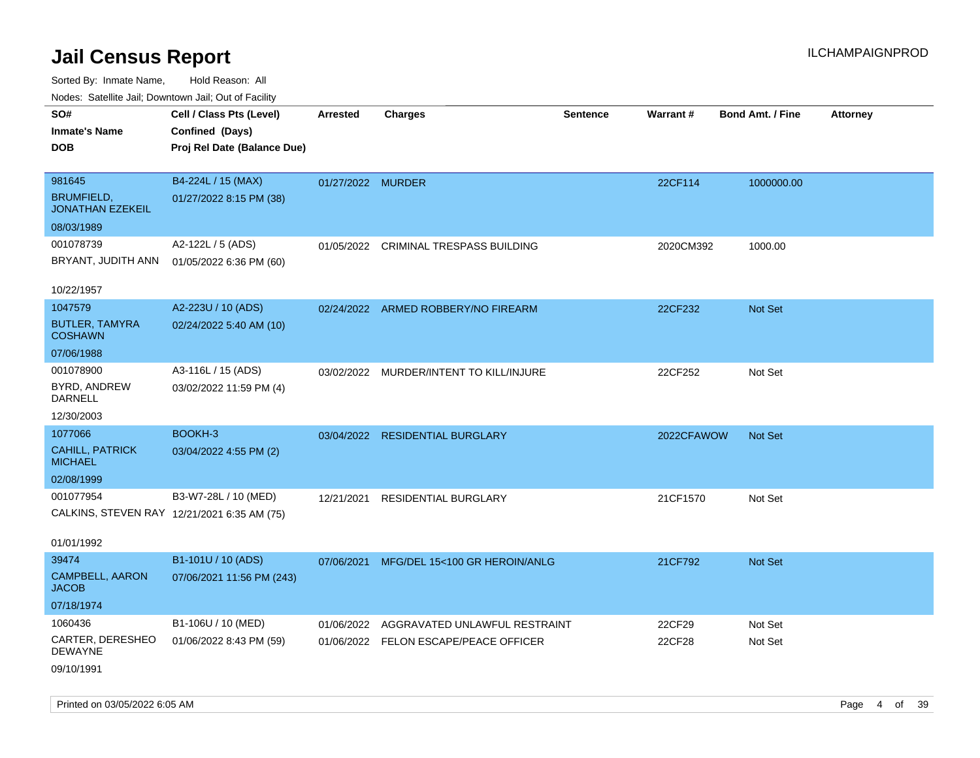| roacs. Calcinic Jan, Downtown Jan, Out of Facility |                             |                   |                                         |                 |            |                         |                 |
|----------------------------------------------------|-----------------------------|-------------------|-----------------------------------------|-----------------|------------|-------------------------|-----------------|
| SO#                                                | Cell / Class Pts (Level)    | <b>Arrested</b>   | <b>Charges</b>                          | <b>Sentence</b> | Warrant#   | <b>Bond Amt. / Fine</b> | <b>Attorney</b> |
| <b>Inmate's Name</b>                               | Confined (Days)             |                   |                                         |                 |            |                         |                 |
| <b>DOB</b>                                         | Proj Rel Date (Balance Due) |                   |                                         |                 |            |                         |                 |
|                                                    |                             |                   |                                         |                 |            |                         |                 |
| 981645                                             | B4-224L / 15 (MAX)          | 01/27/2022 MURDER |                                         |                 | 22CF114    | 1000000.00              |                 |
| <b>BRUMFIELD,</b><br><b>JONATHAN EZEKEIL</b>       | 01/27/2022 8:15 PM (38)     |                   |                                         |                 |            |                         |                 |
| 08/03/1989                                         |                             |                   |                                         |                 |            |                         |                 |
| 001078739                                          | A2-122L / 5 (ADS)           |                   | 01/05/2022 CRIMINAL TRESPASS BUILDING   |                 | 2020CM392  | 1000.00                 |                 |
| BRYANT, JUDITH ANN                                 | 01/05/2022 6:36 PM (60)     |                   |                                         |                 |            |                         |                 |
| 10/22/1957                                         |                             |                   |                                         |                 |            |                         |                 |
| 1047579                                            | A2-223U / 10 (ADS)          |                   | 02/24/2022 ARMED ROBBERY/NO FIREARM     |                 | 22CF232    | Not Set                 |                 |
| <b>BUTLER, TAMYRA</b><br><b>COSHAWN</b>            | 02/24/2022 5:40 AM (10)     |                   |                                         |                 |            |                         |                 |
| 07/06/1988                                         |                             |                   |                                         |                 |            |                         |                 |
| 001078900                                          | A3-116L / 15 (ADS)          |                   | 03/02/2022 MURDER/INTENT TO KILL/INJURE |                 | 22CF252    | Not Set                 |                 |
| BYRD, ANDREW<br>DARNELL                            | 03/02/2022 11:59 PM (4)     |                   |                                         |                 |            |                         |                 |
| 12/30/2003                                         |                             |                   |                                         |                 |            |                         |                 |
| 1077066                                            | BOOKH-3                     |                   | 03/04/2022 RESIDENTIAL BURGLARY         |                 | 2022CFAWOW | <b>Not Set</b>          |                 |
| <b>CAHILL, PATRICK</b><br><b>MICHAEL</b>           | 03/04/2022 4:55 PM (2)      |                   |                                         |                 |            |                         |                 |
| 02/08/1999                                         |                             |                   |                                         |                 |            |                         |                 |
| 001077954                                          | B3-W7-28L / 10 (MED)        | 12/21/2021        | <b>RESIDENTIAL BURGLARY</b>             |                 | 21CF1570   | Not Set                 |                 |
| CALKINS, STEVEN RAY 12/21/2021 6:35 AM (75)        |                             |                   |                                         |                 |            |                         |                 |
| 01/01/1992                                         |                             |                   |                                         |                 |            |                         |                 |
| 39474                                              | B1-101U / 10 (ADS)          | 07/06/2021        | MFG/DEL 15<100 GR HEROIN/ANLG           |                 | 21CF792    | <b>Not Set</b>          |                 |
| CAMPBELL, AARON<br><b>JACOB</b>                    | 07/06/2021 11:56 PM (243)   |                   |                                         |                 |            |                         |                 |
| 07/18/1974                                         |                             |                   |                                         |                 |            |                         |                 |
| 1060436                                            | B1-106U / 10 (MED)          | 01/06/2022        | AGGRAVATED UNLAWFUL RESTRAINT           |                 | 22CF29     | Not Set                 |                 |
| CARTER, DERESHEO<br>DEWAYNE                        | 01/06/2022 8:43 PM (59)     |                   | 01/06/2022 FELON ESCAPE/PEACE OFFICER   |                 | 22CF28     | Not Set                 |                 |
| 09/10/1991                                         |                             |                   |                                         |                 |            |                         |                 |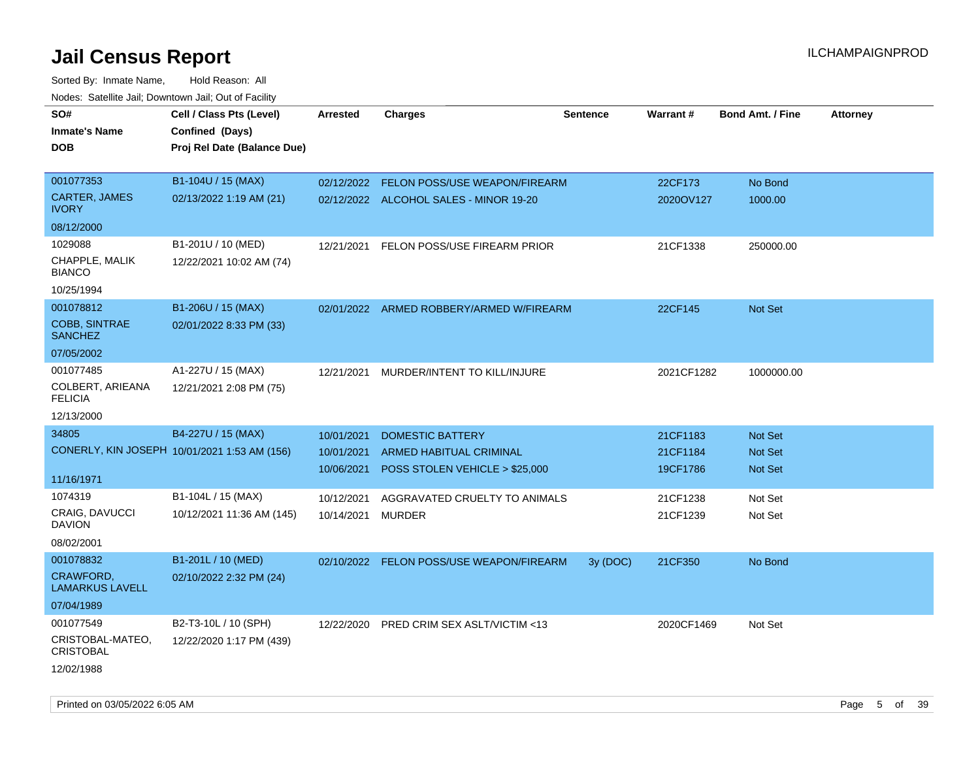| Todoo: Catolino can, Domntonn can, Oat of Fability<br>SO#<br><b>Inmate's Name</b><br><b>DOB</b> | Cell / Class Pts (Level)<br>Confined (Days)<br>Proj Rel Date (Balance Due) | Arrested                               | <b>Charges</b>                                                                       | <b>Sentence</b> | Warrant#                         | <b>Bond Amt. / Fine</b>       | <b>Attorney</b> |
|-------------------------------------------------------------------------------------------------|----------------------------------------------------------------------------|----------------------------------------|--------------------------------------------------------------------------------------|-----------------|----------------------------------|-------------------------------|-----------------|
| 001077353<br>CARTER, JAMES<br><b>IVORY</b>                                                      | B1-104U / 15 (MAX)<br>02/13/2022 1:19 AM (21)                              | 02/12/2022                             | FELON POSS/USE WEAPON/FIREARM<br>02/12/2022 ALCOHOL SALES - MINOR 19-20              |                 | 22CF173<br>2020OV127             | No Bond<br>1000.00            |                 |
| 08/12/2000                                                                                      |                                                                            |                                        |                                                                                      |                 |                                  |                               |                 |
| 1029088<br>CHAPPLE, MALIK<br><b>BIANCO</b><br>10/25/1994                                        | B1-201U / 10 (MED)<br>12/22/2021 10:02 AM (74)                             | 12/21/2021                             | FELON POSS/USE FIREARM PRIOR                                                         |                 | 21CF1338                         | 250000.00                     |                 |
| 001078812<br><b>COBB, SINTRAE</b><br><b>SANCHEZ</b>                                             | B1-206U / 15 (MAX)<br>02/01/2022 8:33 PM (33)                              |                                        | 02/01/2022 ARMED ROBBERY/ARMED W/FIREARM                                             |                 | 22CF145                          | <b>Not Set</b>                |                 |
| 07/05/2002                                                                                      |                                                                            |                                        |                                                                                      |                 |                                  |                               |                 |
| 001077485<br>COLBERT, ARIEANA<br><b>FELICIA</b>                                                 | A1-227U / 15 (MAX)<br>12/21/2021 2:08 PM (75)                              | 12/21/2021                             | MURDER/INTENT TO KILL/INJURE                                                         |                 | 2021CF1282                       | 1000000.00                    |                 |
| 12/13/2000                                                                                      |                                                                            |                                        |                                                                                      |                 |                                  |                               |                 |
| 34805<br>11/16/1971                                                                             | B4-227U / 15 (MAX)<br>CONERLY, KIN JOSEPH 10/01/2021 1:53 AM (156)         | 10/01/2021<br>10/01/2021<br>10/06/2021 | <b>DOMESTIC BATTERY</b><br>ARMED HABITUAL CRIMINAL<br>POSS STOLEN VEHICLE > \$25,000 |                 | 21CF1183<br>21CF1184<br>19CF1786 | Not Set<br>Not Set<br>Not Set |                 |
| 1074319                                                                                         | B1-104L / 15 (MAX)                                                         | 10/12/2021                             | AGGRAVATED CRUELTY TO ANIMALS                                                        |                 | 21CF1238                         | Not Set                       |                 |
| <b>CRAIG, DAVUCCI</b><br><b>DAVION</b><br>08/02/2001                                            | 10/12/2021 11:36 AM (145)                                                  | 10/14/2021                             | MURDER                                                                               |                 | 21CF1239                         | Not Set                       |                 |
| 001078832                                                                                       | B1-201L / 10 (MED)                                                         |                                        | 02/10/2022 FELON POSS/USE WEAPON/FIREARM                                             | 3y(DOC)         | 21CF350                          | No Bond                       |                 |
| CRAWFORD,<br><b>LAMARKUS LAVELL</b><br>07/04/1989                                               | 02/10/2022 2:32 PM (24)                                                    |                                        |                                                                                      |                 |                                  |                               |                 |
| 001077549<br>CRISTOBAL-MATEO,<br><b>CRISTOBAL</b><br>12/02/1988                                 | B2-T3-10L / 10 (SPH)<br>12/22/2020 1:17 PM (439)                           | 12/22/2020                             | <b>PRED CRIM SEX ASLT/VICTIM &lt;13</b>                                              |                 | 2020CF1469                       | Not Set                       |                 |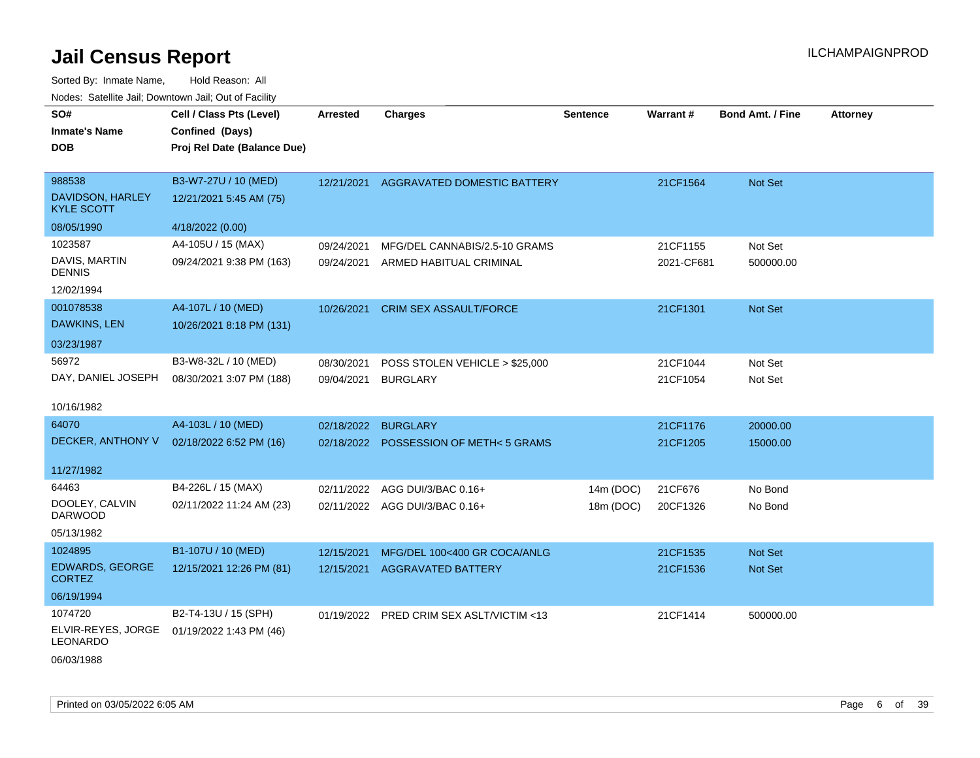| roaco. Catolino cali, Domntonn cali, Out of Facility |                             |            |                                |                 |            |                         |                 |
|------------------------------------------------------|-----------------------------|------------|--------------------------------|-----------------|------------|-------------------------|-----------------|
| SO#                                                  | Cell / Class Pts (Level)    | Arrested   | <b>Charges</b>                 | <b>Sentence</b> | Warrant#   | <b>Bond Amt. / Fine</b> | <b>Attorney</b> |
| <b>Inmate's Name</b>                                 | Confined (Days)             |            |                                |                 |            |                         |                 |
| <b>DOB</b>                                           | Proj Rel Date (Balance Due) |            |                                |                 |            |                         |                 |
|                                                      |                             |            |                                |                 |            |                         |                 |
| 988538                                               | B3-W7-27U / 10 (MED)        | 12/21/2021 | AGGRAVATED DOMESTIC BATTERY    |                 | 21CF1564   | Not Set                 |                 |
| DAVIDSON, HARLEY<br><b>KYLE SCOTT</b>                | 12/21/2021 5:45 AM (75)     |            |                                |                 |            |                         |                 |
| 08/05/1990                                           | 4/18/2022 (0.00)            |            |                                |                 |            |                         |                 |
| 1023587                                              | A4-105U / 15 (MAX)          | 09/24/2021 | MFG/DEL CANNABIS/2.5-10 GRAMS  |                 | 21CF1155   | Not Set                 |                 |
| DAVIS, MARTIN<br><b>DENNIS</b>                       | 09/24/2021 9:38 PM (163)    | 09/24/2021 | ARMED HABITUAL CRIMINAL        |                 | 2021-CF681 | 500000.00               |                 |
| 12/02/1994                                           |                             |            |                                |                 |            |                         |                 |
| 001078538                                            | A4-107L / 10 (MED)          | 10/26/2021 | <b>CRIM SEX ASSAULT/FORCE</b>  |                 | 21CF1301   | Not Set                 |                 |
| <b>DAWKINS, LEN</b>                                  | 10/26/2021 8:18 PM (131)    |            |                                |                 |            |                         |                 |
| 03/23/1987                                           |                             |            |                                |                 |            |                         |                 |
| 56972                                                | B3-W8-32L / 10 (MED)        | 08/30/2021 | POSS STOLEN VEHICLE > \$25,000 |                 | 21CF1044   | Not Set                 |                 |
| DAY, DANIEL JOSEPH                                   | 08/30/2021 3:07 PM (188)    | 09/04/2021 | <b>BURGLARY</b>                |                 | 21CF1054   | Not Set                 |                 |
| 10/16/1982                                           |                             |            |                                |                 |            |                         |                 |
|                                                      |                             |            |                                |                 |            |                         |                 |
| 64070                                                | A4-103L / 10 (MED)          | 02/18/2022 | <b>BURGLARY</b>                |                 | 21CF1176   | 20000.00                |                 |
| DECKER, ANTHONY V                                    | 02/18/2022 6:52 PM (16)     | 02/18/2022 | POSSESSION OF METH<5 GRAMS     |                 | 21CF1205   | 15000.00                |                 |
| 11/27/1982                                           |                             |            |                                |                 |            |                         |                 |
| 64463                                                | B4-226L / 15 (MAX)          | 02/11/2022 | AGG DUI/3/BAC 0.16+            | 14m (DOC)       | 21CF676    | No Bond                 |                 |
| DOOLEY, CALVIN                                       | 02/11/2022 11:24 AM (23)    |            | 02/11/2022 AGG DUI/3/BAC 0.16+ | 18m (DOC)       | 20CF1326   | No Bond                 |                 |
| <b>DARWOOD</b>                                       |                             |            |                                |                 |            |                         |                 |
| 05/13/1982                                           |                             |            |                                |                 |            |                         |                 |
| 1024895                                              | B1-107U / 10 (MED)          | 12/15/2021 | MFG/DEL 100<400 GR COCA/ANLG   |                 | 21CF1535   | <b>Not Set</b>          |                 |
| <b>EDWARDS, GEORGE</b><br><b>CORTEZ</b>              | 12/15/2021 12:26 PM (81)    | 12/15/2021 | <b>AGGRAVATED BATTERY</b>      |                 | 21CF1536   | Not Set                 |                 |
| 06/19/1994                                           |                             |            |                                |                 |            |                         |                 |
| 1074720                                              | B2-T4-13U / 15 (SPH)        | 01/19/2022 | PRED CRIM SEX ASLT/VICTIM <13  |                 | 21CF1414   | 500000.00               |                 |
| ELVIR-REYES, JORGE<br><b>LEONARDO</b>                | 01/19/2022 1:43 PM (46)     |            |                                |                 |            |                         |                 |
| 06/03/1988                                           |                             |            |                                |                 |            |                         |                 |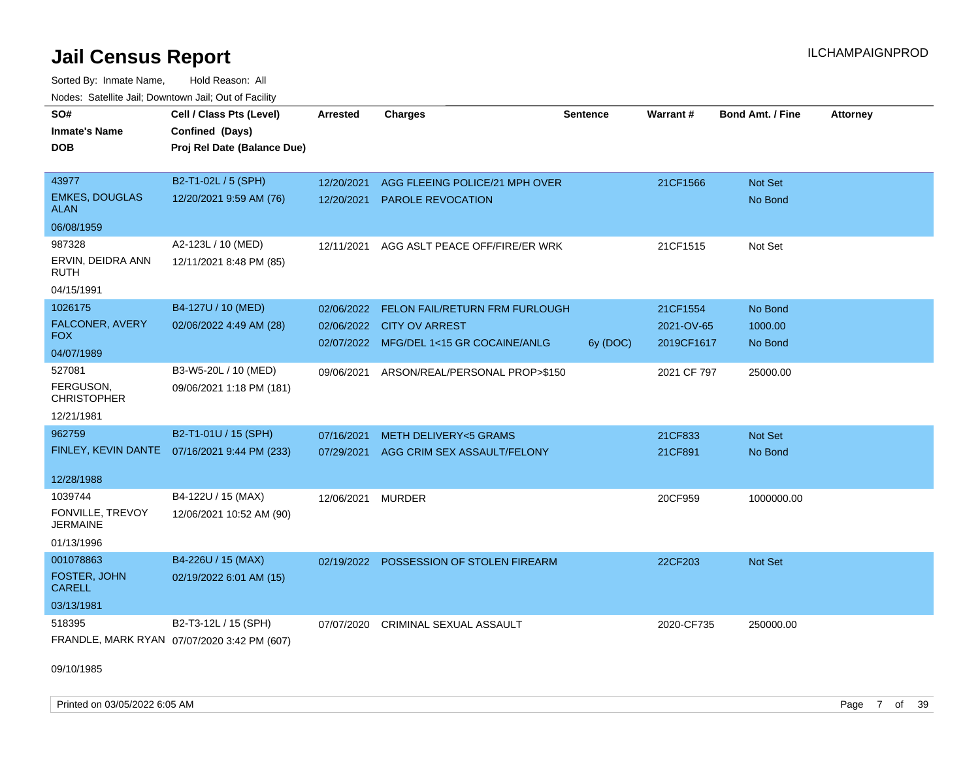Sorted By: Inmate Name, Hold Reason: All Nodes: Satellite Jail; Downtown Jail; Out of Facility

| Noucs. Catchite sail, Downtown sail, Out of Facility |                                              |                 |                                         |                 |             |                         |                 |
|------------------------------------------------------|----------------------------------------------|-----------------|-----------------------------------------|-----------------|-------------|-------------------------|-----------------|
| SO#                                                  | Cell / Class Pts (Level)                     | <b>Arrested</b> | <b>Charges</b>                          | <b>Sentence</b> | Warrant#    | <b>Bond Amt. / Fine</b> | <b>Attorney</b> |
| <b>Inmate's Name</b>                                 | Confined (Days)                              |                 |                                         |                 |             |                         |                 |
| DOB                                                  | Proj Rel Date (Balance Due)                  |                 |                                         |                 |             |                         |                 |
|                                                      |                                              |                 |                                         |                 |             |                         |                 |
| 43977                                                | B2-T1-02L / 5 (SPH)                          | 12/20/2021      | AGG FLEEING POLICE/21 MPH OVER          |                 | 21CF1566    | Not Set                 |                 |
| <b>EMKES, DOUGLAS</b><br><b>ALAN</b>                 | 12/20/2021 9:59 AM (76)                      | 12/20/2021      | <b>PAROLE REVOCATION</b>                |                 |             | No Bond                 |                 |
| 06/08/1959                                           |                                              |                 |                                         |                 |             |                         |                 |
| 987328                                               | A2-123L / 10 (MED)                           | 12/11/2021      | AGG ASLT PEACE OFF/FIRE/ER WRK          |                 | 21CF1515    | Not Set                 |                 |
| ERVIN, DEIDRA ANN<br>RUTH                            | 12/11/2021 8:48 PM (85)                      |                 |                                         |                 |             |                         |                 |
| 04/15/1991                                           |                                              |                 |                                         |                 |             |                         |                 |
| 1026175                                              | B4-127U / 10 (MED)                           | 02/06/2022      | FELON FAIL/RETURN FRM FURLOUGH          |                 | 21CF1554    | No Bond                 |                 |
| FALCONER, AVERY                                      | 02/06/2022 4:49 AM (28)                      |                 | 02/06/2022 CITY OV ARREST               |                 | 2021-OV-65  | 1000.00                 |                 |
| <b>FOX</b>                                           |                                              |                 | 02/07/2022 MFG/DEL 1<15 GR COCAINE/ANLG | 6y (DOC)        | 2019CF1617  | No Bond                 |                 |
| 04/07/1989                                           |                                              |                 |                                         |                 |             |                         |                 |
| 527081                                               | B3-W5-20L / 10 (MED)                         | 09/06/2021      | ARSON/REAL/PERSONAL PROP>\$150          |                 | 2021 CF 797 | 25000.00                |                 |
| FERGUSON,<br><b>CHRISTOPHER</b>                      | 09/06/2021 1:18 PM (181)                     |                 |                                         |                 |             |                         |                 |
| 12/21/1981                                           |                                              |                 |                                         |                 |             |                         |                 |
| 962759                                               | B2-T1-01U / 15 (SPH)                         | 07/16/2021      | <b>METH DELIVERY&lt;5 GRAMS</b>         |                 | 21CF833     | <b>Not Set</b>          |                 |
|                                                      | FINLEY, KEVIN DANTE 07/16/2021 9:44 PM (233) |                 | 07/29/2021 AGG CRIM SEX ASSAULT/FELONY  |                 | 21CF891     | No Bond                 |                 |
|                                                      |                                              |                 |                                         |                 |             |                         |                 |
| 12/28/1988                                           |                                              |                 |                                         |                 |             |                         |                 |
| 1039744                                              | B4-122U / 15 (MAX)                           | 12/06/2021      | <b>MURDER</b>                           |                 | 20CF959     | 1000000.00              |                 |
| FONVILLE, TREVOY<br><b>JERMAINE</b>                  | 12/06/2021 10:52 AM (90)                     |                 |                                         |                 |             |                         |                 |
| 01/13/1996                                           |                                              |                 |                                         |                 |             |                         |                 |
| 001078863                                            | B4-226U / 15 (MAX)                           | 02/19/2022      | <b>POSSESSION OF STOLEN FIREARM</b>     |                 | 22CF203     | <b>Not Set</b>          |                 |
| FOSTER, JOHN<br><b>CARELL</b>                        | 02/19/2022 6:01 AM (15)                      |                 |                                         |                 |             |                         |                 |
| 03/13/1981                                           |                                              |                 |                                         |                 |             |                         |                 |
| 518395                                               | B2-T3-12L / 15 (SPH)                         | 07/07/2020      | <b>CRIMINAL SEXUAL ASSAULT</b>          |                 | 2020-CF735  | 250000.00               |                 |
|                                                      | FRANDLE, MARK RYAN 07/07/2020 3:42 PM (607)  |                 |                                         |                 |             |                         |                 |

09/10/1985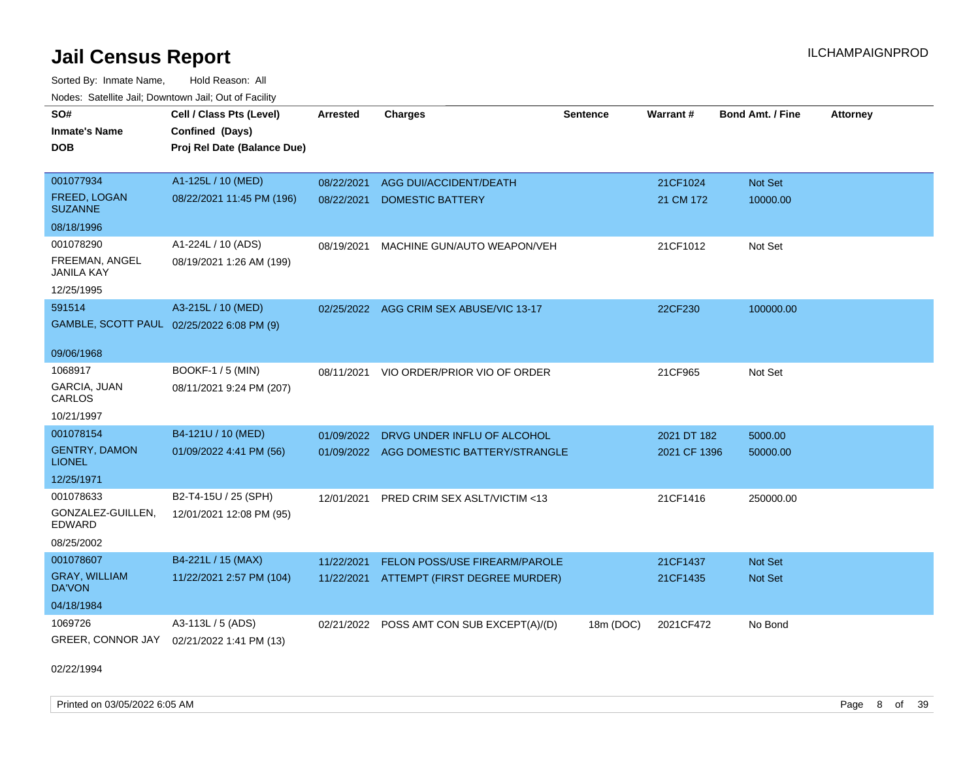Sorted By: Inmate Name, Hold Reason: All Nodes: Satellite Jail; Downtown Jail; Out of Facility

| SO#                                       | Cell / Class Pts (Level)    | <b>Arrested</b> | <b>Charges</b>                            | <b>Sentence</b> | Warrant#     | <b>Bond Amt. / Fine</b> | <b>Attorney</b> |
|-------------------------------------------|-----------------------------|-----------------|-------------------------------------------|-----------------|--------------|-------------------------|-----------------|
| <b>Inmate's Name</b>                      | Confined (Days)             |                 |                                           |                 |              |                         |                 |
| <b>DOB</b>                                | Proj Rel Date (Balance Due) |                 |                                           |                 |              |                         |                 |
|                                           |                             |                 |                                           |                 |              |                         |                 |
| 001077934                                 | A1-125L / 10 (MED)          | 08/22/2021      | AGG DUI/ACCIDENT/DEATH                    |                 | 21CF1024     | Not Set                 |                 |
| <b>FREED, LOGAN</b><br><b>SUZANNE</b>     | 08/22/2021 11:45 PM (196)   | 08/22/2021      | <b>DOMESTIC BATTERY</b>                   |                 | 21 CM 172    | 10000.00                |                 |
| 08/18/1996                                |                             |                 |                                           |                 |              |                         |                 |
| 001078290                                 | A1-224L / 10 (ADS)          | 08/19/2021      | MACHINE GUN/AUTO WEAPON/VEH               |                 | 21CF1012     | Not Set                 |                 |
| FREEMAN, ANGEL<br>JANILA KAY              | 08/19/2021 1:26 AM (199)    |                 |                                           |                 |              |                         |                 |
| 12/25/1995                                |                             |                 |                                           |                 |              |                         |                 |
| 591514                                    | A3-215L / 10 (MED)          |                 | 02/25/2022 AGG CRIM SEX ABUSE/VIC 13-17   |                 | 22CF230      | 100000.00               |                 |
| GAMBLE, SCOTT PAUL 02/25/2022 6:08 PM (9) |                             |                 |                                           |                 |              |                         |                 |
|                                           |                             |                 |                                           |                 |              |                         |                 |
| 09/06/1968                                |                             |                 |                                           |                 |              |                         |                 |
| 1068917                                   | <b>BOOKF-1 / 5 (MIN)</b>    | 08/11/2021      | VIO ORDER/PRIOR VIO OF ORDER              |                 | 21CF965      | Not Set                 |                 |
| GARCIA, JUAN<br>CARLOS                    | 08/11/2021 9:24 PM (207)    |                 |                                           |                 |              |                         |                 |
| 10/21/1997                                |                             |                 |                                           |                 |              |                         |                 |
| 001078154                                 | B4-121U / 10 (MED)          | 01/09/2022      | DRVG UNDER INFLU OF ALCOHOL               |                 | 2021 DT 182  | 5000.00                 |                 |
| <b>GENTRY, DAMON</b><br>LIONEL            | 01/09/2022 4:41 PM (56)     |                 | 01/09/2022 AGG DOMESTIC BATTERY/STRANGLE  |                 | 2021 CF 1396 | 50000.00                |                 |
| 12/25/1971                                |                             |                 |                                           |                 |              |                         |                 |
| 001078633                                 | B2-T4-15U / 25 (SPH)        | 12/01/2021      | PRED CRIM SEX ASLT/VICTIM <13             |                 | 21CF1416     | 250000.00               |                 |
| GONZALEZ-GUILLEN,<br>EDWARD               | 12/01/2021 12:08 PM (95)    |                 |                                           |                 |              |                         |                 |
| 08/25/2002                                |                             |                 |                                           |                 |              |                         |                 |
| 001078607                                 | B4-221L / 15 (MAX)          | 11/22/2021      | <b>FELON POSS/USE FIREARM/PAROLE</b>      |                 | 21CF1437     | Not Set                 |                 |
| <b>GRAY, WILLIAM</b><br>DA'VON            | 11/22/2021 2:57 PM (104)    | 11/22/2021      | ATTEMPT (FIRST DEGREE MURDER)             |                 | 21CF1435     | Not Set                 |                 |
| 04/18/1984                                |                             |                 |                                           |                 |              |                         |                 |
| 1069726                                   | A3-113L / 5 (ADS)           |                 | 02/21/2022 POSS AMT CON SUB EXCEPT(A)/(D) | 18m (DOC)       | 2021CF472    | No Bond                 |                 |
| GREER, CONNOR JAY                         | 02/21/2022 1:41 PM (13)     |                 |                                           |                 |              |                         |                 |
|                                           |                             |                 |                                           |                 |              |                         |                 |

02/22/1994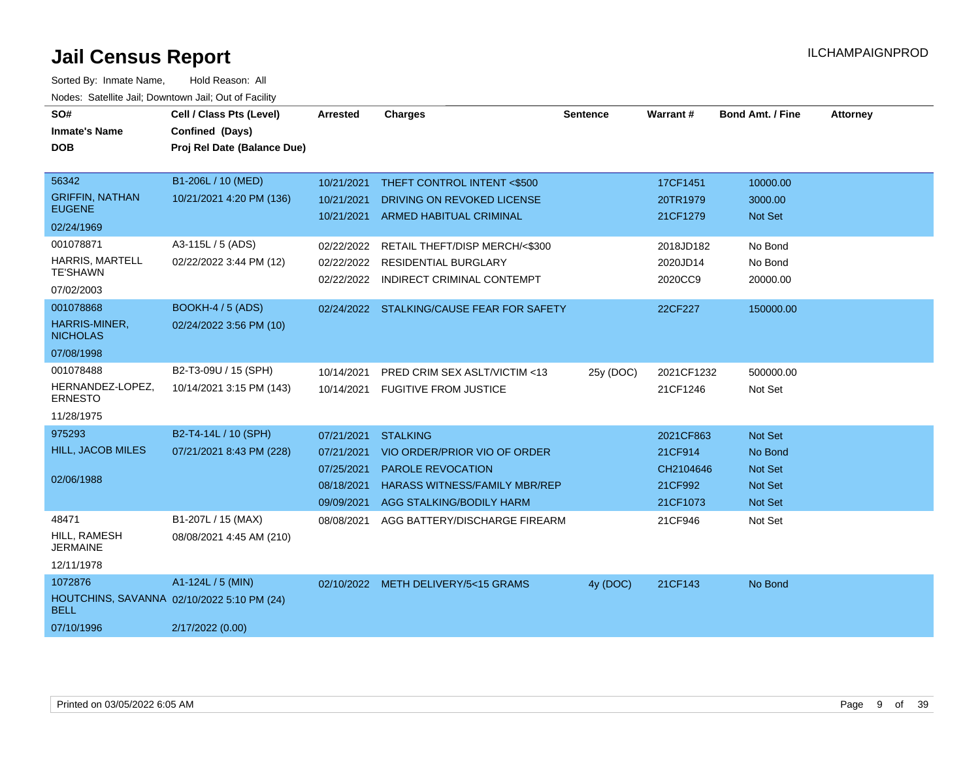| SO#<br><b>Inmate's Name</b><br><b>DOB</b>                                          | Cell / Class Pts (Level)<br>Confined (Days)<br>Proj Rel Date (Balance Due) | <b>Arrested</b>                                      | <b>Charges</b>                                                                                                                                             | <b>Sentence</b> | Warrant#                                                 | <b>Bond Amt. / Fine</b>                                           | <b>Attorney</b> |
|------------------------------------------------------------------------------------|----------------------------------------------------------------------------|------------------------------------------------------|------------------------------------------------------------------------------------------------------------------------------------------------------------|-----------------|----------------------------------------------------------|-------------------------------------------------------------------|-----------------|
| 56342<br><b>GRIFFIN, NATHAN</b><br><b>EUGENE</b><br>02/24/1969<br>001078871        | B1-206L / 10 (MED)<br>10/21/2021 4:20 PM (136)<br>A3-115L / 5 (ADS)        | 10/21/2021<br>10/21/2021<br>02/22/2022               | THEFT CONTROL INTENT <\$500<br>DRIVING ON REVOKED LICENSE<br>10/21/2021 ARMED HABITUAL CRIMINAL<br>RETAIL THEFT/DISP MERCH/<\$300                          |                 | 17CF1451<br>20TR1979<br>21CF1279<br>2018JD182            | 10000.00<br>3000.00<br>Not Set<br>No Bond                         |                 |
| HARRIS, MARTELL<br><b>TE'SHAWN</b><br>07/02/2003                                   | 02/22/2022 3:44 PM (12)                                                    | 02/22/2022<br>02/22/2022                             | <b>RESIDENTIAL BURGLARY</b><br>INDIRECT CRIMINAL CONTEMPT                                                                                                  |                 | 2020JD14<br>2020CC9                                      | No Bond<br>20000.00                                               |                 |
| 001078868<br>HARRIS-MINER,<br><b>NICHOLAS</b><br>07/08/1998                        | <b>BOOKH-4 / 5 (ADS)</b><br>02/24/2022 3:56 PM (10)                        |                                                      | 02/24/2022 STALKING/CAUSE FEAR FOR SAFETY                                                                                                                  |                 | 22CF227                                                  | 150000.00                                                         |                 |
| 001078488<br>HERNANDEZ-LOPEZ.<br><b>ERNESTO</b><br>11/28/1975                      | B2-T3-09U / 15 (SPH)<br>10/14/2021 3:15 PM (143)                           | 10/14/2021<br>10/14/2021                             | PRED CRIM SEX ASLT/VICTIM <13<br><b>FUGITIVE FROM JUSTICE</b>                                                                                              | 25y (DOC)       | 2021CF1232<br>21CF1246                                   | 500000.00<br>Not Set                                              |                 |
| 975293<br>HILL, JACOB MILES<br>02/06/1988                                          | B2-T4-14L / 10 (SPH)<br>07/21/2021 8:43 PM (228)                           | 07/21/2021<br>07/21/2021<br>07/25/2021<br>08/18/2021 | <b>STALKING</b><br>VIO ORDER/PRIOR VIO OF ORDER<br><b>PAROLE REVOCATION</b><br><b>HARASS WITNESS/FAMILY MBR/REP</b><br>09/09/2021 AGG STALKING/BODILY HARM |                 | 2021CF863<br>21CF914<br>CH2104646<br>21CF992<br>21CF1073 | Not Set<br>No Bond<br><b>Not Set</b><br><b>Not Set</b><br>Not Set |                 |
| 48471<br>HILL, RAMESH<br><b>JERMAINE</b><br>12/11/1978                             | B1-207L / 15 (MAX)<br>08/08/2021 4:45 AM (210)                             | 08/08/2021                                           | AGG BATTERY/DISCHARGE FIREARM                                                                                                                              |                 | 21CF946                                                  | Not Set                                                           |                 |
| 1072876<br>HOUTCHINS, SAVANNA 02/10/2022 5:10 PM (24)<br><b>BELL</b><br>07/10/1996 | A1-124L / 5 (MIN)<br>2/17/2022 (0.00)                                      |                                                      | 02/10/2022 METH DELIVERY/5<15 GRAMS                                                                                                                        | 4y (DOC)        | 21CF143                                                  | No Bond                                                           |                 |
|                                                                                    |                                                                            |                                                      |                                                                                                                                                            |                 |                                                          |                                                                   |                 |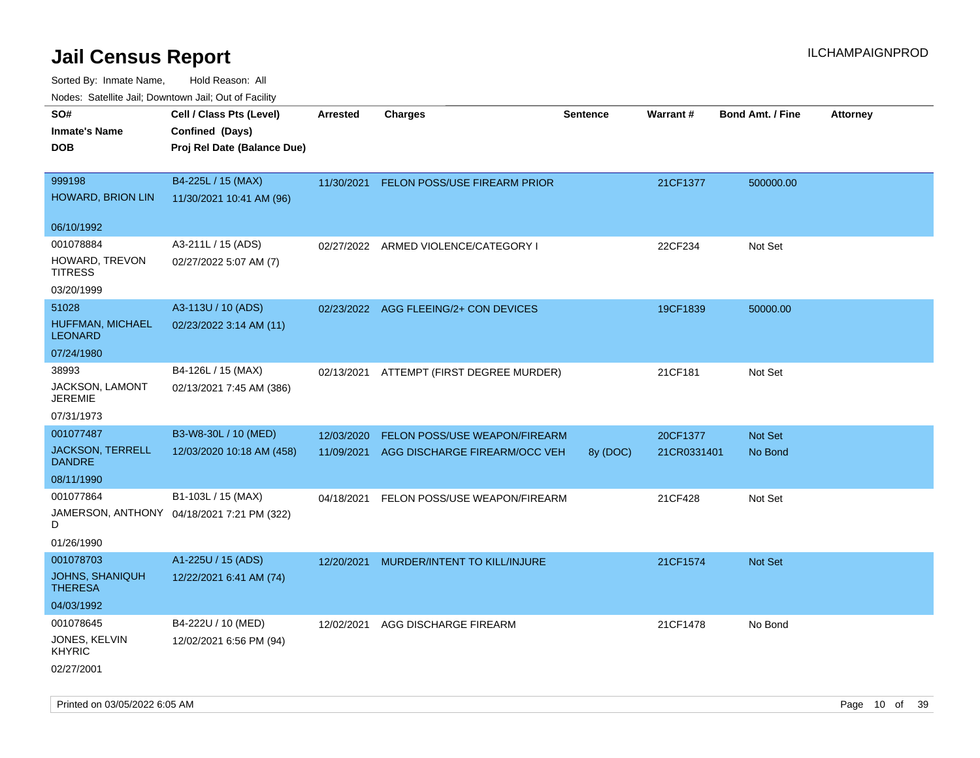Sorted By: Inmate Name, Hold Reason: All Nodes: Satellite Jail; Downtown Jail; Out of Facility

| ivouss. Saleling Jali, Downtown Jali, Out of Facility |                                            |                 |                                       |                 |             |                         |                 |
|-------------------------------------------------------|--------------------------------------------|-----------------|---------------------------------------|-----------------|-------------|-------------------------|-----------------|
| SO#                                                   | Cell / Class Pts (Level)                   | <b>Arrested</b> | <b>Charges</b>                        | <b>Sentence</b> | Warrant#    | <b>Bond Amt. / Fine</b> | <b>Attorney</b> |
| <b>Inmate's Name</b>                                  | Confined (Days)                            |                 |                                       |                 |             |                         |                 |
| <b>DOB</b>                                            | Proj Rel Date (Balance Due)                |                 |                                       |                 |             |                         |                 |
|                                                       |                                            |                 |                                       |                 |             |                         |                 |
| 999198                                                | B4-225L / 15 (MAX)                         | 11/30/2021      | <b>FELON POSS/USE FIREARM PRIOR</b>   |                 | 21CF1377    | 500000.00               |                 |
| HOWARD, BRION LIN                                     | 11/30/2021 10:41 AM (96)                   |                 |                                       |                 |             |                         |                 |
|                                                       |                                            |                 |                                       |                 |             |                         |                 |
| 06/10/1992                                            |                                            |                 |                                       |                 |             |                         |                 |
| 001078884                                             | A3-211L / 15 (ADS)                         | 02/27/2022      | ARMED VIOLENCE/CATEGORY I             |                 | 22CF234     | Not Set                 |                 |
| HOWARD, TREVON<br><b>TITRESS</b>                      | 02/27/2022 5:07 AM (7)                     |                 |                                       |                 |             |                         |                 |
| 03/20/1999                                            |                                            |                 |                                       |                 |             |                         |                 |
| 51028                                                 | A3-113U / 10 (ADS)                         |                 | 02/23/2022 AGG FLEEING/2+ CON DEVICES |                 | 19CF1839    | 50000.00                |                 |
| HUFFMAN, MICHAEL<br><b>LEONARD</b>                    | 02/23/2022 3:14 AM (11)                    |                 |                                       |                 |             |                         |                 |
| 07/24/1980                                            |                                            |                 |                                       |                 |             |                         |                 |
| 38993                                                 | B4-126L / 15 (MAX)                         | 02/13/2021      | ATTEMPT (FIRST DEGREE MURDER)         |                 | 21CF181     | Not Set                 |                 |
| JACKSON, LAMONT<br><b>JEREMIE</b>                     | 02/13/2021 7:45 AM (386)                   |                 |                                       |                 |             |                         |                 |
| 07/31/1973                                            |                                            |                 |                                       |                 |             |                         |                 |
| 001077487                                             | B3-W8-30L / 10 (MED)                       | 12/03/2020      | FELON POSS/USE WEAPON/FIREARM         |                 | 20CF1377    | <b>Not Set</b>          |                 |
| <b>JACKSON, TERRELL</b><br><b>DANDRE</b>              | 12/03/2020 10:18 AM (458)                  | 11/09/2021      | AGG DISCHARGE FIREARM/OCC VEH         | 8y (DOC)        | 21CR0331401 | No Bond                 |                 |
| 08/11/1990                                            |                                            |                 |                                       |                 |             |                         |                 |
| 001077864                                             | B1-103L / 15 (MAX)                         | 04/18/2021      | FELON POSS/USE WEAPON/FIREARM         |                 | 21CF428     | Not Set                 |                 |
| D                                                     | JAMERSON, ANTHONY 04/18/2021 7:21 PM (322) |                 |                                       |                 |             |                         |                 |
| 01/26/1990                                            |                                            |                 |                                       |                 |             |                         |                 |
| 001078703                                             | A1-225U / 15 (ADS)                         | 12/20/2021      | MURDER/INTENT TO KILL/INJURE          |                 | 21CF1574    | <b>Not Set</b>          |                 |
| <b>JOHNS, SHANIQUH</b><br><b>THERESA</b>              | 12/22/2021 6:41 AM (74)                    |                 |                                       |                 |             |                         |                 |
| 04/03/1992                                            |                                            |                 |                                       |                 |             |                         |                 |
| 001078645                                             | B4-222U / 10 (MED)                         | 12/02/2021      | AGG DISCHARGE FIREARM                 |                 | 21CF1478    | No Bond                 |                 |
| JONES, KELVIN<br><b>KHYRIC</b>                        | 12/02/2021 6:56 PM (94)                    |                 |                                       |                 |             |                         |                 |
| 02/27/2001                                            |                                            |                 |                                       |                 |             |                         |                 |

Printed on 03/05/2022 6:05 AM **Page 10** of 39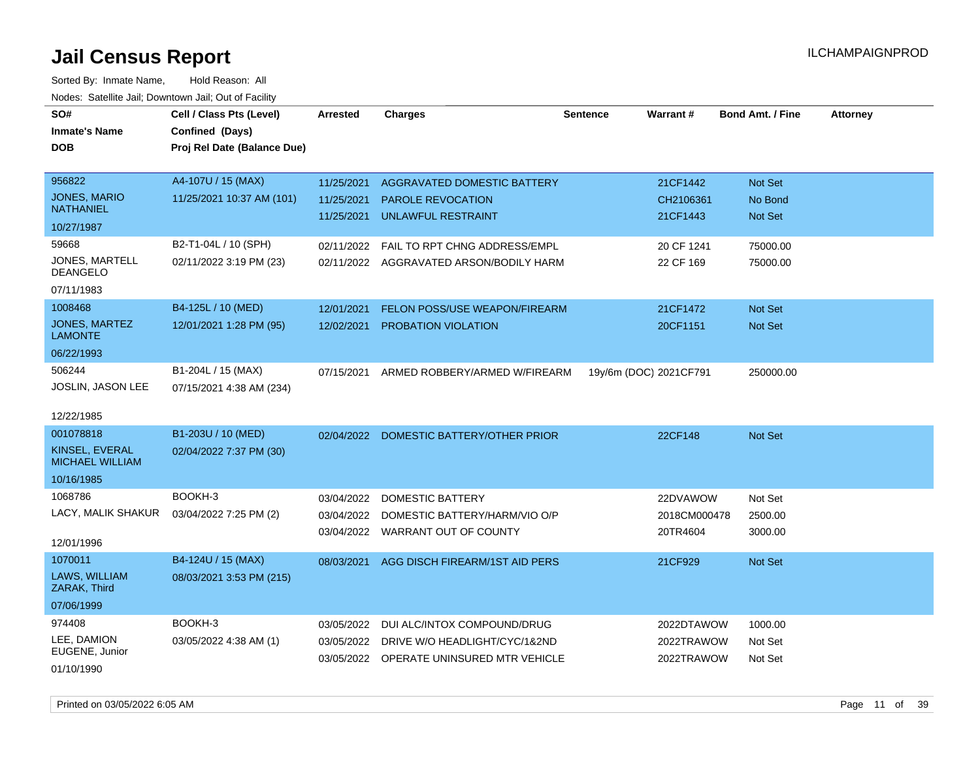| roaco. Oatomto dan, Downtown dan, Oat or Fability |                             |                 |                                          |                 |                        |                         |                 |
|---------------------------------------------------|-----------------------------|-----------------|------------------------------------------|-----------------|------------------------|-------------------------|-----------------|
| SO#                                               | Cell / Class Pts (Level)    | <b>Arrested</b> | <b>Charges</b>                           | <b>Sentence</b> | Warrant#               | <b>Bond Amt. / Fine</b> | <b>Attorney</b> |
| <b>Inmate's Name</b>                              | Confined (Days)             |                 |                                          |                 |                        |                         |                 |
| <b>DOB</b>                                        | Proj Rel Date (Balance Due) |                 |                                          |                 |                        |                         |                 |
|                                                   |                             |                 |                                          |                 |                        |                         |                 |
| 956822                                            | A4-107U / 15 (MAX)          | 11/25/2021      | AGGRAVATED DOMESTIC BATTERY              |                 | 21CF1442               | Not Set                 |                 |
| <b>JONES, MARIO</b>                               | 11/25/2021 10:37 AM (101)   | 11/25/2021      | <b>PAROLE REVOCATION</b>                 |                 | CH2106361              | No Bond                 |                 |
| <b>NATHANIEL</b>                                  |                             | 11/25/2021      | UNLAWFUL RESTRAINT                       |                 | 21CF1443               | Not Set                 |                 |
| 10/27/1987                                        |                             |                 |                                          |                 |                        |                         |                 |
| 59668                                             | B2-T1-04L / 10 (SPH)        | 02/11/2022      | FAIL TO RPT CHNG ADDRESS/EMPL            |                 | 20 CF 1241             | 75000.00                |                 |
| JONES, MARTELL<br><b>DEANGELO</b>                 | 02/11/2022 3:19 PM (23)     |                 | 02/11/2022 AGGRAVATED ARSON/BODILY HARM  |                 | 22 CF 169              | 75000.00                |                 |
| 07/11/1983                                        |                             |                 |                                          |                 |                        |                         |                 |
| 1008468                                           | B4-125L / 10 (MED)          | 12/01/2021      | <b>FELON POSS/USE WEAPON/FIREARM</b>     |                 | 21CF1472               | Not Set                 |                 |
| <b>JONES, MARTEZ</b><br><b>LAMONTE</b>            | 12/01/2021 1:28 PM (95)     | 12/02/2021      | PROBATION VIOLATION                      |                 | 20CF1151               | Not Set                 |                 |
| 06/22/1993                                        |                             |                 |                                          |                 |                        |                         |                 |
| 506244                                            | B1-204L / 15 (MAX)          | 07/15/2021      | ARMED ROBBERY/ARMED W/FIREARM            |                 | 19y/6m (DOC) 2021CF791 | 250000.00               |                 |
| JOSLIN, JASON LEE                                 | 07/15/2021 4:38 AM (234)    |                 |                                          |                 |                        |                         |                 |
|                                                   |                             |                 |                                          |                 |                        |                         |                 |
| 12/22/1985                                        |                             |                 |                                          |                 |                        |                         |                 |
| 001078818                                         | B1-203U / 10 (MED)          | 02/04/2022      | DOMESTIC BATTERY/OTHER PRIOR             |                 | 22CF148                | Not Set                 |                 |
| KINSEL, EVERAL<br><b>MICHAEL WILLIAM</b>          | 02/04/2022 7:37 PM (30)     |                 |                                          |                 |                        |                         |                 |
| 10/16/1985                                        |                             |                 |                                          |                 |                        |                         |                 |
| 1068786                                           | BOOKH-3                     | 03/04/2022      | <b>DOMESTIC BATTERY</b>                  |                 | 22DVAWOW               | Not Set                 |                 |
| LACY, MALIK SHAKUR                                | 03/04/2022 7:25 PM (2)      | 03/04/2022      | DOMESTIC BATTERY/HARM/VIO O/P            |                 | 2018CM000478           | 2500.00                 |                 |
|                                                   |                             |                 | 03/04/2022 WARRANT OUT OF COUNTY         |                 | 20TR4604               | 3000.00                 |                 |
| 12/01/1996                                        |                             |                 |                                          |                 |                        |                         |                 |
| 1070011                                           | B4-124U / 15 (MAX)          | 08/03/2021      | AGG DISCH FIREARM/1ST AID PERS           |                 | 21CF929                | <b>Not Set</b>          |                 |
| LAWS, WILLIAM<br>ZARAK, Third                     | 08/03/2021 3:53 PM (215)    |                 |                                          |                 |                        |                         |                 |
| 07/06/1999                                        |                             |                 |                                          |                 |                        |                         |                 |
| 974408                                            | BOOKH-3                     | 03/05/2022      | DUI ALC/INTOX COMPOUND/DRUG              |                 | 2022DTAWOW             | 1000.00                 |                 |
| LEE, DAMION                                       | 03/05/2022 4:38 AM (1)      | 03/05/2022      | DRIVE W/O HEADLIGHT/CYC/1&2ND            |                 | 2022TRAWOW             | Not Set                 |                 |
| EUGENE, Junior                                    |                             |                 | 03/05/2022 OPERATE UNINSURED MTR VEHICLE |                 | 2022TRAWOW             | Not Set                 |                 |
| 01/10/1990                                        |                             |                 |                                          |                 |                        |                         |                 |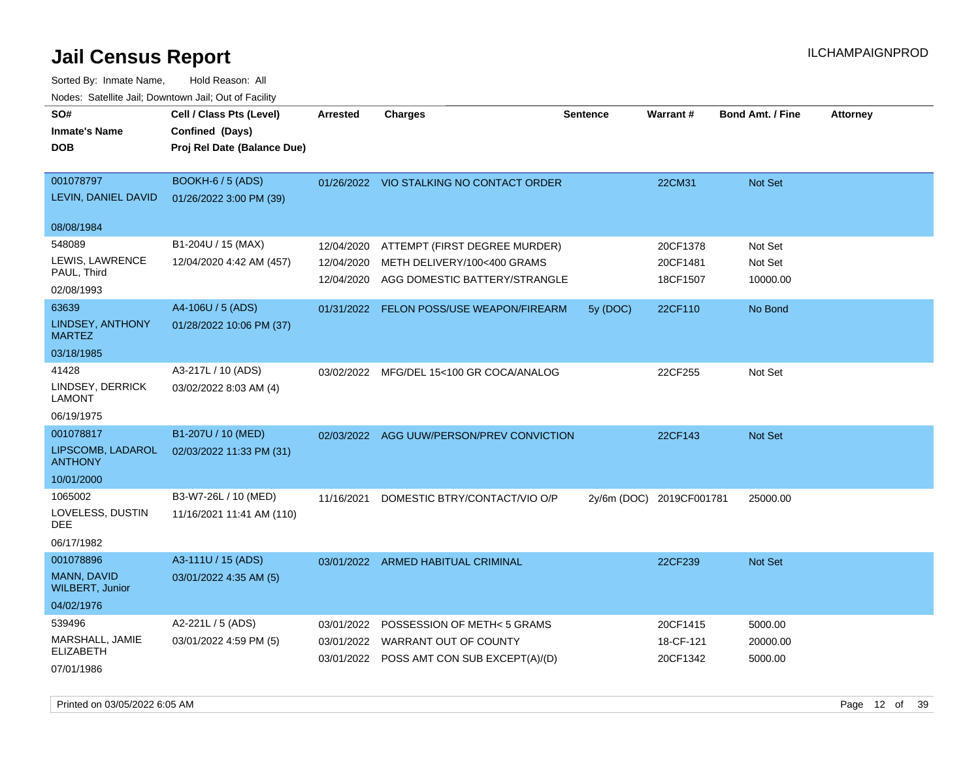| roaco. Calcinio dan, Domnomi dan, Cal or Fability |                             |            |                                           |                 |                          |                         |                 |
|---------------------------------------------------|-----------------------------|------------|-------------------------------------------|-----------------|--------------------------|-------------------------|-----------------|
| SO#                                               | Cell / Class Pts (Level)    | Arrested   | <b>Charges</b>                            | <b>Sentence</b> | Warrant#                 | <b>Bond Amt. / Fine</b> | <b>Attorney</b> |
| <b>Inmate's Name</b>                              | Confined (Days)             |            |                                           |                 |                          |                         |                 |
| <b>DOB</b>                                        | Proj Rel Date (Balance Due) |            |                                           |                 |                          |                         |                 |
|                                                   |                             |            |                                           |                 |                          |                         |                 |
| 001078797                                         | <b>BOOKH-6 / 5 (ADS)</b>    |            | 01/26/2022 VIO STALKING NO CONTACT ORDER  |                 | 22CM31                   | Not Set                 |                 |
| LEVIN, DANIEL DAVID                               | 01/26/2022 3:00 PM (39)     |            |                                           |                 |                          |                         |                 |
|                                                   |                             |            |                                           |                 |                          |                         |                 |
| 08/08/1984                                        |                             |            |                                           |                 |                          |                         |                 |
| 548089                                            | B1-204U / 15 (MAX)          | 12/04/2020 | ATTEMPT (FIRST DEGREE MURDER)             |                 | 20CF1378                 | Not Set                 |                 |
| LEWIS, LAWRENCE                                   | 12/04/2020 4:42 AM (457)    | 12/04/2020 | METH DELIVERY/100<400 GRAMS               |                 | 20CF1481                 | Not Set                 |                 |
| PAUL, Third                                       |                             | 12/04/2020 | AGG DOMESTIC BATTERY/STRANGLE             |                 | 18CF1507                 | 10000.00                |                 |
| 02/08/1993                                        |                             |            |                                           |                 |                          |                         |                 |
| 63639                                             | A4-106U / 5 (ADS)           |            | 01/31/2022 FELON POSS/USE WEAPON/FIREARM  | 5y (DOC)        | 22CF110                  | No Bond                 |                 |
| LINDSEY, ANTHONY<br><b>MARTEZ</b>                 | 01/28/2022 10:06 PM (37)    |            |                                           |                 |                          |                         |                 |
| 03/18/1985                                        |                             |            |                                           |                 |                          |                         |                 |
| 41428                                             | A3-217L / 10 (ADS)          |            | 03/02/2022 MFG/DEL 15<100 GR COCA/ANALOG  |                 | 22CF255                  | Not Set                 |                 |
| LINDSEY, DERRICK<br>LAMONT                        | 03/02/2022 8:03 AM (4)      |            |                                           |                 |                          |                         |                 |
| 06/19/1975                                        |                             |            |                                           |                 |                          |                         |                 |
| 001078817                                         | B1-207U / 10 (MED)          | 02/03/2022 | AGG UUW/PERSON/PREV CONVICTION            |                 | 22CF143                  | Not Set                 |                 |
| LIPSCOMB, LADAROL<br><b>ANTHONY</b>               | 02/03/2022 11:33 PM (31)    |            |                                           |                 |                          |                         |                 |
| 10/01/2000                                        |                             |            |                                           |                 |                          |                         |                 |
| 1065002                                           | B3-W7-26L / 10 (MED)        | 11/16/2021 | DOMESTIC BTRY/CONTACT/VIO O/P             |                 | 2y/6m (DOC) 2019CF001781 | 25000.00                |                 |
| LOVELESS, DUSTIN<br>DEE                           | 11/16/2021 11:41 AM (110)   |            |                                           |                 |                          |                         |                 |
| 06/17/1982                                        |                             |            |                                           |                 |                          |                         |                 |
| 001078896                                         | A3-111U / 15 (ADS)          |            | 03/01/2022 ARMED HABITUAL CRIMINAL        |                 | 22CF239                  | Not Set                 |                 |
| <b>MANN, DAVID</b><br><b>WILBERT, Junior</b>      | 03/01/2022 4:35 AM (5)      |            |                                           |                 |                          |                         |                 |
| 04/02/1976                                        |                             |            |                                           |                 |                          |                         |                 |
| 539496                                            | A2-221L / 5 (ADS)           | 03/01/2022 | <b>POSSESSION OF METH&lt;5 GRAMS</b>      |                 | 20CF1415                 | 5000.00                 |                 |
| MARSHALL, JAMIE                                   | 03/01/2022 4:59 PM (5)      |            | 03/01/2022 WARRANT OUT OF COUNTY          |                 | 18-CF-121                | 20000.00                |                 |
| <b>ELIZABETH</b>                                  |                             |            | 03/01/2022 POSS AMT CON SUB EXCEPT(A)/(D) |                 | 20CF1342                 | 5000.00                 |                 |
| 07/01/1986                                        |                             |            |                                           |                 |                          |                         |                 |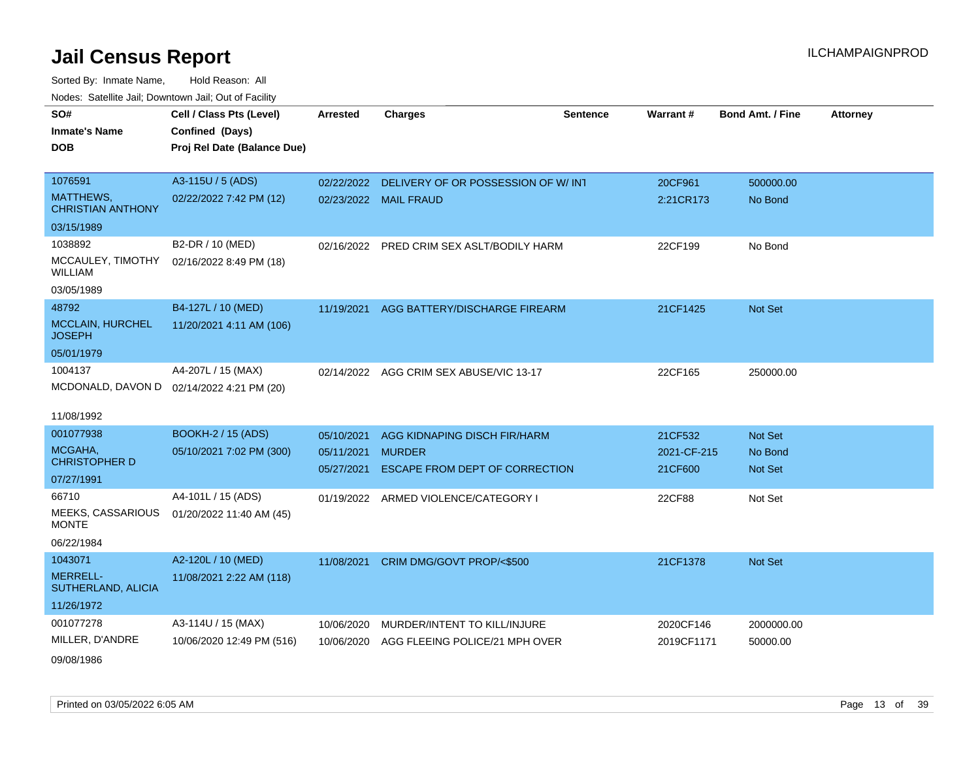| SO#                                      | Cell / Class Pts (Level)                  | <b>Arrested</b> | <b>Charges</b>                            | <b>Sentence</b> | <b>Warrant#</b> | <b>Bond Amt. / Fine</b> | <b>Attorney</b> |
|------------------------------------------|-------------------------------------------|-----------------|-------------------------------------------|-----------------|-----------------|-------------------------|-----------------|
| <b>Inmate's Name</b>                     | Confined (Days)                           |                 |                                           |                 |                 |                         |                 |
| <b>DOB</b>                               | Proj Rel Date (Balance Due)               |                 |                                           |                 |                 |                         |                 |
|                                          |                                           |                 |                                           |                 |                 |                         |                 |
| 1076591                                  | A3-115U / 5 (ADS)                         | 02/22/2022      | DELIVERY OF OR POSSESSION OF W/INT        |                 | 20CF961         | 500000.00               |                 |
| MATTHEWS,<br><b>CHRISTIAN ANTHONY</b>    | 02/22/2022 7:42 PM (12)                   |                 | 02/23/2022 MAIL FRAUD                     |                 | 2:21CR173       | No Bond                 |                 |
| 03/15/1989                               |                                           |                 |                                           |                 |                 |                         |                 |
| 1038892                                  | B2-DR / 10 (MED)                          |                 | 02/16/2022 PRED CRIM SEX ASLT/BODILY HARM |                 | 22CF199         | No Bond                 |                 |
| MCCAULEY, TIMOTHY<br>WILLIAM             | 02/16/2022 8:49 PM (18)                   |                 |                                           |                 |                 |                         |                 |
| 03/05/1989                               |                                           |                 |                                           |                 |                 |                         |                 |
| 48792                                    | B4-127L / 10 (MED)                        |                 | 11/19/2021 AGG BATTERY/DISCHARGE FIREARM  |                 | 21CF1425        | <b>Not Set</b>          |                 |
| <b>MCCLAIN, HURCHEL</b><br><b>JOSEPH</b> | 11/20/2021 4:11 AM (106)                  |                 |                                           |                 |                 |                         |                 |
| 05/01/1979                               |                                           |                 |                                           |                 |                 |                         |                 |
| 1004137                                  | A4-207L / 15 (MAX)                        |                 | 02/14/2022 AGG CRIM SEX ABUSE/VIC 13-17   |                 | 22CF165         | 250000.00               |                 |
|                                          | MCDONALD, DAVON D 02/14/2022 4:21 PM (20) |                 |                                           |                 |                 |                         |                 |
|                                          |                                           |                 |                                           |                 |                 |                         |                 |
| 11/08/1992                               |                                           |                 |                                           |                 |                 |                         |                 |
| 001077938                                | <b>BOOKH-2 / 15 (ADS)</b>                 | 05/10/2021      | AGG KIDNAPING DISCH FIR/HARM              |                 | 21CF532         | Not Set                 |                 |
| MCGAHA,                                  | 05/10/2021 7:02 PM (300)                  | 05/11/2021      | <b>MURDER</b>                             |                 | 2021-CF-215     | No Bond                 |                 |
| <b>CHRISTOPHER D</b>                     |                                           | 05/27/2021      | ESCAPE FROM DEPT OF CORRECTION            |                 | 21CF600         | Not Set                 |                 |
| 07/27/1991                               |                                           |                 |                                           |                 |                 |                         |                 |
| 66710                                    | A4-101L / 15 (ADS)                        |                 | 01/19/2022 ARMED VIOLENCE/CATEGORY I      |                 | 22CF88          | Not Set                 |                 |
| MEEKS, CASSARIOUS<br><b>MONTE</b>        | 01/20/2022 11:40 AM (45)                  |                 |                                           |                 |                 |                         |                 |
| 06/22/1984                               |                                           |                 |                                           |                 |                 |                         |                 |
| 1043071                                  | A2-120L / 10 (MED)                        |                 | 11/08/2021 CRIM DMG/GOVT PROP/<\$500      |                 | 21CF1378        | <b>Not Set</b>          |                 |
| <b>MERRELL-</b><br>SUTHERLAND, ALICIA    | 11/08/2021 2:22 AM (118)                  |                 |                                           |                 |                 |                         |                 |
| 11/26/1972                               |                                           |                 |                                           |                 |                 |                         |                 |
| 001077278                                | A3-114U / 15 (MAX)                        | 10/06/2020      | MURDER/INTENT TO KILL/INJURE              |                 | 2020CF146       | 2000000.00              |                 |
| MILLER, D'ANDRE                          | 10/06/2020 12:49 PM (516)                 | 10/06/2020      | AGG FLEEING POLICE/21 MPH OVER            |                 | 2019CF1171      | 50000.00                |                 |
| 09/08/1986                               |                                           |                 |                                           |                 |                 |                         |                 |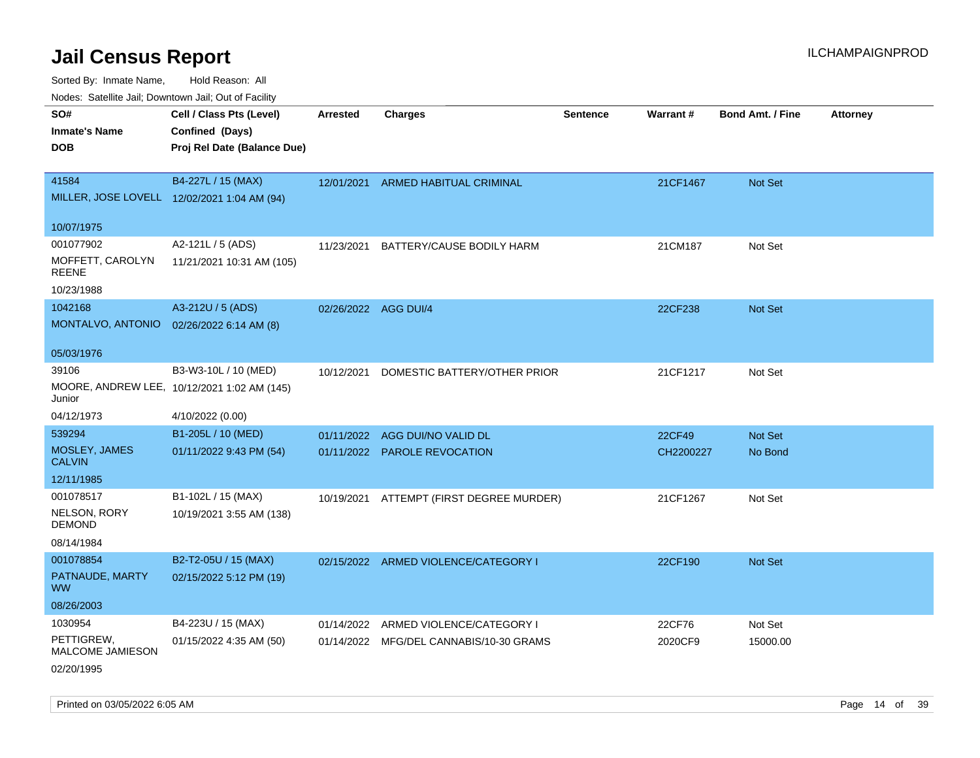Sorted By: Inmate Name, Hold Reason: All

Nodes: Satellite Jail; Downtown Jail; Out of Facility

| roaco. Catolino cali, Domntonn cali, Out of Facility |                                             |                      |                                          |                 |           |                         |                 |
|------------------------------------------------------|---------------------------------------------|----------------------|------------------------------------------|-----------------|-----------|-------------------------|-----------------|
| SO#                                                  | Cell / Class Pts (Level)                    | <b>Arrested</b>      | <b>Charges</b>                           | <b>Sentence</b> | Warrant#  | <b>Bond Amt. / Fine</b> | <b>Attorney</b> |
| <b>Inmate's Name</b>                                 | Confined (Days)                             |                      |                                          |                 |           |                         |                 |
| <b>DOB</b>                                           | Proj Rel Date (Balance Due)                 |                      |                                          |                 |           |                         |                 |
|                                                      |                                             |                      |                                          |                 |           |                         |                 |
| 41584                                                | B4-227L / 15 (MAX)                          |                      | 12/01/2021 ARMED HABITUAL CRIMINAL       |                 | 21CF1467  | Not Set                 |                 |
|                                                      | MILLER, JOSE LOVELL 12/02/2021 1:04 AM (94) |                      |                                          |                 |           |                         |                 |
|                                                      |                                             |                      |                                          |                 |           |                         |                 |
| 10/07/1975                                           |                                             |                      |                                          |                 |           |                         |                 |
| 001077902                                            | A2-121L / 5 (ADS)                           | 11/23/2021           | BATTERY/CAUSE BODILY HARM                |                 | 21CM187   | Not Set                 |                 |
| MOFFETT, CAROLYN<br><b>REENE</b>                     | 11/21/2021 10:31 AM (105)                   |                      |                                          |                 |           |                         |                 |
| 10/23/1988                                           |                                             |                      |                                          |                 |           |                         |                 |
| 1042168                                              | A3-212U / 5 (ADS)                           | 02/26/2022 AGG DUI/4 |                                          |                 | 22CF238   | Not Set                 |                 |
| MONTALVO, ANTONIO                                    | 02/26/2022 6:14 AM (8)                      |                      |                                          |                 |           |                         |                 |
|                                                      |                                             |                      |                                          |                 |           |                         |                 |
| 05/03/1976                                           |                                             |                      |                                          |                 |           |                         |                 |
| 39106                                                | B3-W3-10L / 10 (MED)                        | 10/12/2021           | DOMESTIC BATTERY/OTHER PRIOR             |                 | 21CF1217  | Not Set                 |                 |
| Junior                                               | MOORE, ANDREW LEE, 10/12/2021 1:02 AM (145) |                      |                                          |                 |           |                         |                 |
| 04/12/1973                                           | 4/10/2022 (0.00)                            |                      |                                          |                 |           |                         |                 |
| 539294                                               | B1-205L / 10 (MED)                          |                      | 01/11/2022 AGG DUI/NO VALID DL           |                 | 22CF49    | Not Set                 |                 |
| MOSLEY, JAMES<br><b>CALVIN</b>                       | 01/11/2022 9:43 PM (54)                     |                      | 01/11/2022 PAROLE REVOCATION             |                 | CH2200227 | No Bond                 |                 |
| 12/11/1985                                           |                                             |                      |                                          |                 |           |                         |                 |
| 001078517                                            | B1-102L / 15 (MAX)                          |                      | 10/19/2021 ATTEMPT (FIRST DEGREE MURDER) |                 | 21CF1267  | Not Set                 |                 |
| NELSON, RORY<br><b>DEMOND</b>                        | 10/19/2021 3:55 AM (138)                    |                      |                                          |                 |           |                         |                 |
| 08/14/1984                                           |                                             |                      |                                          |                 |           |                         |                 |
| 001078854                                            | B2-T2-05U / 15 (MAX)                        |                      | 02/15/2022 ARMED VIOLENCE/CATEGORY I     |                 | 22CF190   | Not Set                 |                 |
| PATNAUDE, MARTY<br><b>WW</b>                         | 02/15/2022 5:12 PM (19)                     |                      |                                          |                 |           |                         |                 |
| 08/26/2003                                           |                                             |                      |                                          |                 |           |                         |                 |
| 1030954                                              | B4-223U / 15 (MAX)                          | 01/14/2022           | ARMED VIOLENCE/CATEGORY I                |                 | 22CF76    | Not Set                 |                 |
| PETTIGREW,<br>MALCOME JAMIESON                       | 01/15/2022 4:35 AM (50)                     |                      | 01/14/2022 MFG/DEL CANNABIS/10-30 GRAMS  |                 | 2020CF9   | 15000.00                |                 |
| 02/20/1995                                           |                                             |                      |                                          |                 |           |                         |                 |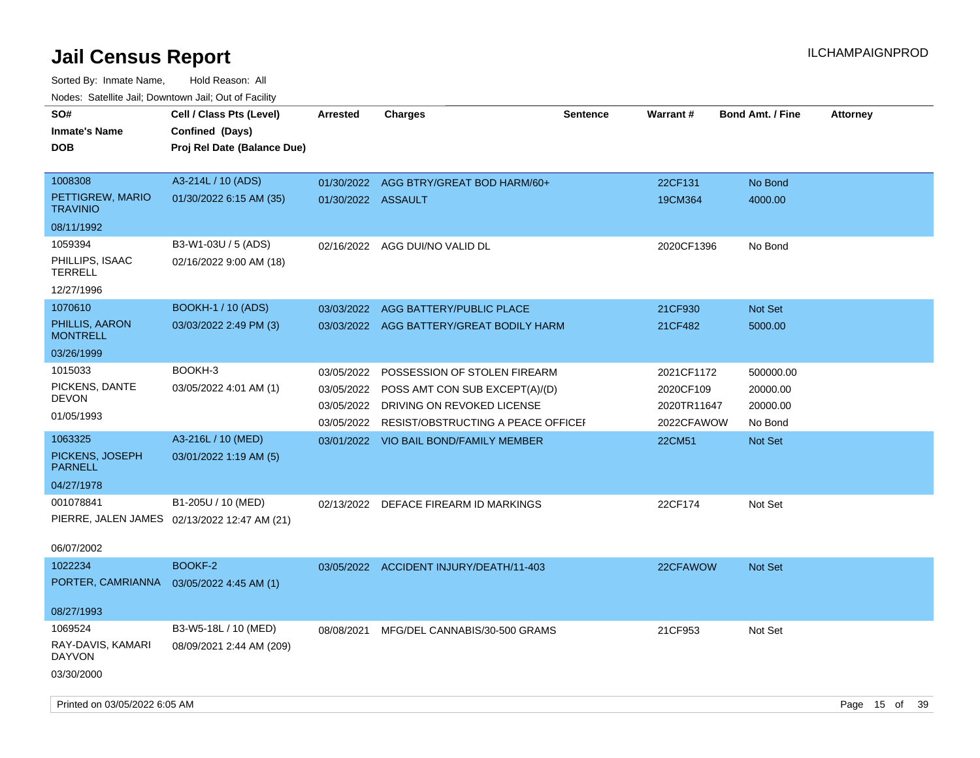| ivuuto. Saltiille Jali, Duwilluwii Jali, Oul of Facility |                                              |                    |                                               |                 |             |                         |                 |
|----------------------------------------------------------|----------------------------------------------|--------------------|-----------------------------------------------|-----------------|-------------|-------------------------|-----------------|
| SO#                                                      | Cell / Class Pts (Level)                     | <b>Arrested</b>    | <b>Charges</b>                                | <b>Sentence</b> | Warrant#    | <b>Bond Amt. / Fine</b> | <b>Attorney</b> |
| <b>Inmate's Name</b>                                     | Confined (Days)                              |                    |                                               |                 |             |                         |                 |
| <b>DOB</b>                                               | Proj Rel Date (Balance Due)                  |                    |                                               |                 |             |                         |                 |
|                                                          |                                              |                    |                                               |                 |             |                         |                 |
| 1008308                                                  | A3-214L / 10 (ADS)                           |                    | 01/30/2022 AGG BTRY/GREAT BOD HARM/60+        |                 | 22CF131     | No Bond                 |                 |
| PETTIGREW, MARIO<br><b>TRAVINIO</b>                      | 01/30/2022 6:15 AM (35)                      | 01/30/2022 ASSAULT |                                               |                 | 19CM364     | 4000.00                 |                 |
| 08/11/1992                                               |                                              |                    |                                               |                 |             |                         |                 |
| 1059394                                                  | B3-W1-03U / 5 (ADS)                          | 02/16/2022         | AGG DUI/NO VALID DL                           |                 | 2020CF1396  | No Bond                 |                 |
| PHILLIPS, ISAAC<br><b>TERRELL</b>                        | 02/16/2022 9:00 AM (18)                      |                    |                                               |                 |             |                         |                 |
| 12/27/1996                                               |                                              |                    |                                               |                 |             |                         |                 |
| 1070610                                                  | <b>BOOKH-1 / 10 (ADS)</b>                    | 03/03/2022         | AGG BATTERY/PUBLIC PLACE                      |                 | 21CF930     | Not Set                 |                 |
| PHILLIS, AARON<br><b>MONTRELL</b>                        | 03/03/2022 2:49 PM (3)                       |                    | 03/03/2022 AGG BATTERY/GREAT BODILY HARM      |                 | 21CF482     | 5000.00                 |                 |
| 03/26/1999                                               |                                              |                    |                                               |                 |             |                         |                 |
| 1015033                                                  | BOOKH-3                                      | 03/05/2022         | POSSESSION OF STOLEN FIREARM                  |                 | 2021CF1172  | 500000.00               |                 |
| PICKENS, DANTE                                           | 03/05/2022 4:01 AM (1)                       | 03/05/2022         | POSS AMT CON SUB EXCEPT(A)/(D)                |                 | 2020CF109   | 20000.00                |                 |
| <b>DEVON</b>                                             |                                              | 03/05/2022         | DRIVING ON REVOKED LICENSE                    |                 | 2020TR11647 | 20000.00                |                 |
| 01/05/1993                                               |                                              |                    | 03/05/2022 RESIST/OBSTRUCTING A PEACE OFFICEF |                 | 2022CFAWOW  | No Bond                 |                 |
| 1063325                                                  | A3-216L / 10 (MED)                           |                    | 03/01/2022 VIO BAIL BOND/FAMILY MEMBER        |                 | 22CM51      | Not Set                 |                 |
| PICKENS, JOSEPH<br><b>PARNELL</b>                        | 03/01/2022 1:19 AM (5)                       |                    |                                               |                 |             |                         |                 |
| 04/27/1978                                               |                                              |                    |                                               |                 |             |                         |                 |
| 001078841                                                | B1-205U / 10 (MED)                           |                    | 02/13/2022 DEFACE FIREARM ID MARKINGS         |                 | 22CF174     | Not Set                 |                 |
|                                                          | PIERRE, JALEN JAMES 02/13/2022 12:47 AM (21) |                    |                                               |                 |             |                         |                 |
| 06/07/2002                                               |                                              |                    |                                               |                 |             |                         |                 |
| 1022234                                                  | BOOKF-2                                      |                    | 03/05/2022 ACCIDENT INJURY/DEATH/11-403       |                 | 22CFAWOW    | <b>Not Set</b>          |                 |
| PORTER, CAMRIANNA                                        | 03/05/2022 4:45 AM (1)                       |                    |                                               |                 |             |                         |                 |
| 08/27/1993                                               |                                              |                    |                                               |                 |             |                         |                 |
| 1069524                                                  | B3-W5-18L / 10 (MED)                         | 08/08/2021         | MFG/DEL CANNABIS/30-500 GRAMS                 |                 | 21CF953     | Not Set                 |                 |
| RAY-DAVIS, KAMARI<br><b>DAYVON</b>                       | 08/09/2021 2:44 AM (209)                     |                    |                                               |                 |             |                         |                 |
| 03/30/2000                                               |                                              |                    |                                               |                 |             |                         |                 |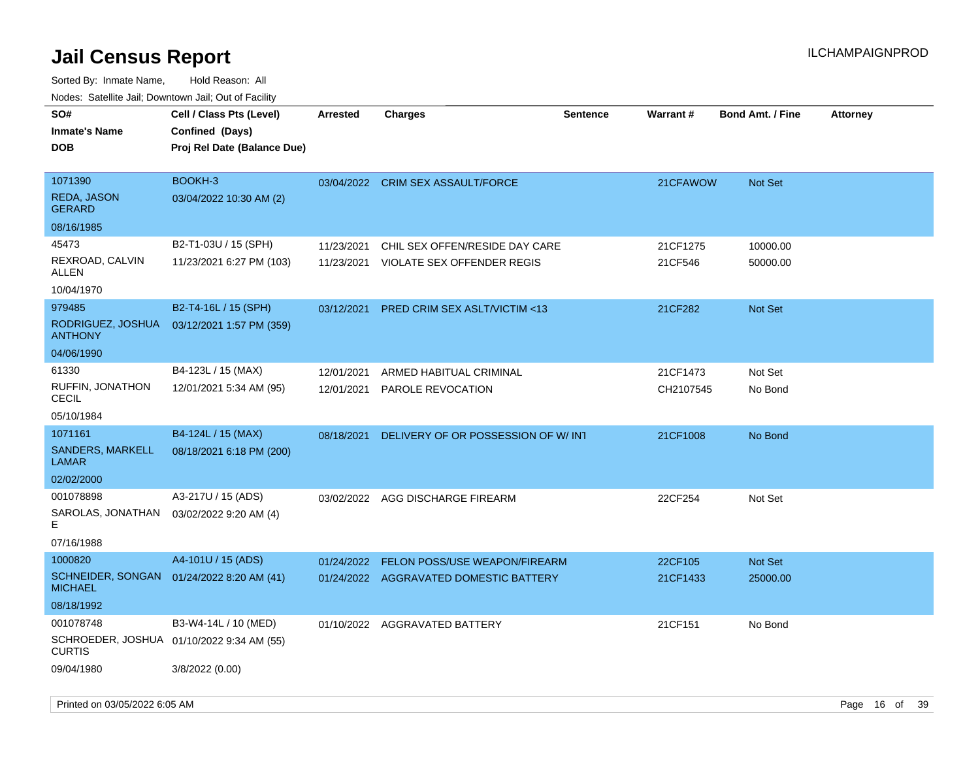| rouco. Calcinic Jan, Downtown Jan, Out of Facility |                                                                            |                 |                                        |                 |           |                         |                 |
|----------------------------------------------------|----------------------------------------------------------------------------|-----------------|----------------------------------------|-----------------|-----------|-------------------------|-----------------|
| SO#<br>Inmate's Name<br><b>DOB</b>                 | Cell / Class Pts (Level)<br>Confined (Days)<br>Proj Rel Date (Balance Due) | <b>Arrested</b> | <b>Charges</b>                         | <b>Sentence</b> | Warrant#  | <b>Bond Amt. / Fine</b> | <b>Attorney</b> |
| 1071390                                            | BOOKH-3                                                                    |                 | 03/04/2022 CRIM SEX ASSAULT/FORCE      |                 | 21CFAWOW  | <b>Not Set</b>          |                 |
| REDA, JASON<br>GERARD                              | 03/04/2022 10:30 AM (2)                                                    |                 |                                        |                 |           |                         |                 |
| 08/16/1985                                         |                                                                            |                 |                                        |                 |           |                         |                 |
| 45473                                              | B2-T1-03U / 15 (SPH)                                                       | 11/23/2021      | CHIL SEX OFFEN/RESIDE DAY CARE         |                 | 21CF1275  | 10000.00                |                 |
| REXROAD, CALVIN<br>ALLEN                           | 11/23/2021 6:27 PM (103)                                                   | 11/23/2021      | VIOLATE SEX OFFENDER REGIS             |                 | 21CF546   | 50000.00                |                 |
| 10/04/1970                                         |                                                                            |                 |                                        |                 |           |                         |                 |
| 979485                                             | B2-T4-16L / 15 (SPH)                                                       | 03/12/2021      | PRED CRIM SEX ASLT/VICTIM <13          |                 | 21CF282   | Not Set                 |                 |
| RODRIGUEZ, JOSHUA<br><b>ANTHONY</b>                | 03/12/2021 1:57 PM (359)                                                   |                 |                                        |                 |           |                         |                 |
| 04/06/1990                                         |                                                                            |                 |                                        |                 |           |                         |                 |
| 61330                                              | B4-123L / 15 (MAX)                                                         | 12/01/2021      | ARMED HABITUAL CRIMINAL                |                 | 21CF1473  | Not Set                 |                 |
| RUFFIN, JONATHON<br>CECIL                          | 12/01/2021 5:34 AM (95)                                                    | 12/01/2021      | PAROLE REVOCATION                      |                 | CH2107545 | No Bond                 |                 |
| 05/10/1984                                         |                                                                            |                 |                                        |                 |           |                         |                 |
| 1071161                                            | B4-124L / 15 (MAX)                                                         | 08/18/2021      | DELIVERY OF OR POSSESSION OF W/INT     |                 | 21CF1008  | No Bond                 |                 |
| <b>SANDERS, MARKELL</b><br>LAMAR                   | 08/18/2021 6:18 PM (200)                                                   |                 |                                        |                 |           |                         |                 |
| 02/02/2000                                         |                                                                            |                 |                                        |                 |           |                         |                 |
| 001078898                                          | A3-217U / 15 (ADS)                                                         |                 | 03/02/2022 AGG DISCHARGE FIREARM       |                 | 22CF254   | Not Set                 |                 |
| SAROLAS, JONATHAN<br>E                             | 03/02/2022 9:20 AM (4)                                                     |                 |                                        |                 |           |                         |                 |
| 07/16/1988                                         |                                                                            |                 |                                        |                 |           |                         |                 |
| 1000820                                            | A4-101U / 15 (ADS)                                                         | 01/24/2022      | FELON POSS/USE WEAPON/FIREARM          |                 | 22CF105   | Not Set                 |                 |
| <b>MICHAEL</b>                                     | SCHNEIDER, SONGAN 01/24/2022 8:20 AM (41)                                  |                 | 01/24/2022 AGGRAVATED DOMESTIC BATTERY |                 | 21CF1433  | 25000.00                |                 |
| 08/18/1992                                         |                                                                            |                 |                                        |                 |           |                         |                 |
| 001078748                                          | B3-W4-14L / 10 (MED)                                                       |                 | 01/10/2022 AGGRAVATED BATTERY          |                 | 21CF151   | No Bond                 |                 |
| CURTIS                                             | SCHROEDER, JOSHUA 01/10/2022 9:34 AM (55)                                  |                 |                                        |                 |           |                         |                 |
| 09/04/1980                                         | 3/8/2022 (0.00)                                                            |                 |                                        |                 |           |                         |                 |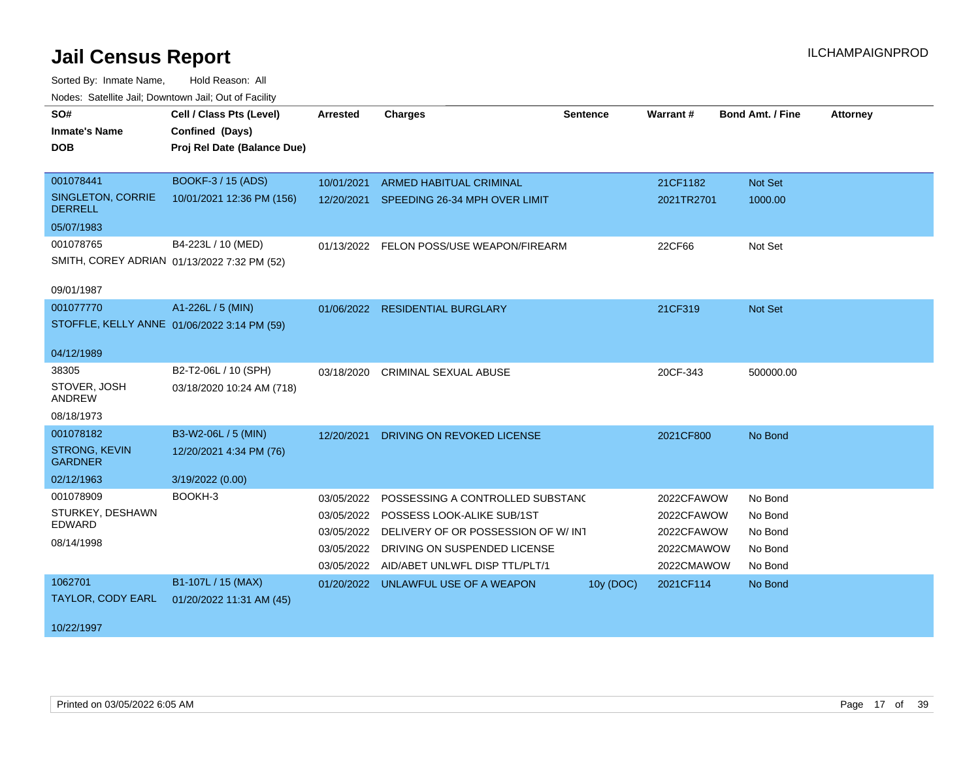| SO#<br><b>Inmate's Name</b><br><b>DOB</b>                              | Cell / Class Pts (Level)<br>Confined (Days)<br>Proj Rel Date (Balance Due) | <b>Arrested</b>                                                    | <b>Charges</b>                                                                                                                                                          | <b>Sentence</b> | Warrant#                                                           | <b>Bond Amt. / Fine</b>                             | <b>Attorney</b> |
|------------------------------------------------------------------------|----------------------------------------------------------------------------|--------------------------------------------------------------------|-------------------------------------------------------------------------------------------------------------------------------------------------------------------------|-----------------|--------------------------------------------------------------------|-----------------------------------------------------|-----------------|
| 001078441<br>SINGLETON, CORRIE<br><b>DERRELL</b><br>05/07/1983         | BOOKF-3 / 15 (ADS)<br>10/01/2021 12:36 PM (156)                            | 10/01/2021                                                         | <b>ARMED HABITUAL CRIMINAL</b><br>12/20/2021 SPEEDING 26-34 MPH OVER LIMIT                                                                                              |                 | 21CF1182<br>2021TR2701                                             | Not Set<br>1000.00                                  |                 |
| 001078765<br>SMITH, COREY ADRIAN 01/13/2022 7:32 PM (52)<br>09/01/1987 | B4-223L / 10 (MED)                                                         |                                                                    | 01/13/2022 FELON POSS/USE WEAPON/FIREARM                                                                                                                                |                 | 22CF66                                                             | Not Set                                             |                 |
| 001077770<br>STOFFLE, KELLY ANNE 01/06/2022 3:14 PM (59)<br>04/12/1989 | A1-226L / 5 (MIN)                                                          |                                                                    | 01/06/2022 RESIDENTIAL BURGLARY                                                                                                                                         |                 | 21CF319                                                            | <b>Not Set</b>                                      |                 |
| 38305<br>STOVER, JOSH<br>ANDREW<br>08/18/1973                          | B2-T2-06L / 10 (SPH)<br>03/18/2020 10:24 AM (718)                          | 03/18/2020                                                         | <b>CRIMINAL SEXUAL ABUSE</b>                                                                                                                                            |                 | 20CF-343                                                           | 500000.00                                           |                 |
| 001078182<br><b>STRONG, KEVIN</b><br><b>GARDNER</b><br>02/12/1963      | B3-W2-06L / 5 (MIN)<br>12/20/2021 4:34 PM (76)<br>3/19/2022 (0.00)         | 12/20/2021                                                         | DRIVING ON REVOKED LICENSE                                                                                                                                              |                 | 2021CF800                                                          | No Bond                                             |                 |
| 001078909<br>STURKEY, DESHAWN<br><b>EDWARD</b><br>08/14/1998           | BOOKH-3                                                                    | 03/05/2022<br>03/05/2022<br>03/05/2022<br>03/05/2022<br>03/05/2022 | POSSESSING A CONTROLLED SUBSTAND<br>POSSESS LOOK-ALIKE SUB/1ST<br>DELIVERY OF OR POSSESSION OF W/ INT<br>DRIVING ON SUSPENDED LICENSE<br>AID/ABET UNLWFL DISP TTL/PLT/1 |                 | 2022CFAWOW<br>2022CFAWOW<br>2022CFAWOW<br>2022CMAWOW<br>2022CMAWOW | No Bond<br>No Bond<br>No Bond<br>No Bond<br>No Bond |                 |
| 1062701<br>TAYLOR, CODY EARL<br>10/22/1997                             | B1-107L / 15 (MAX)<br>01/20/2022 11:31 AM (45)                             |                                                                    | 01/20/2022 UNLAWFUL USE OF A WEAPON                                                                                                                                     | 10y (DOC)       | 2021CF114                                                          | No Bond                                             |                 |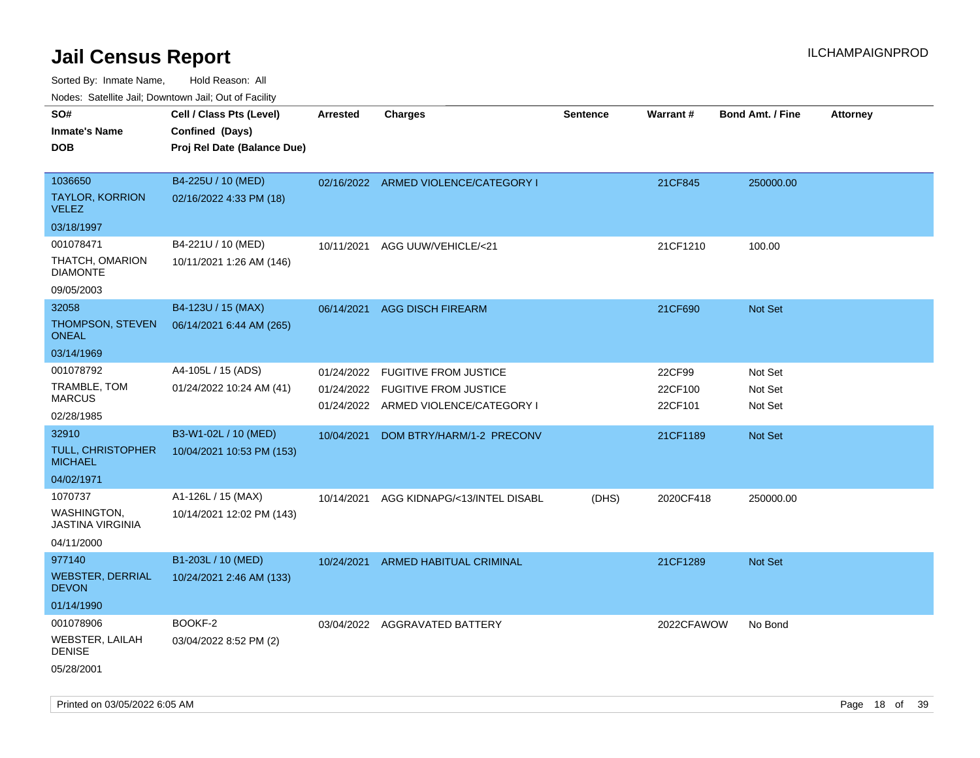Sorted By: Inmate Name, Hold Reason: All

Nodes: Satellite Jail; Downtown Jail; Out of Facility

| rouco. Calcillo Jali, Downtown Jali, Out of Facility |                             |                 |                                      |          |            |                         |                 |
|------------------------------------------------------|-----------------------------|-----------------|--------------------------------------|----------|------------|-------------------------|-----------------|
| SO#                                                  | Cell / Class Pts (Level)    | <b>Arrested</b> | <b>Charges</b>                       | Sentence | Warrant#   | <b>Bond Amt. / Fine</b> | <b>Attorney</b> |
| <b>Inmate's Name</b>                                 | Confined (Days)             |                 |                                      |          |            |                         |                 |
| <b>DOB</b>                                           | Proj Rel Date (Balance Due) |                 |                                      |          |            |                         |                 |
|                                                      |                             |                 |                                      |          |            |                         |                 |
| 1036650                                              | B4-225U / 10 (MED)          |                 | 02/16/2022 ARMED VIOLENCE/CATEGORY I |          | 21CF845    | 250000.00               |                 |
| <b>TAYLOR, KORRION</b><br><b>VELEZ</b>               | 02/16/2022 4:33 PM (18)     |                 |                                      |          |            |                         |                 |
| 03/18/1997                                           |                             |                 |                                      |          |            |                         |                 |
| 001078471                                            | B4-221U / 10 (MED)          | 10/11/2021      | AGG UUW/VEHICLE/<21                  |          | 21CF1210   | 100.00                  |                 |
| THATCH, OMARION<br><b>DIAMONTE</b>                   | 10/11/2021 1:26 AM (146)    |                 |                                      |          |            |                         |                 |
| 09/05/2003                                           |                             |                 |                                      |          |            |                         |                 |
| 32058                                                | B4-123U / 15 (MAX)          | 06/14/2021      | <b>AGG DISCH FIREARM</b>             |          | 21CF690    | <b>Not Set</b>          |                 |
| THOMPSON, STEVEN<br><b>ONEAL</b>                     | 06/14/2021 6:44 AM (265)    |                 |                                      |          |            |                         |                 |
| 03/14/1969                                           |                             |                 |                                      |          |            |                         |                 |
| 001078792                                            | A4-105L / 15 (ADS)          | 01/24/2022      | <b>FUGITIVE FROM JUSTICE</b>         |          | 22CF99     | Not Set                 |                 |
| TRAMBLE, TOM<br><b>MARCUS</b>                        | 01/24/2022 10:24 AM (41)    | 01/24/2022      | <b>FUGITIVE FROM JUSTICE</b>         |          | 22CF100    | Not Set                 |                 |
| 02/28/1985                                           |                             |                 | 01/24/2022 ARMED VIOLENCE/CATEGORY I |          | 22CF101    | Not Set                 |                 |
| 32910                                                | B3-W1-02L / 10 (MED)        | 10/04/2021      | DOM BTRY/HARM/1-2 PRECONV            |          | 21CF1189   | Not Set                 |                 |
| <b>TULL, CHRISTOPHER</b><br><b>MICHAEL</b>           | 10/04/2021 10:53 PM (153)   |                 |                                      |          |            |                         |                 |
| 04/02/1971                                           |                             |                 |                                      |          |            |                         |                 |
| 1070737                                              | A1-126L / 15 (MAX)          | 10/14/2021      | AGG KIDNAPG/<13/INTEL DISABL         | (DHS)    | 2020CF418  | 250000.00               |                 |
| WASHINGTON,<br><b>JASTINA VIRGINIA</b>               | 10/14/2021 12:02 PM (143)   |                 |                                      |          |            |                         |                 |
| 04/11/2000                                           |                             |                 |                                      |          |            |                         |                 |
| 977140                                               | B1-203L / 10 (MED)          | 10/24/2021      | <b>ARMED HABITUAL CRIMINAL</b>       |          | 21CF1289   | Not Set                 |                 |
| <b>WEBSTER, DERRIAL</b><br><b>DEVON</b>              | 10/24/2021 2:46 AM (133)    |                 |                                      |          |            |                         |                 |
| 01/14/1990                                           |                             |                 |                                      |          |            |                         |                 |
| 001078906                                            | BOOKF-2                     |                 | 03/04/2022 AGGRAVATED BATTERY        |          | 2022CFAWOW | No Bond                 |                 |
| WEBSTER, LAILAH<br><b>DENISE</b>                     | 03/04/2022 8:52 PM (2)      |                 |                                      |          |            |                         |                 |
| 05/28/2001                                           |                             |                 |                                      |          |            |                         |                 |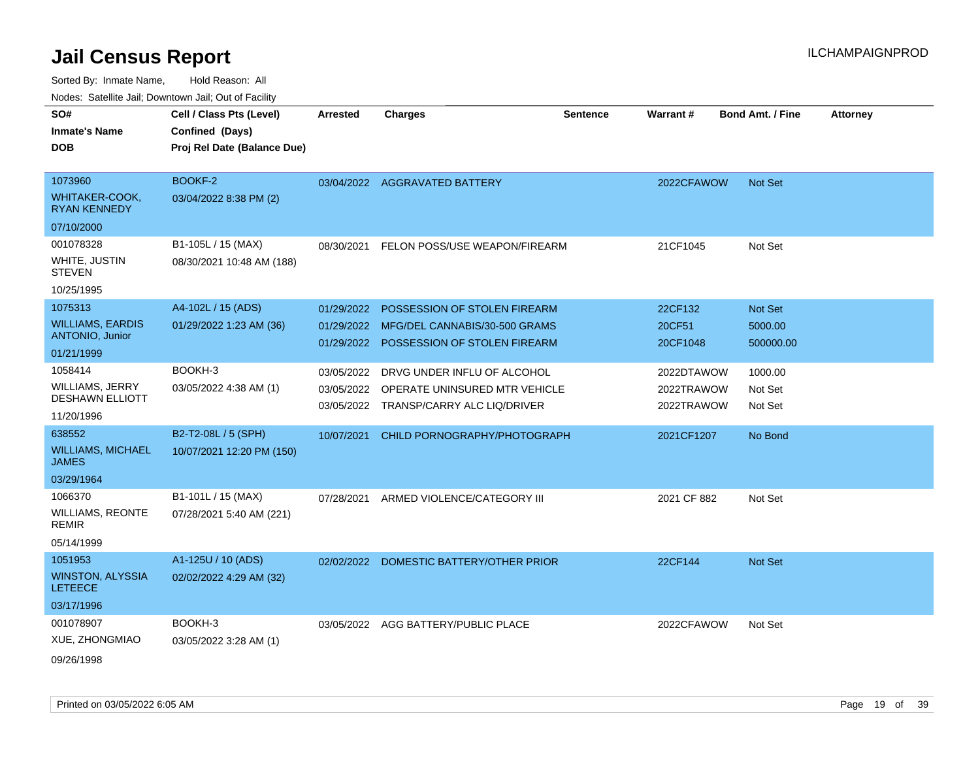| Noues. Salenne Jan, Downtown Jan, Out of Facility |                             |                 |                               |                 |                 |                         |                 |
|---------------------------------------------------|-----------------------------|-----------------|-------------------------------|-----------------|-----------------|-------------------------|-----------------|
| SO#                                               | Cell / Class Pts (Level)    | <b>Arrested</b> | <b>Charges</b>                | <b>Sentence</b> | <b>Warrant#</b> | <b>Bond Amt. / Fine</b> | <b>Attorney</b> |
| <b>Inmate's Name</b>                              | Confined (Days)             |                 |                               |                 |                 |                         |                 |
| <b>DOB</b>                                        | Proj Rel Date (Balance Due) |                 |                               |                 |                 |                         |                 |
|                                                   |                             |                 |                               |                 |                 |                         |                 |
| 1073960                                           | BOOKF-2                     |                 | 03/04/2022 AGGRAVATED BATTERY |                 | 2022CFAWOW      | <b>Not Set</b>          |                 |
| WHITAKER-COOK,<br><b>RYAN KENNEDY</b>             | 03/04/2022 8:38 PM (2)      |                 |                               |                 |                 |                         |                 |
| 07/10/2000                                        |                             |                 |                               |                 |                 |                         |                 |
| 001078328                                         | B1-105L / 15 (MAX)          | 08/30/2021      | FELON POSS/USE WEAPON/FIREARM |                 | 21CF1045        | Not Set                 |                 |
| WHITE, JUSTIN<br>STEVEN                           | 08/30/2021 10:48 AM (188)   |                 |                               |                 |                 |                         |                 |
| 10/25/1995                                        |                             |                 |                               |                 |                 |                         |                 |
| 1075313                                           | A4-102L / 15 (ADS)          | 01/29/2022      | POSSESSION OF STOLEN FIREARM  |                 | 22CF132         | <b>Not Set</b>          |                 |
| <b>WILLIAMS, EARDIS</b>                           | 01/29/2022 1:23 AM (36)     | 01/29/2022      | MFG/DEL CANNABIS/30-500 GRAMS |                 | 20CF51          | 5000.00                 |                 |
| <b>ANTONIO, Junior</b>                            |                             | 01/29/2022      | POSSESSION OF STOLEN FIREARM  |                 | 20CF1048        | 500000.00               |                 |
| 01/21/1999                                        |                             |                 |                               |                 |                 |                         |                 |
| 1058414                                           | BOOKH-3                     | 03/05/2022      | DRVG UNDER INFLU OF ALCOHOL   |                 | 2022DTAWOW      | 1000.00                 |                 |
| <b>WILLIAMS, JERRY</b>                            | 03/05/2022 4:38 AM (1)      | 03/05/2022      | OPERATE UNINSURED MTR VEHICLE |                 | 2022TRAWOW      | Not Set                 |                 |
| <b>DESHAWN ELLIOTT</b>                            |                             | 03/05/2022      | TRANSP/CARRY ALC LIQ/DRIVER   |                 | 2022TRAWOW      | Not Set                 |                 |
| 11/20/1996                                        |                             |                 |                               |                 |                 |                         |                 |
| 638552                                            | B2-T2-08L / 5 (SPH)         | 10/07/2021      | CHILD PORNOGRAPHY/PHOTOGRAPH  |                 | 2021CF1207      | No Bond                 |                 |
| <b>WILLIAMS, MICHAEL</b><br>JAMES                 | 10/07/2021 12:20 PM (150)   |                 |                               |                 |                 |                         |                 |
| 03/29/1964                                        |                             |                 |                               |                 |                 |                         |                 |
| 1066370                                           | B1-101L / 15 (MAX)          | 07/28/2021      | ARMED VIOLENCE/CATEGORY III   |                 | 2021 CF 882     | Not Set                 |                 |
| WILLIAMS, REONTE<br><b>REMIR</b>                  | 07/28/2021 5:40 AM (221)    |                 |                               |                 |                 |                         |                 |
| 05/14/1999                                        |                             |                 |                               |                 |                 |                         |                 |
| 1051953                                           | A1-125U / 10 (ADS)          | 02/02/2022      | DOMESTIC BATTERY/OTHER PRIOR  |                 | 22CF144         | <b>Not Set</b>          |                 |
| <b>WINSTON, ALYSSIA</b><br><b>LETEECE</b>         | 02/02/2022 4:29 AM (32)     |                 |                               |                 |                 |                         |                 |
| 03/17/1996                                        |                             |                 |                               |                 |                 |                         |                 |
| 001078907                                         | BOOKH-3                     | 03/05/2022      | AGG BATTERY/PUBLIC PLACE      |                 | 2022CFAWOW      | Not Set                 |                 |
| XUE, ZHONGMIAO                                    | 03/05/2022 3:28 AM (1)      |                 |                               |                 |                 |                         |                 |
| 09/26/1998                                        |                             |                 |                               |                 |                 |                         |                 |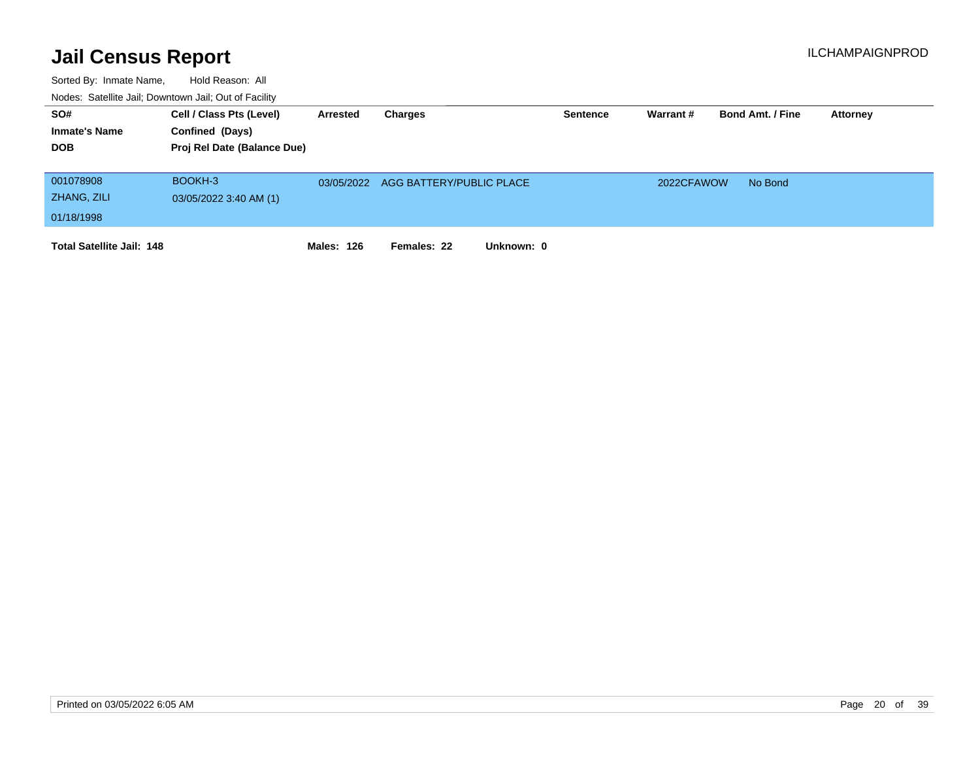| SO#<br><b>Inmate's Name</b><br><b>DOB</b> | Cell / Class Pts (Level)<br>Confined (Days)<br>Proj Rel Date (Balance Due) | Arrested          | Charges                   | <b>Sentence</b> | Warrant #  | <b>Bond Amt. / Fine</b> | <b>Attorney</b> |
|-------------------------------------------|----------------------------------------------------------------------------|-------------------|---------------------------|-----------------|------------|-------------------------|-----------------|
| 001078908<br>ZHANG, ZILI<br>01/18/1998    | BOOKH-3<br>03/05/2022 3:40 AM (1)                                          | 03/05/2022        | AGG BATTERY/PUBLIC PLACE  |                 | 2022CFAWOW | No Bond                 |                 |
| <b>Total Satellite Jail: 148</b>          |                                                                            | <b>Males: 126</b> | Unknown: 0<br>Females: 22 |                 |            |                         |                 |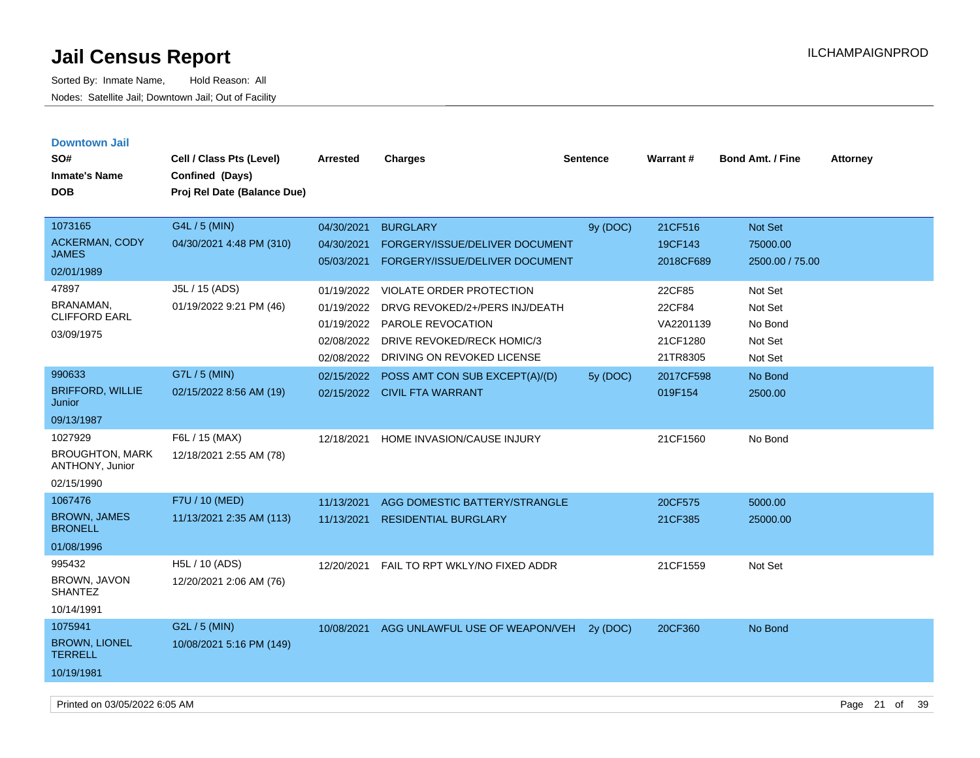| <b>Downtown Jail</b><br>SO#<br><b>Inmate's Name</b><br><b>DOB</b>  | Cell / Class Pts (Level)<br>Confined (Days)<br>Proj Rel Date (Balance Due) | Arrested                                                           | <b>Charges</b>                                                                                                                              | <b>Sentence</b> | <b>Warrant#</b>                                       | <b>Bond Amt. / Fine</b>                             | <b>Attorney</b> |
|--------------------------------------------------------------------|----------------------------------------------------------------------------|--------------------------------------------------------------------|---------------------------------------------------------------------------------------------------------------------------------------------|-----------------|-------------------------------------------------------|-----------------------------------------------------|-----------------|
| 1073165<br><b>ACKERMAN, CODY</b><br><b>JAMES</b><br>02/01/1989     | G4L / 5 (MIN)<br>04/30/2021 4:48 PM (310)                                  | 04/30/2021<br>04/30/2021<br>05/03/2021                             | <b>BURGLARY</b><br><b>FORGERY/ISSUE/DELIVER DOCUMENT</b><br>FORGERY/ISSUE/DELIVER DOCUMENT                                                  | 9y (DOC)        | 21CF516<br>19CF143<br>2018CF689                       | <b>Not Set</b><br>75000.00<br>2500.00 / 75.00       |                 |
| 47897<br>BRANAMAN,<br><b>CLIFFORD EARL</b><br>03/09/1975           | J5L / 15 (ADS)<br>01/19/2022 9:21 PM (46)                                  | 01/19/2022<br>01/19/2022<br>01/19/2022<br>02/08/2022<br>02/08/2022 | VIOLATE ORDER PROTECTION<br>DRVG REVOKED/2+/PERS INJ/DEATH<br>PAROLE REVOCATION<br>DRIVE REVOKED/RECK HOMIC/3<br>DRIVING ON REVOKED LICENSE |                 | 22CF85<br>22CF84<br>VA2201139<br>21CF1280<br>21TR8305 | Not Set<br>Not Set<br>No Bond<br>Not Set<br>Not Set |                 |
| 990633<br><b>BRIFFORD, WILLIE</b><br>Junior<br>09/13/1987          | G7L / 5 (MIN)<br>02/15/2022 8:56 AM (19)                                   | 02/15/2022                                                         | POSS AMT CON SUB EXCEPT(A)/(D)<br>02/15/2022 CIVIL FTA WARRANT                                                                              | 5y (DOC)        | 2017CF598<br>019F154                                  | No Bond<br>2500.00                                  |                 |
| 1027929<br><b>BROUGHTON, MARK</b><br>ANTHONY, Junior<br>02/15/1990 | F6L / 15 (MAX)<br>12/18/2021 2:55 AM (78)                                  | 12/18/2021                                                         | HOME INVASION/CAUSE INJURY                                                                                                                  |                 | 21CF1560                                              | No Bond                                             |                 |
| 1067476<br><b>BROWN, JAMES</b><br><b>BRONELL</b><br>01/08/1996     | F7U / 10 (MED)<br>11/13/2021 2:35 AM (113)                                 | 11/13/2021<br>11/13/2021                                           | AGG DOMESTIC BATTERY/STRANGLE<br><b>RESIDENTIAL BURGLARY</b>                                                                                |                 | 20CF575<br>21CF385                                    | 5000.00<br>25000.00                                 |                 |
| 995432<br>BROWN, JAVON<br><b>SHANTEZ</b><br>10/14/1991             | H5L / 10 (ADS)<br>12/20/2021 2:06 AM (76)                                  | 12/20/2021                                                         | FAIL TO RPT WKLY/NO FIXED ADDR                                                                                                              |                 | 21CF1559                                              | Not Set                                             |                 |
| 1075941<br><b>BROWN, LIONEL</b><br><b>TERRELL</b><br>10/19/1981    | G2L / 5 (MIN)<br>10/08/2021 5:16 PM (149)                                  | 10/08/2021                                                         | AGG UNLAWFUL USE OF WEAPON/VEH                                                                                                              | 2y (DOC)        | 20CF360                                               | No Bond                                             |                 |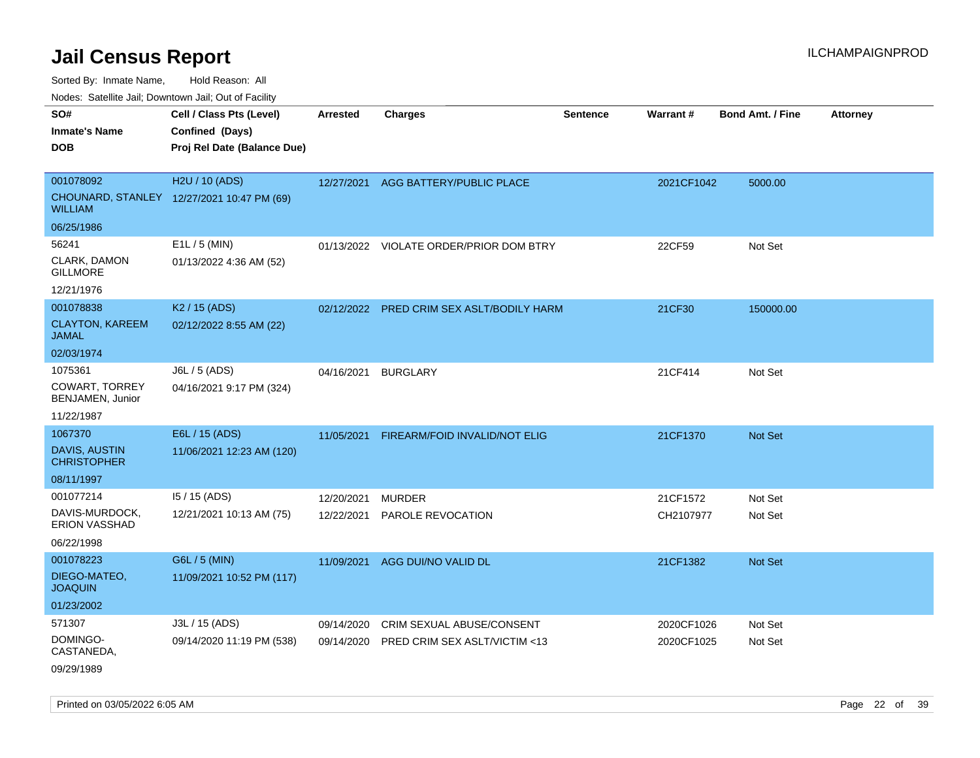Sorted By: Inmate Name, Hold Reason: All

Nodes: Satellite Jail; Downtown Jail; Out of Facility

| SO#<br><b>Inmate's Name</b><br><b>DOB</b>                            | Cell / Class Pts (Level)<br>Confined (Days)<br>Proj Rel Date (Balance Due) | <b>Arrested</b>          | <b>Charges</b>                                             | <b>Sentence</b> | <b>Warrant#</b>          | <b>Bond Amt. / Fine</b> | <b>Attorney</b> |
|----------------------------------------------------------------------|----------------------------------------------------------------------------|--------------------------|------------------------------------------------------------|-----------------|--------------------------|-------------------------|-----------------|
| 001078092<br><b>WILLIAM</b>                                          | H2U / 10 (ADS)<br>CHOUNARD, STANLEY 12/27/2021 10:47 PM (69)               | 12/27/2021               | AGG BATTERY/PUBLIC PLACE                                   |                 | 2021CF1042               | 5000.00                 |                 |
| 06/25/1986<br>56241<br>CLARK, DAMON<br><b>GILLMORE</b><br>12/21/1976 | E1L / 5 (MIN)<br>01/13/2022 4:36 AM (52)                                   |                          | 01/13/2022 VIOLATE ORDER/PRIOR DOM BTRY                    |                 | 22CF59                   | Not Set                 |                 |
| 001078838<br><b>CLAYTON, KAREEM</b><br><b>JAMAL</b><br>02/03/1974    | K <sub>2</sub> / 15 (ADS)<br>02/12/2022 8:55 AM (22)                       |                          | 02/12/2022 PRED CRIM SEX ASLT/BODILY HARM                  |                 | 21CF30                   | 150000.00               |                 |
| 1075361<br><b>COWART, TORREY</b><br>BENJAMEN, Junior<br>11/22/1987   | J6L / 5 (ADS)<br>04/16/2021 9:17 PM (324)                                  | 04/16/2021               | <b>BURGLARY</b>                                            |                 | 21CF414                  | Not Set                 |                 |
| 1067370<br><b>DAVIS, AUSTIN</b><br><b>CHRISTOPHER</b><br>08/11/1997  | E6L / 15 (ADS)<br>11/06/2021 12:23 AM (120)                                | 11/05/2021               | FIREARM/FOID INVALID/NOT ELIG                              |                 | 21CF1370                 | <b>Not Set</b>          |                 |
| 001077214<br>DAVIS-MURDOCK,<br>ERION VASSHAD<br>06/22/1998           | 15 / 15 (ADS)<br>12/21/2021 10:13 AM (75)                                  | 12/20/2021<br>12/22/2021 | <b>MURDER</b><br>PAROLE REVOCATION                         |                 | 21CF1572<br>CH2107977    | Not Set<br>Not Set      |                 |
| 001078223<br>DIEGO-MATEO,<br><b>JOAQUIN</b><br>01/23/2002            | G6L / 5 (MIN)<br>11/09/2021 10:52 PM (117)                                 | 11/09/2021               | AGG DUI/NO VALID DL                                        |                 | 21CF1382                 | Not Set                 |                 |
| 571307<br>DOMINGO-<br>CASTANEDA,<br>09/29/1989                       | J3L / 15 (ADS)<br>09/14/2020 11:19 PM (538)                                | 09/14/2020<br>09/14/2020 | CRIM SEXUAL ABUSE/CONSENT<br>PRED CRIM SEX ASLT/VICTIM <13 |                 | 2020CF1026<br>2020CF1025 | Not Set<br>Not Set      |                 |

Printed on 03/05/2022 6:05 AM Page 22 of 39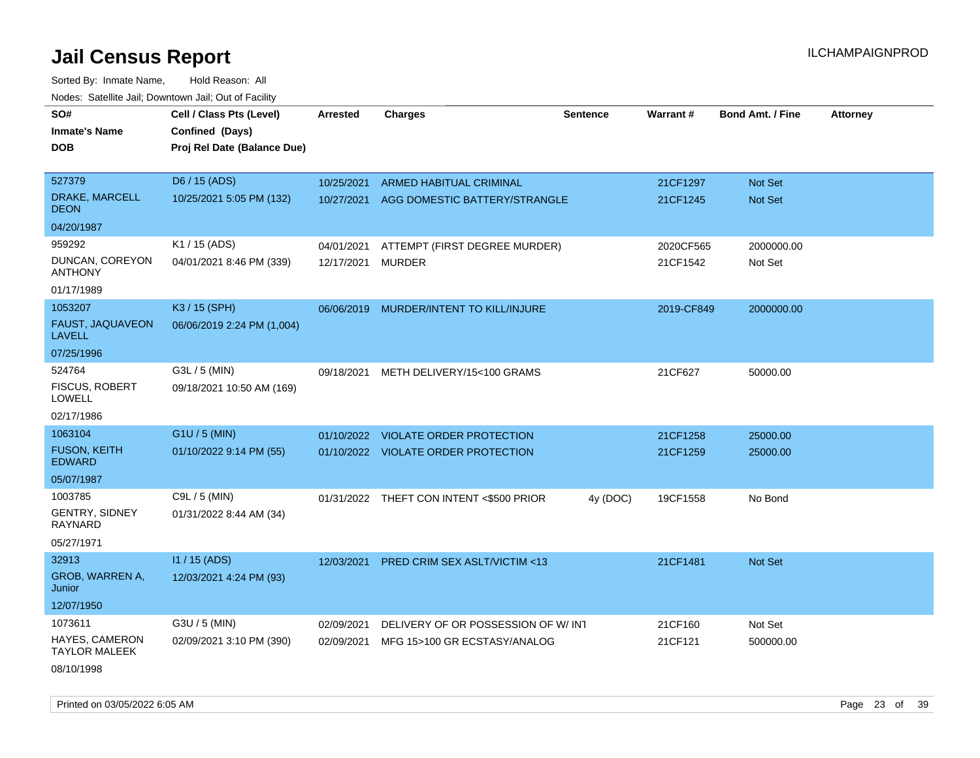| rougs. Calcing Jan, Downtown Jan, Out of Facinty |                             |                 |                                          |                 |            |                         |                 |
|--------------------------------------------------|-----------------------------|-----------------|------------------------------------------|-----------------|------------|-------------------------|-----------------|
| SO#                                              | Cell / Class Pts (Level)    | <b>Arrested</b> | <b>Charges</b>                           | <b>Sentence</b> | Warrant#   | <b>Bond Amt. / Fine</b> | <b>Attorney</b> |
| <b>Inmate's Name</b>                             | Confined (Days)             |                 |                                          |                 |            |                         |                 |
| <b>DOB</b>                                       | Proj Rel Date (Balance Due) |                 |                                          |                 |            |                         |                 |
|                                                  |                             |                 |                                          |                 |            |                         |                 |
| 527379                                           | D6 / 15 (ADS)               | 10/25/2021      | ARMED HABITUAL CRIMINAL                  |                 | 21CF1297   | Not Set                 |                 |
| DRAKE, MARCELL<br><b>DEON</b>                    | 10/25/2021 5:05 PM (132)    | 10/27/2021      | AGG DOMESTIC BATTERY/STRANGLE            |                 | 21CF1245   | <b>Not Set</b>          |                 |
| 04/20/1987                                       |                             |                 |                                          |                 |            |                         |                 |
| 959292                                           | K1 / 15 (ADS)               | 04/01/2021      | ATTEMPT (FIRST DEGREE MURDER)            |                 | 2020CF565  | 2000000.00              |                 |
| DUNCAN, COREYON<br><b>ANTHONY</b>                | 04/01/2021 8:46 PM (339)    | 12/17/2021      | <b>MURDER</b>                            |                 | 21CF1542   | Not Set                 |                 |
| 01/17/1989                                       |                             |                 |                                          |                 |            |                         |                 |
| 1053207                                          | K3 / 15 (SPH)               |                 | 06/06/2019 MURDER/INTENT TO KILL/INJURE  |                 | 2019-CF849 | 2000000.00              |                 |
| FAUST, JAQUAVEON<br><b>LAVELL</b>                | 06/06/2019 2:24 PM (1,004)  |                 |                                          |                 |            |                         |                 |
| 07/25/1996                                       |                             |                 |                                          |                 |            |                         |                 |
| 524764                                           | G3L / 5 (MIN)               | 09/18/2021      | METH DELIVERY/15<100 GRAMS               |                 | 21CF627    | 50000.00                |                 |
| <b>FISCUS, ROBERT</b><br><b>LOWELL</b>           | 09/18/2021 10:50 AM (169)   |                 |                                          |                 |            |                         |                 |
| 02/17/1986                                       |                             |                 |                                          |                 |            |                         |                 |
| 1063104                                          | $G1U / 5$ (MIN)             | 01/10/2022      | VIOLATE ORDER PROTECTION                 |                 | 21CF1258   | 25000.00                |                 |
| <b>FUSON, KEITH</b><br><b>EDWARD</b>             | 01/10/2022 9:14 PM (55)     |                 | 01/10/2022 VIOLATE ORDER PROTECTION      |                 | 21CF1259   | 25000.00                |                 |
| 05/07/1987                                       |                             |                 |                                          |                 |            |                         |                 |
| 1003785                                          | C9L / 5 (MIN)               |                 | 01/31/2022 THEFT CON INTENT <\$500 PRIOR | 4y (DOC)        | 19CF1558   | No Bond                 |                 |
| <b>GENTRY, SIDNEY</b><br>RAYNARD                 | 01/31/2022 8:44 AM (34)     |                 |                                          |                 |            |                         |                 |
| 05/27/1971                                       |                             |                 |                                          |                 |            |                         |                 |
| 32913                                            | $11/15$ (ADS)               | 12/03/2021      | PRED CRIM SEX ASLT/VICTIM <13            |                 | 21CF1481   | Not Set                 |                 |
| GROB, WARREN A,<br>Junior                        | 12/03/2021 4:24 PM (93)     |                 |                                          |                 |            |                         |                 |
| 12/07/1950                                       |                             |                 |                                          |                 |            |                         |                 |
| 1073611                                          | G3U / 5 (MIN)               | 02/09/2021      | DELIVERY OF OR POSSESSION OF W/IN1       |                 | 21CF160    | Not Set                 |                 |
| HAYES, CAMERON<br><b>TAYLOR MALEEK</b>           | 02/09/2021 3:10 PM (390)    | 02/09/2021      | MFG 15>100 GR ECSTASY/ANALOG             |                 | 21CF121    | 500000.00               |                 |
| 08/10/1998                                       |                             |                 |                                          |                 |            |                         |                 |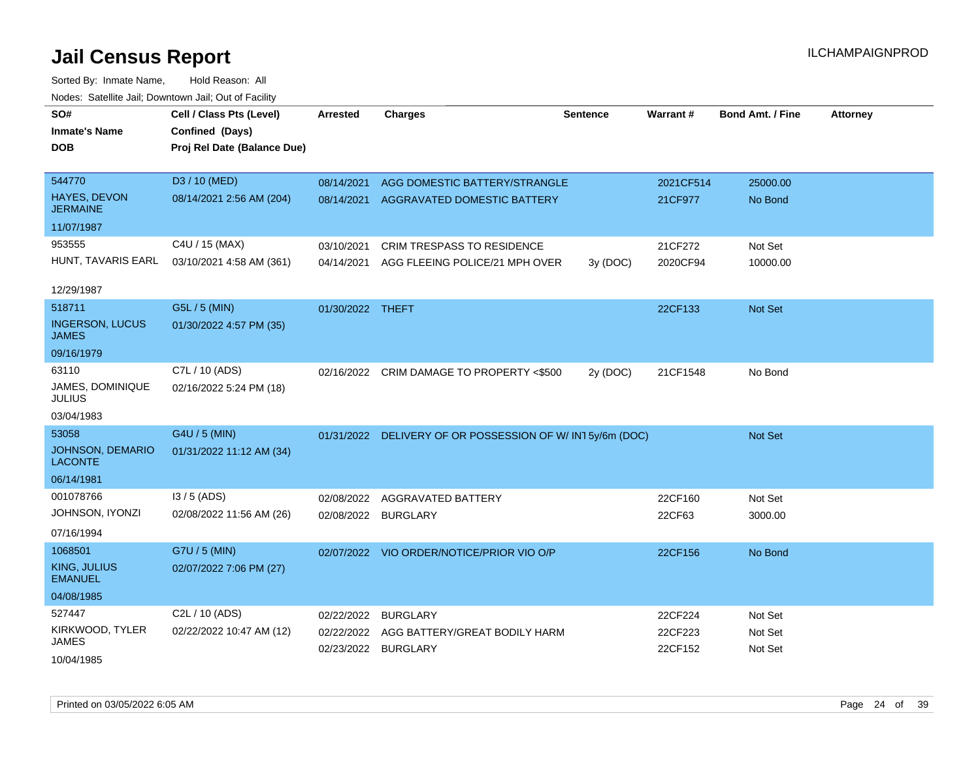| SO#                                       | Cell / Class Pts (Level)    | <b>Arrested</b>     | <b>Charges</b>                                           | <b>Sentence</b> | Warrant#  | <b>Bond Amt. / Fine</b> | <b>Attorney</b> |
|-------------------------------------------|-----------------------------|---------------------|----------------------------------------------------------|-----------------|-----------|-------------------------|-----------------|
| <b>Inmate's Name</b>                      | Confined (Days)             |                     |                                                          |                 |           |                         |                 |
| <b>DOB</b>                                | Proj Rel Date (Balance Due) |                     |                                                          |                 |           |                         |                 |
|                                           |                             |                     |                                                          |                 |           |                         |                 |
| 544770                                    | D3 / 10 (MED)               | 08/14/2021          | AGG DOMESTIC BATTERY/STRANGLE                            |                 | 2021CF514 | 25000.00                |                 |
| HAYES, DEVON<br><b>JERMAINE</b>           | 08/14/2021 2:56 AM (204)    | 08/14/2021          | AGGRAVATED DOMESTIC BATTERY                              |                 | 21CF977   | No Bond                 |                 |
| 11/07/1987                                |                             |                     |                                                          |                 |           |                         |                 |
| 953555                                    | C4U / 15 (MAX)              | 03/10/2021          | <b>CRIM TRESPASS TO RESIDENCE</b>                        |                 | 21CF272   | Not Set                 |                 |
| HUNT, TAVARIS EARL                        | 03/10/2021 4:58 AM (361)    | 04/14/2021          | AGG FLEEING POLICE/21 MPH OVER                           | 3y(DOC)         | 2020CF94  | 10000.00                |                 |
|                                           |                             |                     |                                                          |                 |           |                         |                 |
| 12/29/1987                                |                             |                     |                                                          |                 |           |                         |                 |
| 518711                                    | G5L / 5 (MIN)               | 01/30/2022 THEFT    |                                                          |                 | 22CF133   | <b>Not Set</b>          |                 |
| <b>INGERSON, LUCUS</b><br>JAMES           | 01/30/2022 4:57 PM (35)     |                     |                                                          |                 |           |                         |                 |
| 09/16/1979                                |                             |                     |                                                          |                 |           |                         |                 |
| 63110                                     | C7L / 10 (ADS)              |                     | 02/16/2022 CRIM DAMAGE TO PROPERTY <\$500                | 2y (DOC)        | 21CF1548  | No Bond                 |                 |
| JAMES, DOMINIQUE<br><b>JULIUS</b>         | 02/16/2022 5:24 PM (18)     |                     |                                                          |                 |           |                         |                 |
| 03/04/1983                                |                             |                     |                                                          |                 |           |                         |                 |
| 53058                                     | G4U / 5 (MIN)               |                     | 01/31/2022 DELIVERY OF OR POSSESSION OF W/IN15y/6m (DOC) |                 |           | Not Set                 |                 |
| <b>JOHNSON, DEMARIO</b><br><b>LACONTE</b> | 01/31/2022 11:12 AM (34)    |                     |                                                          |                 |           |                         |                 |
| 06/14/1981                                |                             |                     |                                                          |                 |           |                         |                 |
| 001078766                                 | $13/5$ (ADS)                | 02/08/2022          | AGGRAVATED BATTERY                                       |                 | 22CF160   | Not Set                 |                 |
| JOHNSON, IYONZI                           | 02/08/2022 11:56 AM (26)    | 02/08/2022          | <b>BURGLARY</b>                                          |                 | 22CF63    | 3000.00                 |                 |
| 07/16/1994                                |                             |                     |                                                          |                 |           |                         |                 |
| 1068501                                   | G7U / 5 (MIN)               |                     | 02/07/2022 VIO ORDER/NOTICE/PRIOR VIO O/P                |                 | 22CF156   | No Bond                 |                 |
| KING, JULIUS                              | 02/07/2022 7:06 PM (27)     |                     |                                                          |                 |           |                         |                 |
| <b>EMANUEL</b>                            |                             |                     |                                                          |                 |           |                         |                 |
| 04/08/1985                                |                             |                     |                                                          |                 |           |                         |                 |
| 527447                                    | C <sub>2</sub> L / 10 (ADS) | 02/22/2022          | <b>BURGLARY</b>                                          |                 | 22CF224   | Not Set                 |                 |
| KIRKWOOD, TYLER                           | 02/22/2022 10:47 AM (12)    | 02/22/2022          | AGG BATTERY/GREAT BODILY HARM                            |                 | 22CF223   | Not Set                 |                 |
| <b>JAMES</b>                              |                             | 02/23/2022 BURGLARY |                                                          |                 | 22CF152   | Not Set                 |                 |
| 10/04/1985                                |                             |                     |                                                          |                 |           |                         |                 |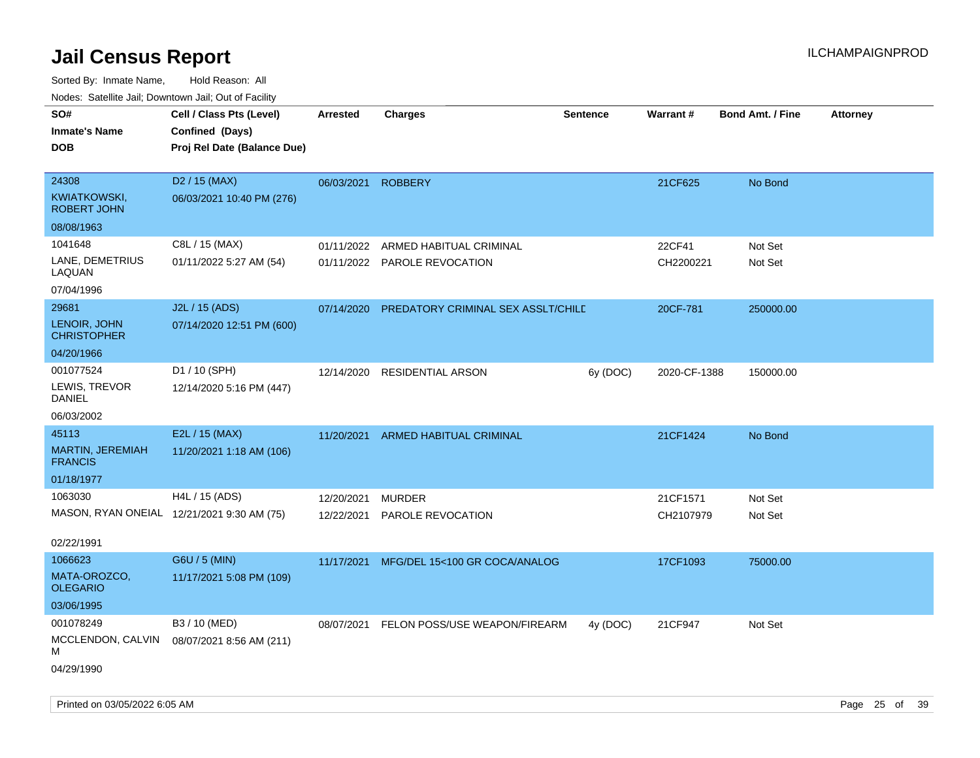| roaco. Catolino dall, Downtown dall, Out of Fability |                                            |                 |                                    |                 |                 |                         |                 |
|------------------------------------------------------|--------------------------------------------|-----------------|------------------------------------|-----------------|-----------------|-------------------------|-----------------|
| SO#                                                  | Cell / Class Pts (Level)                   | <b>Arrested</b> | Charges                            | <b>Sentence</b> | <b>Warrant#</b> | <b>Bond Amt. / Fine</b> | <b>Attorney</b> |
| <b>Inmate's Name</b>                                 | Confined (Days)                            |                 |                                    |                 |                 |                         |                 |
| <b>DOB</b>                                           | Proj Rel Date (Balance Due)                |                 |                                    |                 |                 |                         |                 |
|                                                      |                                            |                 |                                    |                 |                 |                         |                 |
| 24308                                                | D <sub>2</sub> / 15 (MAX)                  | 06/03/2021      | <b>ROBBERY</b>                     |                 | 21CF625         | No Bond                 |                 |
| <b>KWIATKOWSKI,</b><br><b>ROBERT JOHN</b>            | 06/03/2021 10:40 PM (276)                  |                 |                                    |                 |                 |                         |                 |
| 08/08/1963                                           |                                            |                 |                                    |                 |                 |                         |                 |
| 1041648                                              | C8L / 15 (MAX)                             | 01/11/2022      | ARMED HABITUAL CRIMINAL            |                 | 22CF41          | Not Set                 |                 |
| LANE, DEMETRIUS<br>LAQUAN                            | 01/11/2022 5:27 AM (54)                    |                 | 01/11/2022 PAROLE REVOCATION       |                 | CH2200221       | Not Set                 |                 |
| 07/04/1996                                           |                                            |                 |                                    |                 |                 |                         |                 |
| 29681                                                | J2L / 15 (ADS)                             | 07/14/2020      | PREDATORY CRIMINAL SEX ASSLT/CHILE |                 | 20CF-781        | 250000.00               |                 |
| LENOIR, JOHN<br><b>CHRISTOPHER</b>                   | 07/14/2020 12:51 PM (600)                  |                 |                                    |                 |                 |                         |                 |
| 04/20/1966                                           |                                            |                 |                                    |                 |                 |                         |                 |
| 001077524                                            | D1 / 10 (SPH)                              | 12/14/2020      | RESIDENTIAL ARSON                  | 6y (DOC)        | 2020-CF-1388    | 150000.00               |                 |
| LEWIS, TREVOR<br>DANIEL                              | 12/14/2020 5:16 PM (447)                   |                 |                                    |                 |                 |                         |                 |
| 06/03/2002                                           |                                            |                 |                                    |                 |                 |                         |                 |
| 45113                                                | E2L / 15 (MAX)                             | 11/20/2021      | ARMED HABITUAL CRIMINAL            |                 | 21CF1424        | No Bond                 |                 |
| <b>MARTIN, JEREMIAH</b><br><b>FRANCIS</b>            | 11/20/2021 1:18 AM (106)                   |                 |                                    |                 |                 |                         |                 |
| 01/18/1977                                           |                                            |                 |                                    |                 |                 |                         |                 |
| 1063030                                              | H4L / 15 (ADS)                             | 12/20/2021      | <b>MURDER</b>                      |                 | 21CF1571        | Not Set                 |                 |
|                                                      | MASON, RYAN ONEIAL 12/21/2021 9:30 AM (75) | 12/22/2021      | <b>PAROLE REVOCATION</b>           |                 | CH2107979       | Not Set                 |                 |
|                                                      |                                            |                 |                                    |                 |                 |                         |                 |
| 02/22/1991                                           |                                            |                 |                                    |                 |                 |                         |                 |
| 1066623                                              | G6U / 5 (MIN)                              | 11/17/2021      | MFG/DEL 15<100 GR COCA/ANALOG      |                 | 17CF1093        | 75000.00                |                 |
| MATA-OROZCO,<br><b>OLEGARIO</b>                      | 11/17/2021 5:08 PM (109)                   |                 |                                    |                 |                 |                         |                 |
| 03/06/1995                                           |                                            |                 |                                    |                 |                 |                         |                 |
| 001078249                                            | B3 / 10 (MED)                              | 08/07/2021      | FELON POSS/USE WEAPON/FIREARM      | 4y (DOC)        | 21CF947         | Not Set                 |                 |
| MCCLENDON, CALVIN<br>М                               | 08/07/2021 8:56 AM (211)                   |                 |                                    |                 |                 |                         |                 |
| 04/29/1990                                           |                                            |                 |                                    |                 |                 |                         |                 |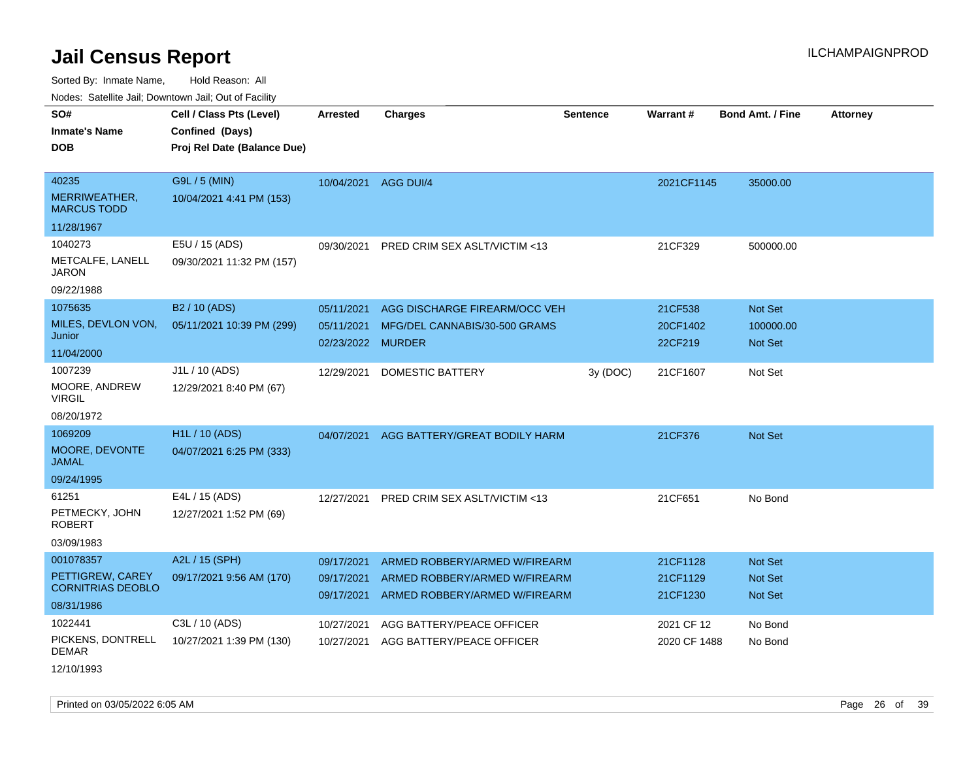Sorted By: Inmate Name, Hold Reason: All

Nodes: Satellite Jail; Downtown Jail; Out of Facility

| SO#                                 | Cell / Class Pts (Level)    | <b>Arrested</b>      | <b>Charges</b>                          | <b>Sentence</b> | <b>Warrant#</b> | <b>Bond Amt. / Fine</b> | <b>Attorney</b> |
|-------------------------------------|-----------------------------|----------------------|-----------------------------------------|-----------------|-----------------|-------------------------|-----------------|
| <b>Inmate's Name</b>                | Confined (Days)             |                      |                                         |                 |                 |                         |                 |
| <b>DOB</b>                          | Proj Rel Date (Balance Due) |                      |                                         |                 |                 |                         |                 |
|                                     |                             |                      |                                         |                 |                 |                         |                 |
| 40235                               | G9L / 5 (MIN)               | 10/04/2021 AGG DUI/4 |                                         |                 | 2021CF1145      | 35000.00                |                 |
| MERRIWEATHER,<br><b>MARCUS TODD</b> | 10/04/2021 4:41 PM (153)    |                      |                                         |                 |                 |                         |                 |
| 11/28/1967                          |                             |                      |                                         |                 |                 |                         |                 |
| 1040273                             | E5U / 15 (ADS)              | 09/30/2021           | <b>PRED CRIM SEX ASLT/VICTIM &lt;13</b> |                 | 21CF329         | 500000.00               |                 |
| METCALFE, LANELL<br><b>JARON</b>    | 09/30/2021 11:32 PM (157)   |                      |                                         |                 |                 |                         |                 |
| 09/22/1988                          |                             |                      |                                         |                 |                 |                         |                 |
| 1075635                             | B2 / 10 (ADS)               | 05/11/2021           | AGG DISCHARGE FIREARM/OCC VEH           |                 | 21CF538         | Not Set                 |                 |
| MILES, DEVLON VON,<br>Junior        | 05/11/2021 10:39 PM (299)   | 05/11/2021           | MFG/DEL CANNABIS/30-500 GRAMS           |                 | 20CF1402        | 100000.00               |                 |
| 11/04/2000                          |                             | 02/23/2022 MURDER    |                                         |                 | 22CF219         | <b>Not Set</b>          |                 |
| 1007239                             | J1L / 10 (ADS)              | 12/29/2021           | <b>DOMESTIC BATTERY</b>                 | 3y (DOC)        | 21CF1607        | Not Set                 |                 |
| MOORE, ANDREW<br><b>VIRGIL</b>      | 12/29/2021 8:40 PM (67)     |                      |                                         |                 |                 |                         |                 |
| 08/20/1972                          |                             |                      |                                         |                 |                 |                         |                 |
| 1069209                             | <b>H1L / 10 (ADS)</b>       | 04/07/2021           | AGG BATTERY/GREAT BODILY HARM           |                 | 21CF376         | <b>Not Set</b>          |                 |
| MOORE, DEVONTE<br><b>JAMAL</b>      | 04/07/2021 6:25 PM (333)    |                      |                                         |                 |                 |                         |                 |
| 09/24/1995                          |                             |                      |                                         |                 |                 |                         |                 |
| 61251                               | E4L / 15 (ADS)              | 12/27/2021           | PRED CRIM SEX ASLT/VICTIM <13           |                 | 21CF651         | No Bond                 |                 |
| PETMECKY, JOHN<br><b>ROBERT</b>     | 12/27/2021 1:52 PM (69)     |                      |                                         |                 |                 |                         |                 |
| 03/09/1983                          |                             |                      |                                         |                 |                 |                         |                 |
| 001078357                           | A2L / 15 (SPH)              | 09/17/2021           | ARMED ROBBERY/ARMED W/FIREARM           |                 | 21CF1128        | <b>Not Set</b>          |                 |
| PETTIGREW, CAREY                    | 09/17/2021 9:56 AM (170)    | 09/17/2021           | ARMED ROBBERY/ARMED W/FIREARM           |                 | 21CF1129        | <b>Not Set</b>          |                 |
| <b>CORNITRIAS DEOBLO</b>            |                             | 09/17/2021           | ARMED ROBBERY/ARMED W/FIREARM           |                 | 21CF1230        | <b>Not Set</b>          |                 |
| 08/31/1986                          |                             |                      |                                         |                 |                 |                         |                 |
| 1022441                             | C3L / 10 (ADS)              | 10/27/2021           | AGG BATTERY/PEACE OFFICER               |                 | 2021 CF 12      | No Bond                 |                 |
| PICKENS, DONTRELL<br><b>DEMAR</b>   | 10/27/2021 1:39 PM (130)    | 10/27/2021           | AGG BATTERY/PEACE OFFICER               |                 | 2020 CF 1488    | No Bond                 |                 |
|                                     |                             |                      |                                         |                 |                 |                         |                 |

12/10/1993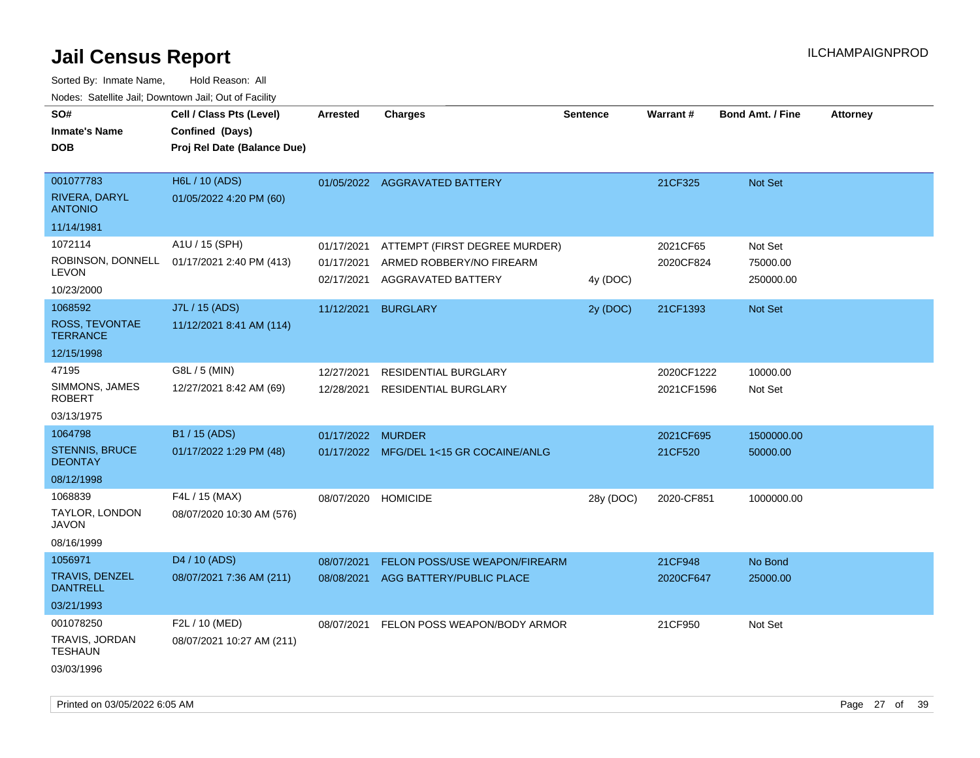| roaco. Calcinio dan, Downtown dan, Cal or Fability |                                            |                 |                                         |                 |                 |                         |                 |
|----------------------------------------------------|--------------------------------------------|-----------------|-----------------------------------------|-----------------|-----------------|-------------------------|-----------------|
| SO#                                                | Cell / Class Pts (Level)                   | <b>Arrested</b> | <b>Charges</b>                          | <b>Sentence</b> | <b>Warrant#</b> | <b>Bond Amt. / Fine</b> | <b>Attorney</b> |
| Inmate's Name                                      | Confined (Days)                            |                 |                                         |                 |                 |                         |                 |
| <b>DOB</b>                                         | Proj Rel Date (Balance Due)                |                 |                                         |                 |                 |                         |                 |
|                                                    |                                            |                 |                                         |                 |                 |                         |                 |
| 001077783                                          | H6L / 10 (ADS)                             |                 | 01/05/2022 AGGRAVATED BATTERY           |                 | 21CF325         | Not Set                 |                 |
| RIVERA, DARYL<br><b>ANTONIO</b>                    | 01/05/2022 4:20 PM (60)                    |                 |                                         |                 |                 |                         |                 |
| 11/14/1981                                         |                                            |                 |                                         |                 |                 |                         |                 |
| 1072114                                            | A1U / 15 (SPH)                             | 01/17/2021      | ATTEMPT (FIRST DEGREE MURDER)           |                 | 2021CF65        | Not Set                 |                 |
|                                                    | ROBINSON, DONNELL 01/17/2021 2:40 PM (413) | 01/17/2021      | ARMED ROBBERY/NO FIREARM                |                 | 2020CF824       | 75000.00                |                 |
| LEVON                                              |                                            | 02/17/2021      | AGGRAVATED BATTERY                      | 4y (DOC)        |                 | 250000.00               |                 |
| 10/23/2000                                         |                                            |                 |                                         |                 |                 |                         |                 |
| 1068592                                            | J7L / 15 (ADS)                             | 11/12/2021      | <b>BURGLARY</b>                         | 2y (DOC)        | 21CF1393        | <b>Not Set</b>          |                 |
| ROSS, TEVONTAE<br>TERRANCE                         | 11/12/2021 8:41 AM (114)                   |                 |                                         |                 |                 |                         |                 |
| 12/15/1998                                         |                                            |                 |                                         |                 |                 |                         |                 |
| 47195                                              | G8L / 5 (MIN)                              | 12/27/2021      | RESIDENTIAL BURGLARY                    |                 | 2020CF1222      | 10000.00                |                 |
| SIMMONS, JAMES<br>ROBERT                           | 12/27/2021 8:42 AM (69)                    | 12/28/2021      | <b>RESIDENTIAL BURGLARY</b>             |                 | 2021CF1596      | Not Set                 |                 |
| 03/13/1975                                         |                                            |                 |                                         |                 |                 |                         |                 |
| 1064798                                            | B1 / 15 (ADS)                              | 01/17/2022      | <b>MURDER</b>                           |                 | 2021CF695       | 1500000.00              |                 |
| <b>STENNIS, BRUCE</b><br><b>DEONTAY</b>            | 01/17/2022 1:29 PM (48)                    |                 | 01/17/2022 MFG/DEL 1<15 GR COCAINE/ANLG |                 | 21CF520         | 50000.00                |                 |
| 08/12/1998                                         |                                            |                 |                                         |                 |                 |                         |                 |
| 1068839                                            | F4L / 15 (MAX)                             | 08/07/2020      | <b>HOMICIDE</b>                         | 28y (DOC)       | 2020-CF851      | 1000000.00              |                 |
| TAYLOR, LONDON<br>JAVON                            | 08/07/2020 10:30 AM (576)                  |                 |                                         |                 |                 |                         |                 |
| 08/16/1999                                         |                                            |                 |                                         |                 |                 |                         |                 |
| 1056971                                            | D4 / 10 (ADS)                              | 08/07/2021      | FELON POSS/USE WEAPON/FIREARM           |                 | 21CF948         | No Bond                 |                 |
| TRAVIS, DENZEL<br><b>DANTRELL</b>                  | 08/07/2021 7:36 AM (211)                   | 08/08/2021      | AGG BATTERY/PUBLIC PLACE                |                 | 2020CF647       | 25000.00                |                 |
| 03/21/1993                                         |                                            |                 |                                         |                 |                 |                         |                 |
| 001078250                                          | F2L / 10 (MED)                             | 08/07/2021      | FELON POSS WEAPON/BODY ARMOR            |                 | 21CF950         | Not Set                 |                 |
| TRAVIS, JORDAN<br>TESHAUN                          | 08/07/2021 10:27 AM (211)                  |                 |                                         |                 |                 |                         |                 |
| 03/03/1996                                         |                                            |                 |                                         |                 |                 |                         |                 |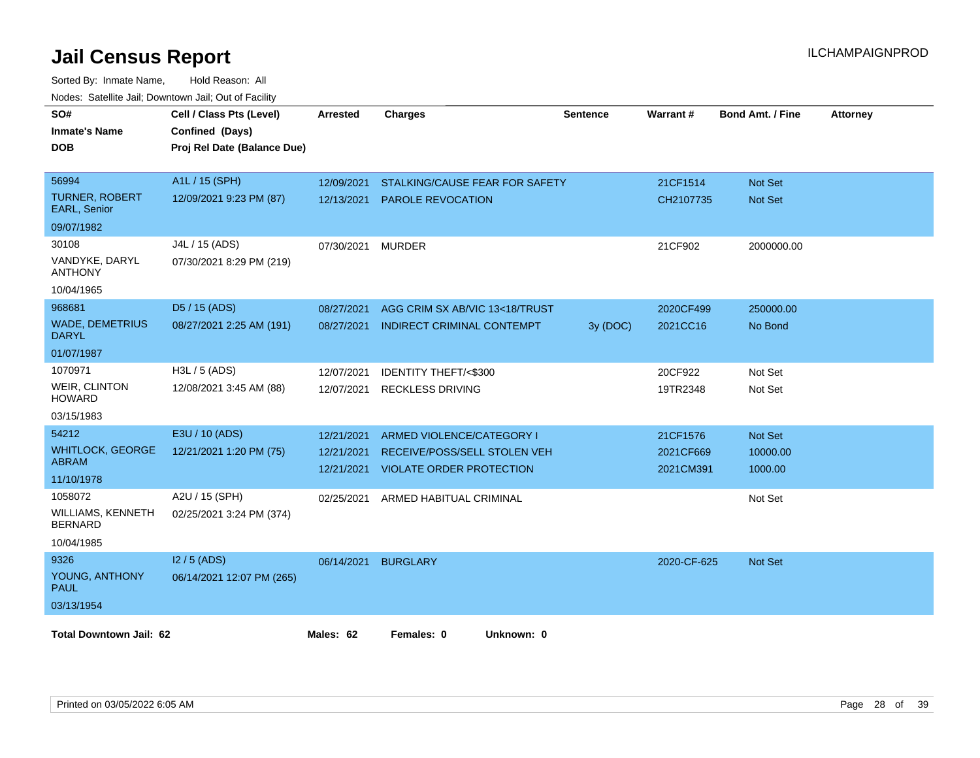| SO#<br><b>Inmate's Name</b><br><b>DOB</b> | Cell / Class Pts (Level)<br>Confined (Days)<br>Proj Rel Date (Balance Due) | Arrested   | <b>Charges</b>                      | <b>Sentence</b> | <b>Warrant#</b> | <b>Bond Amt. / Fine</b> | <b>Attorney</b> |
|-------------------------------------------|----------------------------------------------------------------------------|------------|-------------------------------------|-----------------|-----------------|-------------------------|-----------------|
| 56994                                     | A1L / 15 (SPH)                                                             | 12/09/2021 | STALKING/CAUSE FEAR FOR SAFETY      |                 | 21CF1514        | <b>Not Set</b>          |                 |
| <b>TURNER, ROBERT</b><br>EARL, Senior     | 12/09/2021 9:23 PM (87)                                                    | 12/13/2021 | <b>PAROLE REVOCATION</b>            |                 | CH2107735       | Not Set                 |                 |
| 09/07/1982                                |                                                                            |            |                                     |                 |                 |                         |                 |
| 30108                                     | J4L / 15 (ADS)                                                             | 07/30/2021 | <b>MURDER</b>                       |                 | 21CF902         | 2000000.00              |                 |
| VANDYKE, DARYL<br><b>ANTHONY</b>          | 07/30/2021 8:29 PM (219)                                                   |            |                                     |                 |                 |                         |                 |
| 10/04/1965                                |                                                                            |            |                                     |                 |                 |                         |                 |
| 968681                                    | D5 / 15 (ADS)                                                              | 08/27/2021 | AGG CRIM SX AB/VIC 13<18/TRUST      |                 | 2020CF499       | 250000.00               |                 |
| <b>WADE, DEMETRIUS</b><br><b>DARYL</b>    | 08/27/2021 2:25 AM (191)                                                   | 08/27/2021 | INDIRECT CRIMINAL CONTEMPT          | 3y (DOC)        | 2021CC16        | No Bond                 |                 |
| 01/07/1987                                |                                                                            |            |                                     |                 |                 |                         |                 |
| 1070971                                   | H3L / 5 (ADS)                                                              | 12/07/2021 | IDENTITY THEFT/<\$300               |                 | 20CF922         | Not Set                 |                 |
| <b>WEIR, CLINTON</b><br><b>HOWARD</b>     | 12/08/2021 3:45 AM (88)                                                    | 12/07/2021 | <b>RECKLESS DRIVING</b>             |                 | 19TR2348        | Not Set                 |                 |
| 03/15/1983                                |                                                                            |            |                                     |                 |                 |                         |                 |
| 54212                                     | E3U / 10 (ADS)                                                             | 12/21/2021 | ARMED VIOLENCE/CATEGORY I           |                 | 21CF1576        | <b>Not Set</b>          |                 |
| <b>WHITLOCK, GEORGE</b>                   | 12/21/2021 1:20 PM (75)                                                    | 12/21/2021 | RECEIVE/POSS/SELL STOLEN VEH        |                 | 2021CF669       | 10000.00                |                 |
| <b>ABRAM</b><br>11/10/1978                |                                                                            |            | 12/21/2021 VIOLATE ORDER PROTECTION |                 | 2021CM391       | 1000.00                 |                 |
| 1058072                                   | A2U / 15 (SPH)                                                             | 02/25/2021 | ARMED HABITUAL CRIMINAL             |                 |                 | Not Set                 |                 |
| WILLIAMS, KENNETH<br><b>BERNARD</b>       | 02/25/2021 3:24 PM (374)                                                   |            |                                     |                 |                 |                         |                 |
| 10/04/1985                                |                                                                            |            |                                     |                 |                 |                         |                 |
| 9326                                      | $12/5$ (ADS)                                                               |            | 06/14/2021 BURGLARY                 |                 | 2020-CF-625     | <b>Not Set</b>          |                 |
| YOUNG, ANTHONY<br><b>PAUL</b>             | 06/14/2021 12:07 PM (265)                                                  |            |                                     |                 |                 |                         |                 |
| 03/13/1954                                |                                                                            |            |                                     |                 |                 |                         |                 |
| <b>Total Downtown Jail: 62</b>            |                                                                            | Males: 62  | Females: 0<br>Unknown: 0            |                 |                 |                         |                 |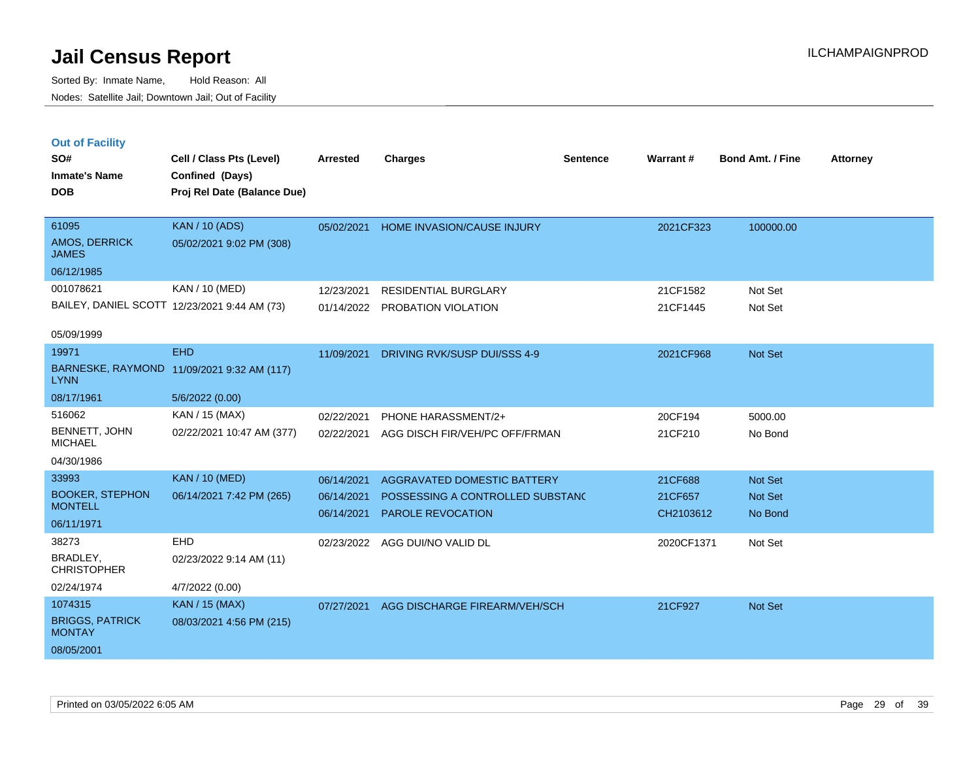Sorted By: Inmate Name, Hold Reason: All Nodes: Satellite Jail; Downtown Jail; Out of Facility

| <b>Out of Facility</b><br>SO#<br><b>Inmate's Name</b><br><b>DOB</b> | Cell / Class Pts (Level)<br>Confined (Days)<br>Proj Rel Date (Balance Due) | <b>Arrested</b>          | <b>Charges</b>                                               | <b>Sentence</b> | Warrant#             | <b>Bond Amt. / Fine</b>   | <b>Attorney</b> |
|---------------------------------------------------------------------|----------------------------------------------------------------------------|--------------------------|--------------------------------------------------------------|-----------------|----------------------|---------------------------|-----------------|
| 61095                                                               | <b>KAN / 10 (ADS)</b>                                                      | 05/02/2021               | HOME INVASION/CAUSE INJURY                                   |                 | 2021CF323            | 100000.00                 |                 |
| AMOS, DERRICK<br><b>JAMES</b>                                       | 05/02/2021 9:02 PM (308)                                                   |                          |                                                              |                 |                      |                           |                 |
| 06/12/1985                                                          |                                                                            |                          |                                                              |                 |                      |                           |                 |
| 001078621                                                           | KAN / 10 (MED)                                                             | 12/23/2021               | <b>RESIDENTIAL BURGLARY</b>                                  |                 | 21CF1582             | Not Set                   |                 |
|                                                                     | BAILEY, DANIEL SCOTT 12/23/2021 9:44 AM (73)                               | 01/14/2022               | PROBATION VIOLATION                                          |                 | 21CF1445             | Not Set                   |                 |
| 05/09/1999                                                          |                                                                            |                          |                                                              |                 |                      |                           |                 |
| 19971                                                               | <b>EHD</b>                                                                 | 11/09/2021               | DRIVING RVK/SUSP DUI/SSS 4-9                                 |                 | 2021CF968            | <b>Not Set</b>            |                 |
| <b>LYNN</b>                                                         | BARNESKE, RAYMOND 11/09/2021 9:32 AM (117)                                 |                          |                                                              |                 |                      |                           |                 |
| 08/17/1961                                                          | 5/6/2022 (0.00)                                                            |                          |                                                              |                 |                      |                           |                 |
| 516062                                                              | KAN / 15 (MAX)                                                             | 02/22/2021               | PHONE HARASSMENT/2+                                          |                 | 20CF194              | 5000.00                   |                 |
| BENNETT, JOHN<br><b>MICHAEL</b>                                     | 02/22/2021 10:47 AM (377)                                                  | 02/22/2021               | AGG DISCH FIR/VEH/PC OFF/FRMAN                               |                 | 21CF210              | No Bond                   |                 |
| 04/30/1986                                                          |                                                                            |                          |                                                              |                 |                      |                           |                 |
| 33993                                                               | <b>KAN / 10 (MED)</b>                                                      | 06/14/2021               | AGGRAVATED DOMESTIC BATTERY                                  |                 | 21CF688              | <b>Not Set</b>            |                 |
| <b>BOOKER, STEPHON</b><br><b>MONTELL</b>                            | 06/14/2021 7:42 PM (265)                                                   | 06/14/2021<br>06/14/2021 | POSSESSING A CONTROLLED SUBSTANC<br><b>PAROLE REVOCATION</b> |                 | 21CF657<br>CH2103612 | <b>Not Set</b><br>No Bond |                 |
| 06/11/1971                                                          |                                                                            |                          |                                                              |                 |                      |                           |                 |
| 38273                                                               | EHD                                                                        | 02/23/2022               | AGG DUI/NO VALID DL                                          |                 | 2020CF1371           | Not Set                   |                 |
| BRADLEY,<br><b>CHRISTOPHER</b>                                      | 02/23/2022 9:14 AM (11)                                                    |                          |                                                              |                 |                      |                           |                 |
|                                                                     |                                                                            |                          |                                                              |                 |                      |                           |                 |

02/24/1974 4/7/2022 (0.00) BRIGGS, PATRICK **MONTAY** 1074315 KAN / 15 (MAX) 08/03/2021 4:56 PM (215) 08/05/2001 07/27/2021 AGG DISCHARGE FIREARM/VEH/SCH 21CF927 Not Set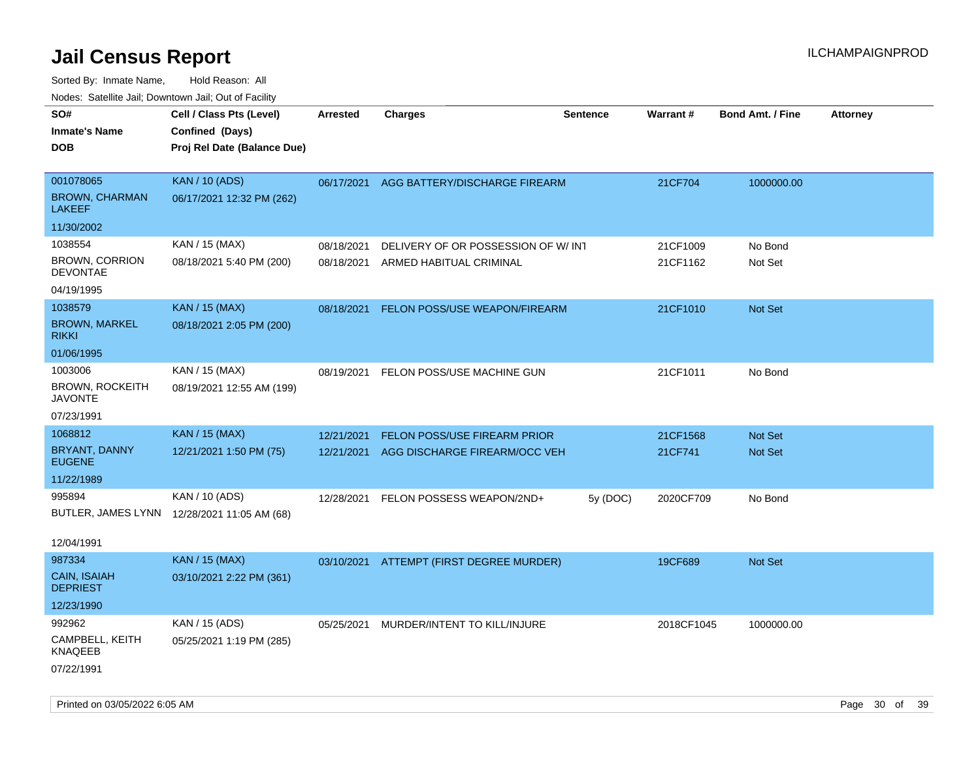| roaco. Calcinio dan, Downtown dan, Cal or Fability |                                                                            |                 |                                          |                 |            |                         |                 |
|----------------------------------------------------|----------------------------------------------------------------------------|-----------------|------------------------------------------|-----------------|------------|-------------------------|-----------------|
| SO#<br>Inmate's Name<br>DOB                        | Cell / Class Pts (Level)<br>Confined (Days)<br>Proj Rel Date (Balance Due) | <b>Arrested</b> | <b>Charges</b>                           | <b>Sentence</b> | Warrant#   | <b>Bond Amt. / Fine</b> | <b>Attorney</b> |
|                                                    |                                                                            |                 |                                          |                 |            |                         |                 |
| 001078065                                          | <b>KAN / 10 (ADS)</b>                                                      |                 | 06/17/2021 AGG BATTERY/DISCHARGE FIREARM |                 | 21CF704    | 1000000.00              |                 |
| <b>BROWN, CHARMAN</b><br>LAKEEF                    | 06/17/2021 12:32 PM (262)                                                  |                 |                                          |                 |            |                         |                 |
| 11/30/2002                                         |                                                                            |                 |                                          |                 |            |                         |                 |
| 1038554                                            | KAN / 15 (MAX)                                                             | 08/18/2021      | DELIVERY OF OR POSSESSION OF W/INT       |                 | 21CF1009   | No Bond                 |                 |
| <b>BROWN, CORRION</b><br><b>DEVONTAE</b>           | 08/18/2021 5:40 PM (200)                                                   | 08/18/2021      | ARMED HABITUAL CRIMINAL                  |                 | 21CF1162   | Not Set                 |                 |
| 04/19/1995                                         |                                                                            |                 |                                          |                 |            |                         |                 |
| 1038579                                            | <b>KAN / 15 (MAX)</b>                                                      | 08/18/2021      | FELON POSS/USE WEAPON/FIREARM            |                 | 21CF1010   | <b>Not Set</b>          |                 |
| <b>BROWN, MARKEL</b><br>rikki                      | 08/18/2021 2:05 PM (200)                                                   |                 |                                          |                 |            |                         |                 |
| 01/06/1995                                         |                                                                            |                 |                                          |                 |            |                         |                 |
| 1003006                                            | KAN / 15 (MAX)                                                             | 08/19/2021      | FELON POSS/USE MACHINE GUN               |                 | 21CF1011   | No Bond                 |                 |
| BROWN, ROCKEITH<br><b>JAVONTE</b>                  | 08/19/2021 12:55 AM (199)                                                  |                 |                                          |                 |            |                         |                 |
| 07/23/1991                                         |                                                                            |                 |                                          |                 |            |                         |                 |
| 1068812                                            | <b>KAN</b> / 15 (MAX)                                                      | 12/21/2021      | FELON POSS/USE FIREARM PRIOR             |                 | 21CF1568   | <b>Not Set</b>          |                 |
| BRYANT, DANNY<br><b>EUGENE</b>                     | 12/21/2021 1:50 PM (75)                                                    | 12/21/2021      | AGG DISCHARGE FIREARM/OCC VEH            |                 | 21CF741    | <b>Not Set</b>          |                 |
| 11/22/1989                                         |                                                                            |                 |                                          |                 |            |                         |                 |
| 995894                                             | KAN / 10 (ADS)                                                             | 12/28/2021      | FELON POSSESS WEAPON/2ND+                | 5y (DOC)        | 2020CF709  | No Bond                 |                 |
|                                                    | BUTLER, JAMES LYNN 12/28/2021 11:05 AM (68)                                |                 |                                          |                 |            |                         |                 |
|                                                    |                                                                            |                 |                                          |                 |            |                         |                 |
| 12/04/1991                                         |                                                                            |                 |                                          |                 |            |                         |                 |
| 987334                                             | <b>KAN / 15 (MAX)</b>                                                      |                 | 03/10/2021 ATTEMPT (FIRST DEGREE MURDER) |                 | 19CF689    | <b>Not Set</b>          |                 |
| CAIN, ISAIAH<br>DEPRIEST                           | 03/10/2021 2:22 PM (361)                                                   |                 |                                          |                 |            |                         |                 |
| 12/23/1990                                         |                                                                            |                 |                                          |                 |            |                         |                 |
| 992962                                             | KAN / 15 (ADS)                                                             | 05/25/2021      | MURDER/INTENT TO KILL/INJURE             |                 | 2018CF1045 | 1000000.00              |                 |
| CAMPBELL, KEITH<br>KNAQEEB                         | 05/25/2021 1:19 PM (285)                                                   |                 |                                          |                 |            |                         |                 |
| 07/22/1991                                         |                                                                            |                 |                                          |                 |            |                         |                 |
|                                                    |                                                                            |                 |                                          |                 |            |                         |                 |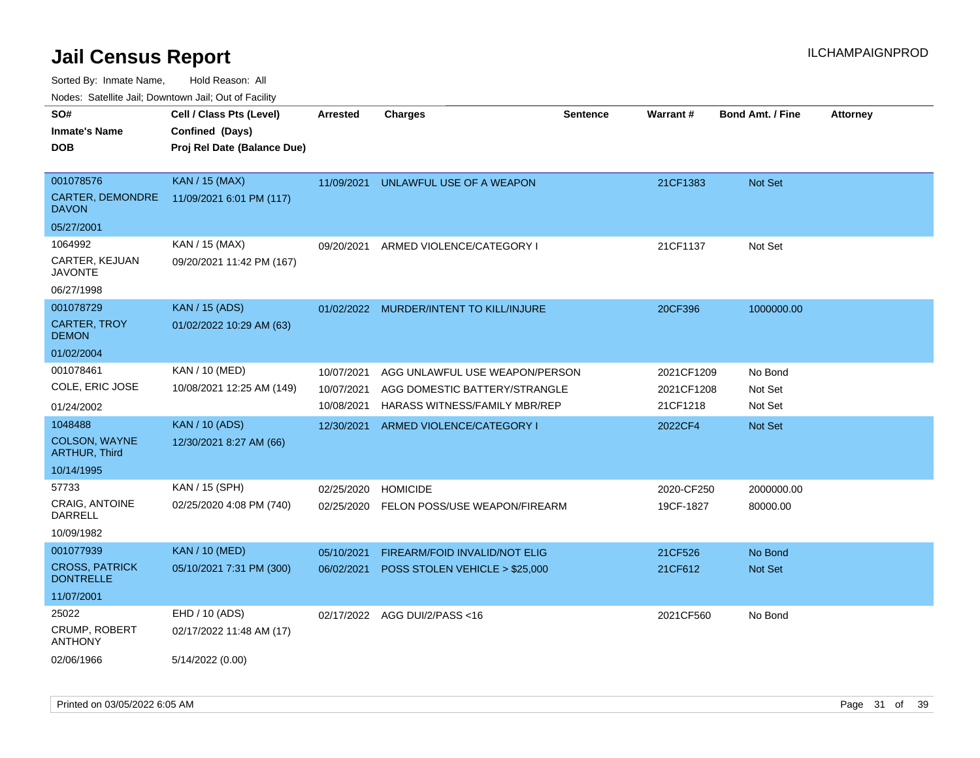Sorted By: Inmate Name, Hold Reason: All

Nodes: Satellite Jail; Downtown Jail; Out of Facility

| SO#                                       | Cell / Class Pts (Level)    | <b>Arrested</b> | <b>Charges</b>                       | <b>Sentence</b> | Warrant#   | <b>Bond Amt. / Fine</b> | <b>Attorney</b> |
|-------------------------------------------|-----------------------------|-----------------|--------------------------------------|-----------------|------------|-------------------------|-----------------|
| <b>Inmate's Name</b>                      | Confined (Days)             |                 |                                      |                 |            |                         |                 |
| <b>DOB</b>                                | Proj Rel Date (Balance Due) |                 |                                      |                 |            |                         |                 |
|                                           |                             |                 |                                      |                 |            |                         |                 |
| 001078576                                 | <b>KAN / 15 (MAX)</b>       | 11/09/2021      | UNLAWFUL USE OF A WEAPON             |                 | 21CF1383   | Not Set                 |                 |
| <b>CARTER, DEMONDRE</b><br><b>DAVON</b>   | 11/09/2021 6:01 PM (117)    |                 |                                      |                 |            |                         |                 |
| 05/27/2001                                |                             |                 |                                      |                 |            |                         |                 |
| 1064992                                   | KAN / 15 (MAX)              | 09/20/2021      | ARMED VIOLENCE/CATEGORY I            |                 | 21CF1137   | Not Set                 |                 |
| CARTER, KEJUAN<br><b>JAVONTE</b>          | 09/20/2021 11:42 PM (167)   |                 |                                      |                 |            |                         |                 |
| 06/27/1998                                |                             |                 |                                      |                 |            |                         |                 |
| 001078729                                 | <b>KAN / 15 (ADS)</b>       | 01/02/2022      | MURDER/INTENT TO KILL/INJURE         |                 | 20CF396    | 1000000.00              |                 |
| <b>CARTER, TROY</b><br><b>DEMON</b>       | 01/02/2022 10:29 AM (63)    |                 |                                      |                 |            |                         |                 |
| 01/02/2004                                |                             |                 |                                      |                 |            |                         |                 |
| 001078461                                 | KAN / 10 (MED)              | 10/07/2021      | AGG UNLAWFUL USE WEAPON/PERSON       |                 | 2021CF1209 | No Bond                 |                 |
| COLE, ERIC JOSE                           | 10/08/2021 12:25 AM (149)   | 10/07/2021      | AGG DOMESTIC BATTERY/STRANGLE        |                 | 2021CF1208 | Not Set                 |                 |
| 01/24/2002                                |                             | 10/08/2021      | <b>HARASS WITNESS/FAMILY MBR/REP</b> |                 | 21CF1218   | Not Set                 |                 |
| 1048488                                   | <b>KAN / 10 (ADS)</b>       | 12/30/2021      | ARMED VIOLENCE/CATEGORY I            |                 | 2022CF4    | <b>Not Set</b>          |                 |
| COLSON, WAYNE<br><b>ARTHUR, Third</b>     | 12/30/2021 8:27 AM (66)     |                 |                                      |                 |            |                         |                 |
| 10/14/1995                                |                             |                 |                                      |                 |            |                         |                 |
| 57733                                     | KAN / 15 (SPH)              | 02/25/2020      | <b>HOMICIDE</b>                      |                 | 2020-CF250 | 2000000.00              |                 |
| CRAIG, ANTOINE<br><b>DARRELL</b>          | 02/25/2020 4:08 PM (740)    | 02/25/2020      | FELON POSS/USE WEAPON/FIREARM        |                 | 19CF-1827  | 80000.00                |                 |
| 10/09/1982                                |                             |                 |                                      |                 |            |                         |                 |
| 001077939                                 | <b>KAN / 10 (MED)</b>       | 05/10/2021      | <b>FIREARM/FOID INVALID/NOT ELIG</b> |                 | 21CF526    | No Bond                 |                 |
| <b>CROSS, PATRICK</b><br><b>DONTRELLE</b> | 05/10/2021 7:31 PM (300)    | 06/02/2021      | POSS STOLEN VEHICLE > \$25,000       |                 | 21CF612    | Not Set                 |                 |
| 11/07/2001                                |                             |                 |                                      |                 |            |                         |                 |
| 25022                                     | EHD / 10 (ADS)              |                 | 02/17/2022 AGG DUI/2/PASS<16         |                 | 2021CF560  | No Bond                 |                 |
| CRUMP, ROBERT<br><b>ANTHONY</b>           | 02/17/2022 11:48 AM (17)    |                 |                                      |                 |            |                         |                 |
| 02/06/1966                                | 5/14/2022 (0.00)            |                 |                                      |                 |            |                         |                 |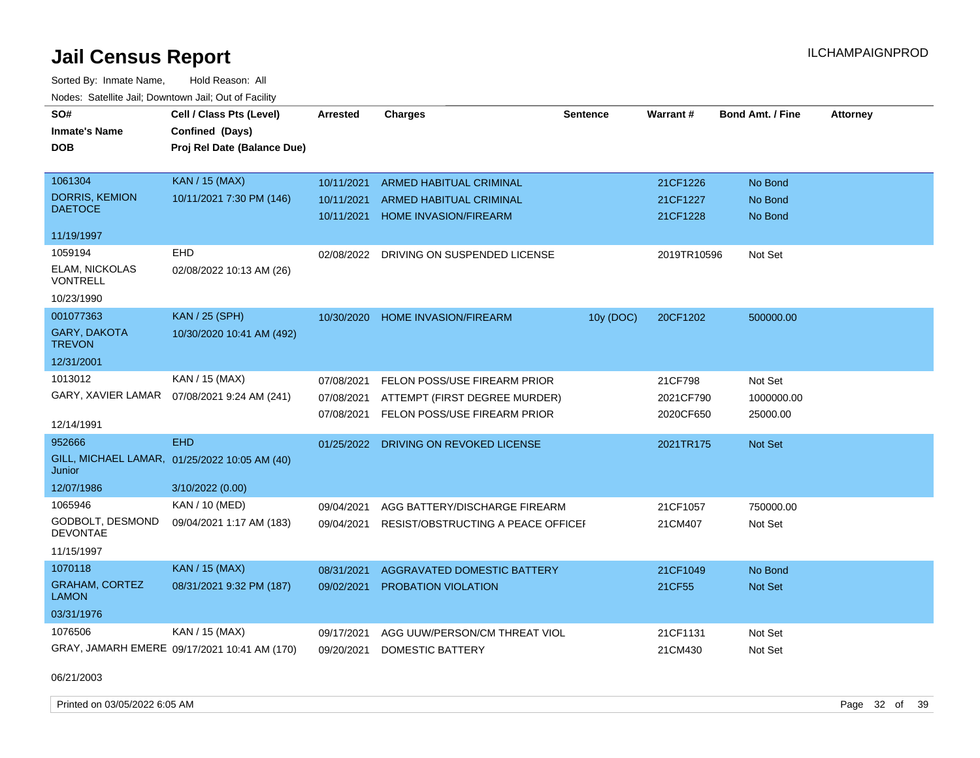Sorted By: Inmate Name, Hold Reason: All Nodes: Satellite Jail; Downtown Jail; Out of Facility

| SO#                                   | Cell / Class Pts (Level)                      | <b>Arrested</b> | <b>Charges</b>                     | <b>Sentence</b> | Warrant#    | <b>Bond Amt. / Fine</b> | <b>Attorney</b> |
|---------------------------------------|-----------------------------------------------|-----------------|------------------------------------|-----------------|-------------|-------------------------|-----------------|
| <b>Inmate's Name</b>                  | Confined (Days)                               |                 |                                    |                 |             |                         |                 |
| <b>DOB</b>                            | Proj Rel Date (Balance Due)                   |                 |                                    |                 |             |                         |                 |
|                                       |                                               |                 |                                    |                 |             |                         |                 |
| 1061304                               | <b>KAN / 15 (MAX)</b>                         | 10/11/2021      | <b>ARMED HABITUAL CRIMINAL</b>     |                 | 21CF1226    | No Bond                 |                 |
| <b>DORRIS, KEMION</b>                 | 10/11/2021 7:30 PM (146)                      | 10/11/2021      | <b>ARMED HABITUAL CRIMINAL</b>     |                 | 21CF1227    | No Bond                 |                 |
| <b>DAETOCE</b>                        |                                               | 10/11/2021      | <b>HOME INVASION/FIREARM</b>       |                 | 21CF1228    | No Bond                 |                 |
| 11/19/1997                            |                                               |                 |                                    |                 |             |                         |                 |
| 1059194                               | <b>EHD</b>                                    | 02/08/2022      | DRIVING ON SUSPENDED LICENSE       |                 | 2019TR10596 | Not Set                 |                 |
| ELAM, NICKOLAS<br>VONTRELL            | 02/08/2022 10:13 AM (26)                      |                 |                                    |                 |             |                         |                 |
| 10/23/1990                            |                                               |                 |                                    |                 |             |                         |                 |
| 001077363                             | <b>KAN / 25 (SPH)</b>                         | 10/30/2020      | HOME INVASION/FIREARM              | 10y (DOC)       | 20CF1202    | 500000.00               |                 |
| <b>GARY, DAKOTA</b><br><b>TREVON</b>  | 10/30/2020 10:41 AM (492)                     |                 |                                    |                 |             |                         |                 |
| 12/31/2001                            |                                               |                 |                                    |                 |             |                         |                 |
| 1013012                               | KAN / 15 (MAX)                                | 07/08/2021      | FELON POSS/USE FIREARM PRIOR       |                 | 21CF798     | Not Set                 |                 |
|                                       | GARY, XAVIER LAMAR  07/08/2021 9:24 AM (241)  | 07/08/2021      | ATTEMPT (FIRST DEGREE MURDER)      |                 | 2021CF790   | 1000000.00              |                 |
|                                       |                                               | 07/08/2021      | FELON POSS/USE FIREARM PRIOR       |                 | 2020CF650   | 25000.00                |                 |
| 12/14/1991                            |                                               |                 |                                    |                 |             |                         |                 |
| 952666                                | <b>EHD</b>                                    | 01/25/2022      | DRIVING ON REVOKED LICENSE         |                 | 2021TR175   | <b>Not Set</b>          |                 |
| Junior                                | GILL, MICHAEL LAMAR, 01/25/2022 10:05 AM (40) |                 |                                    |                 |             |                         |                 |
| 12/07/1986                            | 3/10/2022 (0.00)                              |                 |                                    |                 |             |                         |                 |
| 1065946                               | KAN / 10 (MED)                                | 09/04/2021      | AGG BATTERY/DISCHARGE FIREARM      |                 | 21CF1057    | 750000.00               |                 |
| GODBOLT, DESMOND<br><b>DEVONTAE</b>   | 09/04/2021 1:17 AM (183)                      | 09/04/2021      | RESIST/OBSTRUCTING A PEACE OFFICEF |                 | 21CM407     | Not Set                 |                 |
| 11/15/1997                            |                                               |                 |                                    |                 |             |                         |                 |
| 1070118                               | <b>KAN / 15 (MAX)</b>                         | 08/31/2021      | AGGRAVATED DOMESTIC BATTERY        |                 | 21CF1049    | No Bond                 |                 |
| <b>GRAHAM, CORTEZ</b><br><b>LAMON</b> | 08/31/2021 9:32 PM (187)                      | 09/02/2021      | <b>PROBATION VIOLATION</b>         |                 | 21CF55      | <b>Not Set</b>          |                 |
| 03/31/1976                            |                                               |                 |                                    |                 |             |                         |                 |
| 1076506                               | KAN / 15 (MAX)                                | 09/17/2021      | AGG UUW/PERSON/CM THREAT VIOL      |                 | 21CF1131    | Not Set                 |                 |
|                                       | GRAY, JAMARH EMERE 09/17/2021 10:41 AM (170)  | 09/20/2021      | <b>DOMESTIC BATTERY</b>            |                 | 21CM430     | Not Set                 |                 |

06/21/2003

Printed on 03/05/2022 6:05 AM Page 32 of 39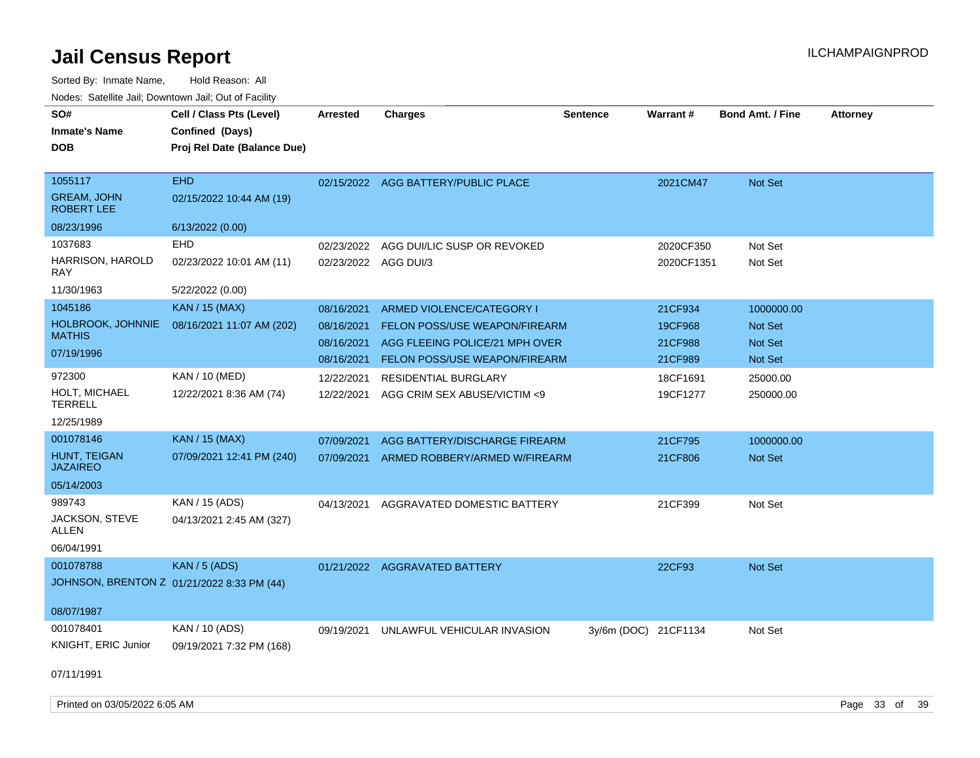| SO#<br><b>Inmate's Name</b><br><b>DOB</b>          | Cell / Class Pts (Level)<br>Confined (Days)<br>Proj Rel Date (Balance Due) | <b>Arrested</b>                        | <b>Charges</b>                                                                               | <b>Sentence</b>      | Warrant#                      | <b>Bond Amt. / Fine</b>                 | <b>Attorney</b> |
|----------------------------------------------------|----------------------------------------------------------------------------|----------------------------------------|----------------------------------------------------------------------------------------------|----------------------|-------------------------------|-----------------------------------------|-----------------|
| 1055117<br><b>GREAM, JOHN</b><br><b>ROBERT LEE</b> | <b>EHD</b><br>02/15/2022 10:44 AM (19)                                     |                                        | 02/15/2022 AGG BATTERY/PUBLIC PLACE                                                          |                      | 2021CM47                      | Not Set                                 |                 |
| 08/23/1996                                         | 6/13/2022 (0.00)                                                           |                                        |                                                                                              |                      |                               |                                         |                 |
| 1037683<br><b>HARRISON, HAROLD</b><br><b>RAY</b>   | <b>EHD</b><br>02/23/2022 10:01 AM (11)                                     | 02/23/2022                             | AGG DUI/LIC SUSP OR REVOKED<br>02/23/2022 AGG DUI/3                                          |                      | 2020CF350<br>2020CF1351       | Not Set<br>Not Set                      |                 |
| 11/30/1963                                         | 5/22/2022 (0.00)                                                           |                                        |                                                                                              |                      |                               |                                         |                 |
| 1045186<br>HOLBROOK, JOHNNIE<br><b>MATHIS</b>      | <b>KAN / 15 (MAX)</b><br>08/16/2021 11:07 AM (202)                         | 08/16/2021<br>08/16/2021<br>08/16/2021 | ARMED VIOLENCE/CATEGORY I<br>FELON POSS/USE WEAPON/FIREARM<br>AGG FLEEING POLICE/21 MPH OVER |                      | 21CF934<br>19CF968<br>21CF988 | 1000000.00<br><b>Not Set</b><br>Not Set |                 |
| 07/19/1996                                         |                                                                            | 08/16/2021                             | FELON POSS/USE WEAPON/FIREARM                                                                |                      | 21CF989                       | Not Set                                 |                 |
| 972300<br>HOLT, MICHAEL<br><b>TERRELL</b>          | KAN / 10 (MED)<br>12/22/2021 8:36 AM (74)                                  | 12/22/2021<br>12/22/2021               | RESIDENTIAL BURGLARY<br>AGG CRIM SEX ABUSE/VICTIM <9                                         |                      | 18CF1691<br>19CF1277          | 25000.00<br>250000.00                   |                 |
| 12/25/1989<br>001078146                            | <b>KAN / 15 (MAX)</b>                                                      |                                        |                                                                                              |                      |                               |                                         |                 |
| HUNT, TEIGAN<br><b>JAZAIREO</b>                    | 07/09/2021 12:41 PM (240)                                                  | 07/09/2021<br>07/09/2021               | AGG BATTERY/DISCHARGE FIREARM<br>ARMED ROBBERY/ARMED W/FIREARM                               |                      | 21CF795<br>21CF806            | 1000000.00<br>Not Set                   |                 |
| 05/14/2003                                         |                                                                            |                                        |                                                                                              |                      |                               |                                         |                 |
| 989743<br>JACKSON, STEVE<br>ALLEN<br>06/04/1991    | KAN / 15 (ADS)<br>04/13/2021 2:45 AM (327)                                 | 04/13/2021                             | AGGRAVATED DOMESTIC BATTERY                                                                  |                      | 21CF399                       | Not Set                                 |                 |
| 001078788<br>08/07/1987                            | <b>KAN / 5 (ADS)</b><br>JOHNSON, BRENTON Z 01/21/2022 8:33 PM (44)         |                                        | 01/21/2022 AGGRAVATED BATTERY                                                                |                      | 22CF93                        | Not Set                                 |                 |
| 001078401<br>KNIGHT, ERIC Junior<br>07/11/1991     | KAN / 10 (ADS)<br>09/19/2021 7:32 PM (168)                                 | 09/19/2021                             | UNLAWFUL VEHICULAR INVASION                                                                  | 3y/6m (DOC) 21CF1134 |                               | Not Set                                 |                 |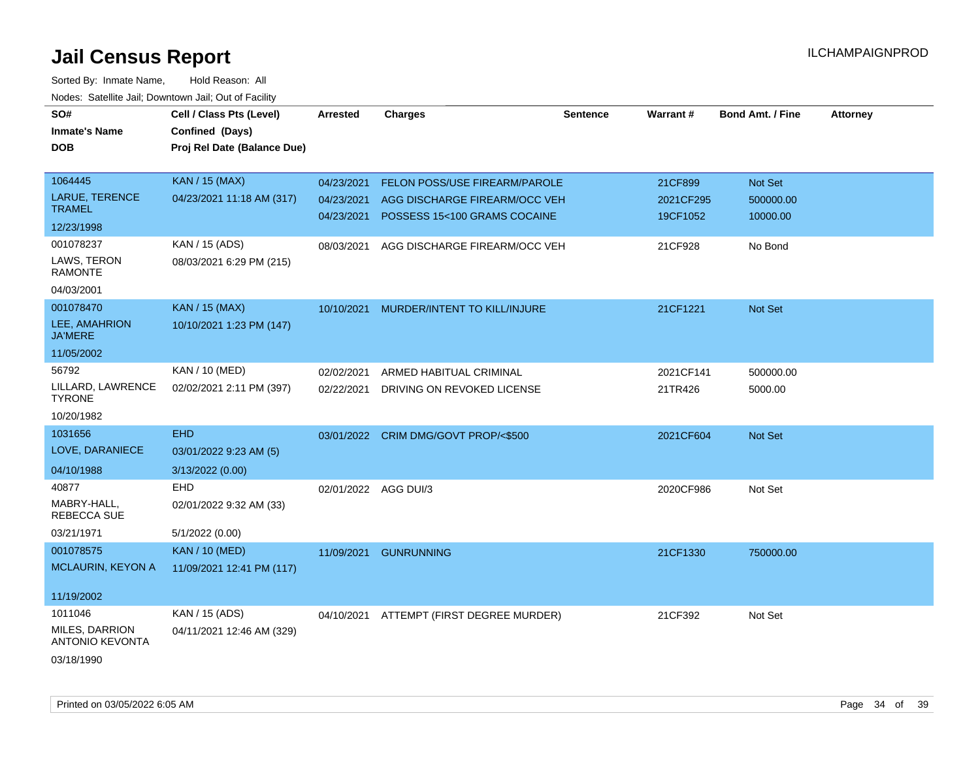| SO#                                      | Cell / Class Pts (Level)    | Arrested                 | <b>Charges</b>                                                | Sentence | Warrant#              | <b>Bond Amt. / Fine</b> | <b>Attorney</b> |
|------------------------------------------|-----------------------------|--------------------------|---------------------------------------------------------------|----------|-----------------------|-------------------------|-----------------|
| <b>Inmate's Name</b>                     | Confined (Days)             |                          |                                                               |          |                       |                         |                 |
| <b>DOB</b>                               | Proj Rel Date (Balance Due) |                          |                                                               |          |                       |                         |                 |
| 1064445                                  | <b>KAN / 15 (MAX)</b>       |                          | FELON POSS/USE FIREARM/PAROLE                                 |          | 21CF899               | Not Set                 |                 |
| <b>LARUE, TERENCE</b>                    | 04/23/2021 11:18 AM (317)   | 04/23/2021               |                                                               |          |                       |                         |                 |
| <b>TRAMEL</b>                            |                             | 04/23/2021<br>04/23/2021 | AGG DISCHARGE FIREARM/OCC VEH<br>POSSESS 15<100 GRAMS COCAINE |          | 2021CF295<br>19CF1052 | 500000.00<br>10000.00   |                 |
| 12/23/1998                               |                             |                          |                                                               |          |                       |                         |                 |
| 001078237                                | KAN / 15 (ADS)              | 08/03/2021               | AGG DISCHARGE FIREARM/OCC VEH                                 |          | 21CF928               | No Bond                 |                 |
| LAWS, TERON<br><b>RAMONTE</b>            | 08/03/2021 6:29 PM (215)    |                          |                                                               |          |                       |                         |                 |
| 04/03/2001                               |                             |                          |                                                               |          |                       |                         |                 |
| 001078470                                | KAN / 15 (MAX)              | 10/10/2021               | MURDER/INTENT TO KILL/INJURE                                  |          | 21CF1221              | <b>Not Set</b>          |                 |
| LEE, AMAHRION<br><b>JA'MERE</b>          | 10/10/2021 1:23 PM (147)    |                          |                                                               |          |                       |                         |                 |
| 11/05/2002                               |                             |                          |                                                               |          |                       |                         |                 |
| 56792                                    | KAN / 10 (MED)              | 02/02/2021               | ARMED HABITUAL CRIMINAL                                       |          | 2021CF141             | 500000.00               |                 |
| LILLARD, LAWRENCE<br><b>TYRONE</b>       | 02/02/2021 2:11 PM (397)    | 02/22/2021               | DRIVING ON REVOKED LICENSE                                    |          | 21TR426               | 5000.00                 |                 |
| 10/20/1982                               |                             |                          |                                                               |          |                       |                         |                 |
| 1031656                                  | <b>EHD</b>                  |                          | 03/01/2022 CRIM DMG/GOVT PROP/<\$500                          |          | 2021CF604             | Not Set                 |                 |
| LOVE, DARANIECE                          | 03/01/2022 9:23 AM (5)      |                          |                                                               |          |                       |                         |                 |
| 04/10/1988                               | 3/13/2022 (0.00)            |                          |                                                               |          |                       |                         |                 |
| 40877                                    | <b>EHD</b>                  | 02/01/2022 AGG DUI/3     |                                                               |          | 2020CF986             | Not Set                 |                 |
| MABRY-HALL,<br><b>REBECCA SUE</b>        | 02/01/2022 9:32 AM (33)     |                          |                                                               |          |                       |                         |                 |
| 03/21/1971                               | 5/1/2022 (0.00)             |                          |                                                               |          |                       |                         |                 |
| 001078575                                | <b>KAN / 10 (MED)</b>       | 11/09/2021               | <b>GUNRUNNING</b>                                             |          | 21CF1330              | 750000.00               |                 |
| MCLAURIN, KEYON A                        | 11/09/2021 12:41 PM (117)   |                          |                                                               |          |                       |                         |                 |
| 11/19/2002                               |                             |                          |                                                               |          |                       |                         |                 |
| 1011046                                  | KAN / 15 (ADS)              | 04/10/2021               | ATTEMPT (FIRST DEGREE MURDER)                                 |          | 21CF392               | Not Set                 |                 |
| MILES, DARRION<br><b>ANTONIO KEVONTA</b> | 04/11/2021 12:46 AM (329)   |                          |                                                               |          |                       |                         |                 |
| 03/18/1990                               |                             |                          |                                                               |          |                       |                         |                 |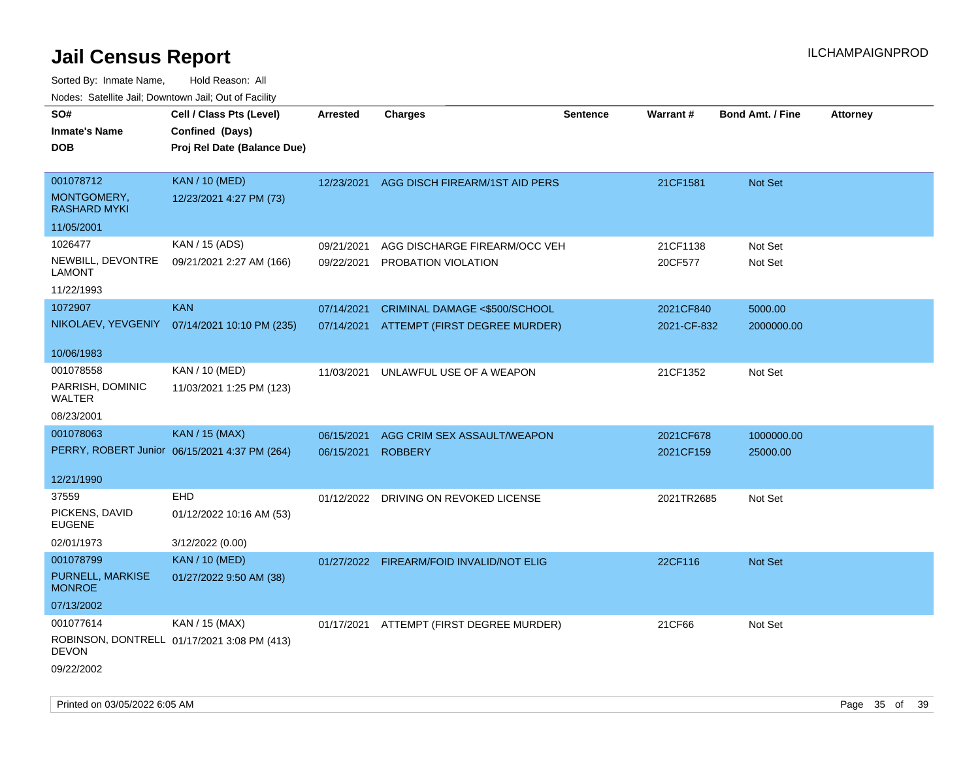| SO#<br><b>Inmate's Name</b><br><b>DOB</b>                    | Cell / Class Pts (Level)<br>Confined (Days)<br>Proj Rel Date (Balance Due) | Arrested                 | <b>Charges</b>                                                 | <b>Sentence</b> | Warrant#                 | <b>Bond Amt. / Fine</b> | <b>Attorney</b> |
|--------------------------------------------------------------|----------------------------------------------------------------------------|--------------------------|----------------------------------------------------------------|-----------------|--------------------------|-------------------------|-----------------|
| 001078712<br>MONTGOMERY,<br><b>RASHARD MYKI</b>              | <b>KAN / 10 (MED)</b><br>12/23/2021 4:27 PM (73)                           | 12/23/2021               | AGG DISCH FIREARM/1ST AID PERS                                 |                 | 21CF1581                 | Not Set                 |                 |
| 11/05/2001                                                   |                                                                            |                          |                                                                |                 |                          |                         |                 |
| 1026477<br>NEWBILL, DEVONTRE<br>LAMONT<br>11/22/1993         | KAN / 15 (ADS)<br>09/21/2021 2:27 AM (166)                                 | 09/21/2021<br>09/22/2021 | AGG DISCHARGE FIREARM/OCC VEH<br>PROBATION VIOLATION           |                 | 21CF1138<br>20CF577      | Not Set<br>Not Set      |                 |
| 1072907                                                      | <b>KAN</b><br>NIKOLAEV, YEVGENIY 07/14/2021 10:10 PM (235)                 | 07/14/2021<br>07/14/2021 | CRIMINAL DAMAGE <\$500/SCHOOL<br>ATTEMPT (FIRST DEGREE MURDER) |                 | 2021CF840<br>2021-CF-832 | 5000.00<br>2000000.00   |                 |
| 10/06/1983                                                   |                                                                            |                          |                                                                |                 |                          |                         |                 |
| 001078558<br>PARRISH, DOMINIC<br>WALTER                      | KAN / 10 (MED)<br>11/03/2021 1:25 PM (123)                                 | 11/03/2021               | UNLAWFUL USE OF A WEAPON                                       |                 | 21CF1352                 | Not Set                 |                 |
| 08/23/2001                                                   |                                                                            |                          |                                                                |                 |                          |                         |                 |
| 001078063                                                    | <b>KAN / 15 (MAX)</b><br>PERRY, ROBERT Junior 06/15/2021 4:37 PM (264)     | 06/15/2021<br>06/15/2021 | AGG CRIM SEX ASSAULT/WEAPON<br><b>ROBBERY</b>                  |                 | 2021CF678<br>2021CF159   | 1000000.00<br>25000.00  |                 |
| 12/21/1990                                                   |                                                                            |                          |                                                                |                 |                          |                         |                 |
| 37559<br>PICKENS, DAVID<br>EUGENE<br>02/01/1973              | <b>EHD</b><br>01/12/2022 10:16 AM (53)<br>3/12/2022 (0.00)                 |                          | 01/12/2022 DRIVING ON REVOKED LICENSE                          |                 | 2021TR2685               | Not Set                 |                 |
| 001078799<br>PURNELL, MARKISE<br><b>MONROE</b><br>07/13/2002 | <b>KAN / 10 (MED)</b><br>01/27/2022 9:50 AM (38)                           | 01/27/2022               | <b>FIREARM/FOID INVALID/NOT ELIG</b>                           |                 | 22CF116                  | <b>Not Set</b>          |                 |
| 001077614<br><b>DEVON</b><br>09/22/2002                      | KAN / 15 (MAX)<br>ROBINSON, DONTRELL 01/17/2021 3:08 PM (413)              |                          | 01/17/2021 ATTEMPT (FIRST DEGREE MURDER)                       |                 | 21CF66                   | Not Set                 |                 |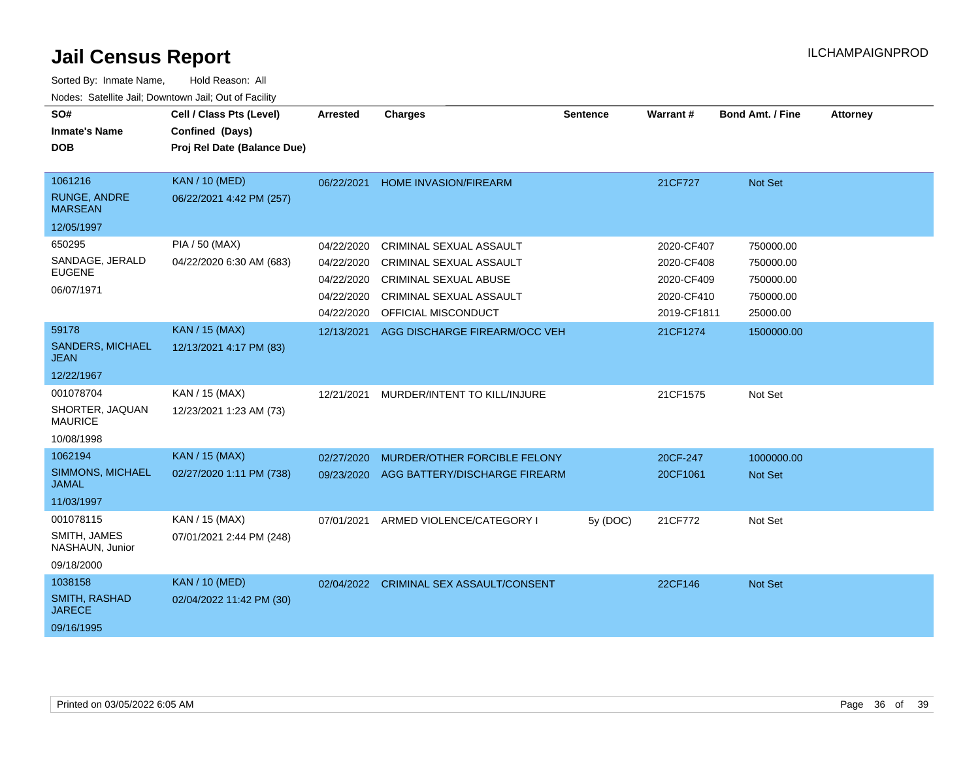| SO#<br><b>Inmate's Name</b><br><b>DOB</b>                              | Cell / Class Pts (Level)<br>Confined (Days)<br>Proj Rel Date (Balance Due) | Arrested                                                           | <b>Charges</b>                                                                                                                              | <b>Sentence</b> | Warrant#                                                            | Bond Amt. / Fine                                             | <b>Attorney</b> |
|------------------------------------------------------------------------|----------------------------------------------------------------------------|--------------------------------------------------------------------|---------------------------------------------------------------------------------------------------------------------------------------------|-----------------|---------------------------------------------------------------------|--------------------------------------------------------------|-----------------|
| 1061216<br><b>RUNGE, ANDRE</b><br><b>MARSEAN</b>                       | <b>KAN / 10 (MED)</b><br>06/22/2021 4:42 PM (257)                          | 06/22/2021                                                         | <b>HOME INVASION/FIREARM</b>                                                                                                                |                 | 21CF727                                                             | Not Set                                                      |                 |
| 12/05/1997<br>650295<br>SANDAGE, JERALD<br><b>EUGENE</b><br>06/07/1971 | PIA / 50 (MAX)<br>04/22/2020 6:30 AM (683)                                 | 04/22/2020<br>04/22/2020<br>04/22/2020<br>04/22/2020<br>04/22/2020 | CRIMINAL SEXUAL ASSAULT<br><b>CRIMINAL SEXUAL ASSAULT</b><br><b>CRIMINAL SEXUAL ABUSE</b><br>CRIMINAL SEXUAL ASSAULT<br>OFFICIAL MISCONDUCT |                 | 2020-CF407<br>2020-CF408<br>2020-CF409<br>2020-CF410<br>2019-CF1811 | 750000.00<br>750000.00<br>750000.00<br>750000.00<br>25000.00 |                 |
| 59178<br><b>SANDERS, MICHAEL</b><br>JEAN<br>12/22/1967                 | <b>KAN / 15 (MAX)</b><br>12/13/2021 4:17 PM (83)                           | 12/13/2021                                                         | AGG DISCHARGE FIREARM/OCC VEH                                                                                                               |                 | 21CF1274                                                            | 1500000.00                                                   |                 |
| 001078704<br>SHORTER, JAQUAN<br><b>MAURICE</b><br>10/08/1998           | KAN / 15 (MAX)<br>12/23/2021 1:23 AM (73)                                  | 12/21/2021                                                         | MURDER/INTENT TO KILL/INJURE                                                                                                                |                 | 21CF1575                                                            | Not Set                                                      |                 |
| 1062194<br>SIMMONS, MICHAEL<br><b>JAMAL</b><br>11/03/1997              | <b>KAN / 15 (MAX)</b><br>02/27/2020 1:11 PM (738)                          | 02/27/2020<br>09/23/2020                                           | MURDER/OTHER FORCIBLE FELONY<br>AGG BATTERY/DISCHARGE FIREARM                                                                               |                 | 20CF-247<br>20CF1061                                                | 1000000.00<br>Not Set                                        |                 |
| 001078115<br>SMITH, JAMES<br>NASHAUN, Junior<br>09/18/2000             | KAN / 15 (MAX)<br>07/01/2021 2:44 PM (248)                                 | 07/01/2021                                                         | ARMED VIOLENCE/CATEGORY I                                                                                                                   | 5y (DOC)        | 21CF772                                                             | Not Set                                                      |                 |
| 1038158<br><b>SMITH, RASHAD</b><br><b>JARECE</b><br>09/16/1995         | <b>KAN / 10 (MED)</b><br>02/04/2022 11:42 PM (30)                          | 02/04/2022                                                         | <b>CRIMINAL SEX ASSAULT/CONSENT</b>                                                                                                         |                 | 22CF146                                                             | Not Set                                                      |                 |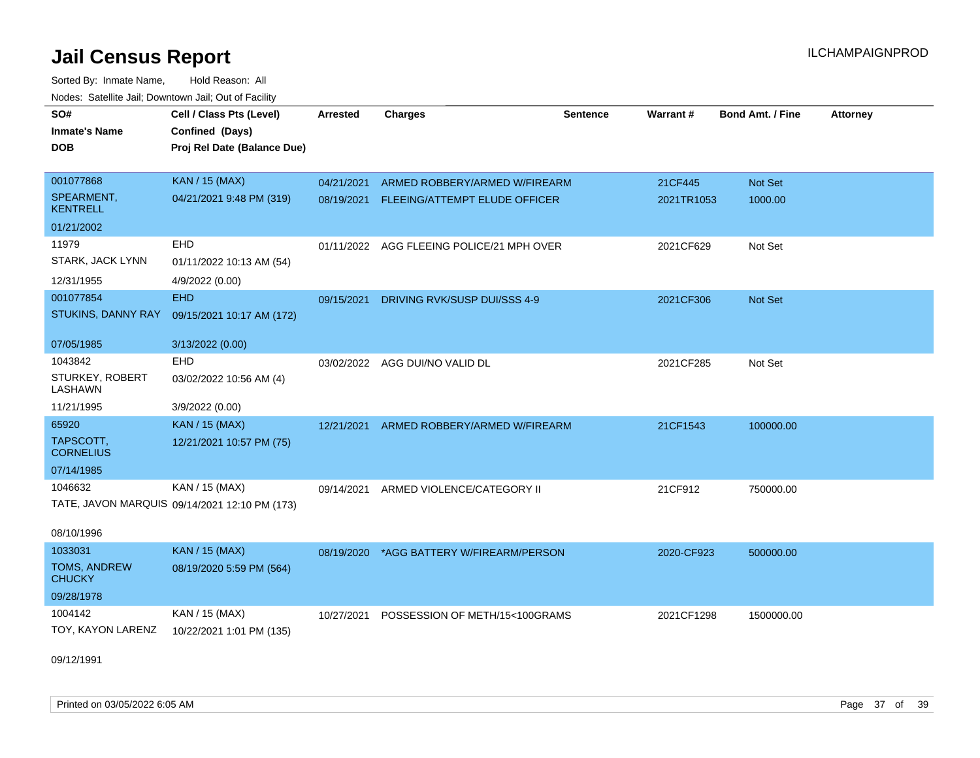Sorted By: Inmate Name, Hold Reason: All Nodes: Satellite Jail; Downtown Jail; Out of Facility

| SO#                               | Cell / Class Pts (Level)                      | Arrested   | <b>Charges</b>                            | <b>Sentence</b> | Warrant#   | <b>Bond Amt. / Fine</b> | <b>Attorney</b> |
|-----------------------------------|-----------------------------------------------|------------|-------------------------------------------|-----------------|------------|-------------------------|-----------------|
| <b>Inmate's Name</b>              | Confined (Days)                               |            |                                           |                 |            |                         |                 |
| <b>DOB</b>                        | Proj Rel Date (Balance Due)                   |            |                                           |                 |            |                         |                 |
|                                   |                                               |            |                                           |                 |            |                         |                 |
| 001077868                         | <b>KAN / 15 (MAX)</b>                         | 04/21/2021 | ARMED ROBBERY/ARMED W/FIREARM             |                 | 21CF445    | Not Set                 |                 |
| SPEARMENT,<br><b>KENTRELL</b>     | 04/21/2021 9:48 PM (319)                      | 08/19/2021 | FLEEING/ATTEMPT ELUDE OFFICER             |                 | 2021TR1053 | 1000.00                 |                 |
| 01/21/2002                        |                                               |            |                                           |                 |            |                         |                 |
| 11979                             | <b>EHD</b>                                    |            | 01/11/2022 AGG FLEEING POLICE/21 MPH OVER |                 | 2021CF629  | Not Set                 |                 |
| STARK, JACK LYNN                  | 01/11/2022 10:13 AM (54)                      |            |                                           |                 |            |                         |                 |
| 12/31/1955                        | 4/9/2022 (0.00)                               |            |                                           |                 |            |                         |                 |
| 001077854                         | <b>EHD</b>                                    | 09/15/2021 | DRIVING RVK/SUSP DUI/SSS 4-9              |                 | 2021CF306  | Not Set                 |                 |
| STUKINS, DANNY RAY                | 09/15/2021 10:17 AM (172)                     |            |                                           |                 |            |                         |                 |
| 07/05/1985                        | 3/13/2022 (0.00)                              |            |                                           |                 |            |                         |                 |
| 1043842                           | <b>EHD</b>                                    |            | 03/02/2022 AGG DUI/NO VALID DL            |                 | 2021CF285  | Not Set                 |                 |
| STURKEY, ROBERT<br><b>LASHAWN</b> | 03/02/2022 10:56 AM (4)                       |            |                                           |                 |            |                         |                 |
| 11/21/1995                        | 3/9/2022 (0.00)                               |            |                                           |                 |            |                         |                 |
| 65920                             | <b>KAN / 15 (MAX)</b>                         | 12/21/2021 | ARMED ROBBERY/ARMED W/FIREARM             |                 | 21CF1543   | 100000.00               |                 |
| TAPSCOTT,<br><b>CORNELIUS</b>     | 12/21/2021 10:57 PM (75)                      |            |                                           |                 |            |                         |                 |
| 07/14/1985                        |                                               |            |                                           |                 |            |                         |                 |
| 1046632                           | KAN / 15 (MAX)                                | 09/14/2021 | ARMED VIOLENCE/CATEGORY II                |                 | 21CF912    | 750000.00               |                 |
|                                   | TATE, JAVON MARQUIS 09/14/2021 12:10 PM (173) |            |                                           |                 |            |                         |                 |
| 08/10/1996                        |                                               |            |                                           |                 |            |                         |                 |
| 1033031                           | <b>KAN / 15 (MAX)</b>                         |            | 08/19/2020 *AGG BATTERY W/FIREARM/PERSON  |                 | 2020-CF923 | 500000.00               |                 |
| TOMS, ANDREW<br><b>CHUCKY</b>     | 08/19/2020 5:59 PM (564)                      |            |                                           |                 |            |                         |                 |
| 09/28/1978                        |                                               |            |                                           |                 |            |                         |                 |
| 1004142                           | KAN / 15 (MAX)                                | 10/27/2021 | POSSESSION OF METH/15<100GRAMS            |                 | 2021CF1298 | 1500000.00              |                 |
| TOY, KAYON LARENZ                 | 10/22/2021 1:01 PM (135)                      |            |                                           |                 |            |                         |                 |
|                                   |                                               |            |                                           |                 |            |                         |                 |

09/12/1991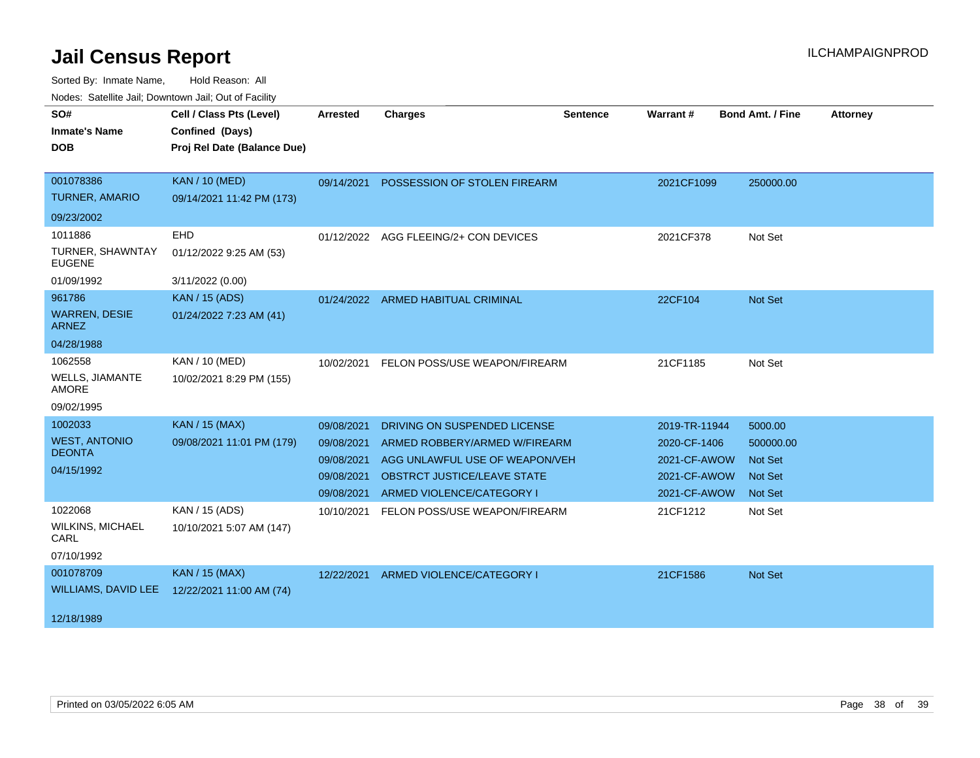| SO#<br><b>Inmate's Name</b><br><b>DOB</b>                    | Cell / Class Pts (Level)<br>Confined (Days)<br>Proj Rel Date (Balance Due) | <b>Arrested</b>                                      | <b>Charges</b>                                                                                                                     | <b>Sentence</b> | Warrant#                                                     | <b>Bond Amt. / Fine</b>                                         | <b>Attorney</b> |
|--------------------------------------------------------------|----------------------------------------------------------------------------|------------------------------------------------------|------------------------------------------------------------------------------------------------------------------------------------|-----------------|--------------------------------------------------------------|-----------------------------------------------------------------|-----------------|
| 001078386<br><b>TURNER, AMARIO</b>                           | <b>KAN / 10 (MED)</b><br>09/14/2021 11:42 PM (173)                         | 09/14/2021                                           | POSSESSION OF STOLEN FIREARM                                                                                                       |                 | 2021CF1099                                                   | 250000.00                                                       |                 |
| 09/23/2002                                                   |                                                                            |                                                      |                                                                                                                                    |                 |                                                              |                                                                 |                 |
| 1011886<br>TURNER, SHAWNTAY<br><b>EUGENE</b>                 | EHD<br>01/12/2022 9:25 AM (53)                                             |                                                      | 01/12/2022 AGG FLEEING/2+ CON DEVICES                                                                                              |                 | 2021CF378                                                    | Not Set                                                         |                 |
| 01/09/1992                                                   | 3/11/2022 (0.00)                                                           |                                                      |                                                                                                                                    |                 |                                                              |                                                                 |                 |
| 961786<br><b>WARREN, DESIE</b><br><b>ARNEZ</b><br>04/28/1988 | <b>KAN / 15 (ADS)</b><br>01/24/2022 7:23 AM (41)                           |                                                      | 01/24/2022 ARMED HABITUAL CRIMINAL                                                                                                 |                 | 22CF104                                                      | Not Set                                                         |                 |
| 1062558<br><b>WELLS, JIAMANTE</b><br>AMORE<br>09/02/1995     | KAN / 10 (MED)<br>10/02/2021 8:29 PM (155)                                 | 10/02/2021                                           | FELON POSS/USE WEAPON/FIREARM                                                                                                      |                 | 21CF1185                                                     | Not Set                                                         |                 |
| 1002033                                                      | KAN / 15 (MAX)                                                             | 09/08/2021                                           | DRIVING ON SUSPENDED LICENSE                                                                                                       |                 | 2019-TR-11944                                                | 5000.00                                                         |                 |
| <b>WEST, ANTONIO</b><br><b>DEONTA</b><br>04/15/1992          | 09/08/2021 11:01 PM (179)                                                  | 09/08/2021<br>09/08/2021<br>09/08/2021<br>09/08/2021 | ARMED ROBBERY/ARMED W/FIREARM<br>AGG UNLAWFUL USE OF WEAPON/VEH<br><b>OBSTRCT JUSTICE/LEAVE STATE</b><br>ARMED VIOLENCE/CATEGORY I |                 | 2020-CF-1406<br>2021-CF-AWOW<br>2021-CF-AWOW<br>2021-CF-AWOW | 500000.00<br><b>Not Set</b><br><b>Not Set</b><br><b>Not Set</b> |                 |
| 1022068<br><b>WILKINS, MICHAEL</b><br>CARL<br>07/10/1992     | KAN / 15 (ADS)<br>10/10/2021 5:07 AM (147)                                 | 10/10/2021                                           | FELON POSS/USE WEAPON/FIREARM                                                                                                      |                 | 21CF1212                                                     | Not Set                                                         |                 |
| 001078709<br>WILLIAMS, DAVID LEE<br>12/18/1989               | <b>KAN / 15 (MAX)</b><br>12/22/2021 11:00 AM (74)                          |                                                      | 12/22/2021 ARMED VIOLENCE/CATEGORY I                                                                                               |                 | 21CF1586                                                     | Not Set                                                         |                 |